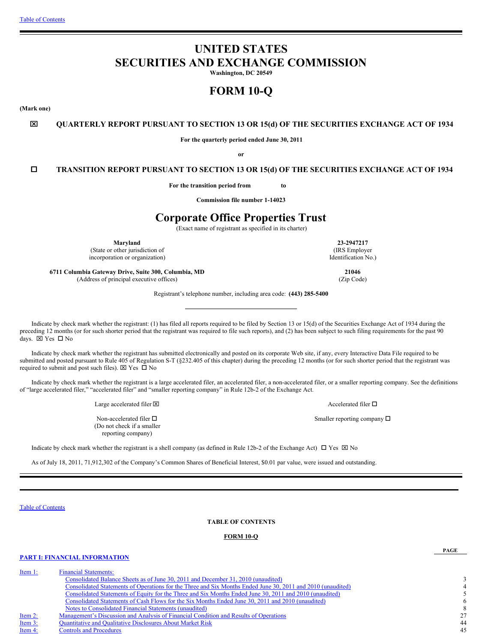# **UNITED STATES SECURITIES AND EXCHANGE COMMISSION**

**Washington, DC 20549**

# **FORM 10-Q**

**(Mark one)**

# x **QUARTERLY REPORT PURSUANT TO SECTION 13 OR 15(d) OF THE SECURITIES EXCHANGE ACT OF 1934**

**For the quarterly period ended June 30, 2011**

**or**

# o **TRANSITION REPORT PURSUANT TO SECTION 13 OR 15(d) OF THE SECURITIES EXCHANGE ACT OF 1934**

**For the transition period from to**

**Commission file number 1-14023**

# **Corporate Office Properties Trust**

(Exact name of registrant as specified in its charter)

**Maryland 23-2947217**

(State or other jurisdiction of (IRS Employer incorporation or organization) Identification No.)

**6711 Columbia Gateway Drive, Suite 300, Columbia, MD 21046** (Address of principal executive offices) (Zip Code)

Registrant's telephone number, including area code: **(443) 285-5400**

Indicate by check mark whether the registrant: (1) has filed all reports required to be filed by Section 13 or 15(d) of the Securities Exchange Act of 1934 during the preceding 12 months (or for such shorter period that the registrant was required to file such reports), and (2) has been subject to such filing requirements for the past 90 days.  $\overline{\boxtimes}$  Yes  $\Box$  No

Indicate by check mark whether the registrant has submitted electronically and posted on its corporate Web site, if any, every Interactive Data File required to be submitted and posted pursuant to Rule 405 of Regulation S-T (§232.405 of this chapter) during the preceding 12 months (or for such shorter period that the registrant was required to submit and post such files).  $\boxtimes$  Yes  $\Box$  No

Indicate by check mark whether the registrant is a large accelerated filer, an accelerated filer, a non-accelerated filer, or a smaller reporting company. See the definitions of "large accelerated filer," "accelerated filer" and "smaller reporting company" in Rule 12b-2 of the Exchange Act.

Large accelerated filer  $\boxtimes$ 

(Do not check if a smaller reporting company)

Non-accelerated filer  $\Box$  Smaller reporting company  $\Box$ 

**PAGE**

Indicate by check mark whether the registrant is a shell company (as defined in Rule 12b-2 of the Exchange Act)  $\Box$  Yes  $\boxtimes$  No

As of July 18, 2011, 71,912,302 of the Company's Common Shares of Beneficial Interest, \$0.01 par value, were issued and outstanding.

Table of [Contents](#page-0-0)

<span id="page-0-0"></span>**TABLE OF CONTENTS**

# **FORM 10-Q**

### **PART I: FINANCIAL [INFORMATION](#page-1-0)**

| Item 1:    | <b>Financial Statements:</b>                                                                                |    |
|------------|-------------------------------------------------------------------------------------------------------------|----|
|            | Consolidated Balance Sheets as of June 30, 2011 and December 31, 2010 (unaudited)                           |    |
|            | Consolidated Statements of Operations for the Three and Six Months Ended June 30, 2011 and 2010 (unaudited) |    |
|            | Consolidated Statements of Equity for the Three and Six Months Ended June 30, 2011 and 2010 (unaudited)     |    |
|            | Consolidated Statements of Cash Flows for the Six Months Ended June 30, 2011 and 2010 (unaudited)           | 6  |
|            | Notes to Consolidated Financial Statements (unaudited)                                                      | 8  |
| Item $2$ : | Management's Discussion and Analysis of Financial Condition and Results of Operations                       | 27 |
| Item $3$ : | <b>Quantitative and Qualitative Disclosures About Market Risk</b>                                           | 44 |
| Item 4:    | <b>Controls and Procedures</b>                                                                              | 45 |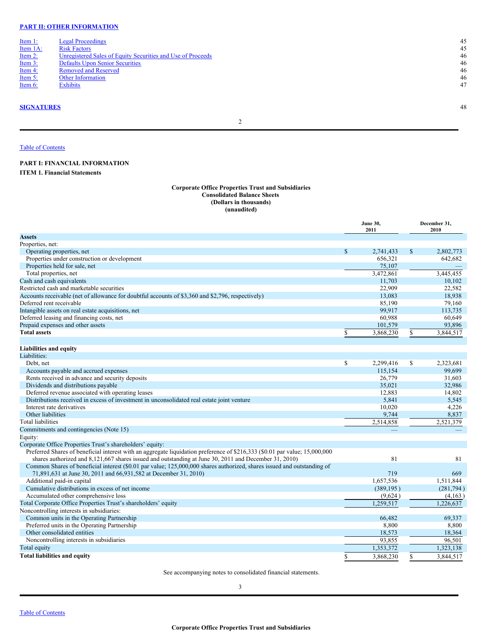# **PART II: OTHER [INFORMATION](#page-24-1)**

- [Item](#page-24-2) 1: Legal [Proceedings](#page-24-2) 45
- **[Item](#page-24-3) 1A:** Risk [Factors](#page-24-3) 45
- [Item](#page-24-4) 2: [Unregistered](#page-24-4) Sales of Equity Securities and Use of Proceeds 46 [Item](#page-25-0) 3: Defaults Upon Senior [Securities](#page-25-0) 46 Fraction 1. The Contract Contract Contract Contract Contract Contract Contract Contract Contract Contract Contract Contract Contract Contract Contract Contract Contract Contract Contract Contract Contract Contract Contract
- 
- [Item](#page-25-2) 5: Other [Information](#page-25-2) 46
- $I$ tem 6: [Exhibits](#page-25-3)  $47$

#### **[SIGNATURES](#page-25-4)** 48

<span id="page-1-2"></span>2

# Table of [Contents](#page-0-0)

# **PART I: FINANCIAL INFORMATION**

**ITEM 1. Financial Statements**

# <span id="page-1-1"></span><span id="page-1-0"></span>**Corporate Office Properties Trust and Subsidiaries Consolidated Balance Sheets (Dollars in thousands) (unaudited)**

|                                                                                                                             |             | 2011       |      | 2010      |
|-----------------------------------------------------------------------------------------------------------------------------|-------------|------------|------|-----------|
| <b>Assets</b>                                                                                                               |             |            |      |           |
| Properties, net:                                                                                                            |             |            |      |           |
| Operating properties, net                                                                                                   | $\mathbf S$ | 2,741,433  | $\$$ | 2,802,773 |
| Properties under construction or development                                                                                |             | 656,321    |      | 642,682   |
| Properties held for sale, net                                                                                               |             | 75,107     |      |           |
| Total properties, net                                                                                                       |             | 3,472,861  |      | 3,445,455 |
| Cash and cash equivalents                                                                                                   |             | 11,703     |      | 10,102    |
| Restricted cash and marketable securities                                                                                   |             | 22,909     |      | 22,582    |
| Accounts receivable (net of allowance for doubtful accounts of \$3,360 and \$2,796, respectively)                           |             | 13,083     |      | 18,938    |
| Deferred rent receivable                                                                                                    |             | 85,190     |      | 79,160    |
| Intangible assets on real estate acquisitions, net                                                                          |             | 99,917     |      | 113,735   |
| Deferred leasing and financing costs, net                                                                                   |             | 60,988     |      | 60,649    |
| Prepaid expenses and other assets                                                                                           |             | 101,579    |      | 93,896    |
| <b>Total assets</b>                                                                                                         | \$          | 3,868,230  | \$   | 3,844,517 |
|                                                                                                                             |             |            |      |           |
| <b>Liabilities and equity</b>                                                                                               |             |            |      |           |
| Liabilities:                                                                                                                |             |            |      |           |
| Debt. net                                                                                                                   | \$          | 2,299,416  | \$   | 2,323,681 |
| Accounts payable and accrued expenses                                                                                       |             | 115,154    |      | 99,699    |
| Rents received in advance and security deposits                                                                             |             | 26,779     |      | 31,603    |
| Dividends and distributions payable                                                                                         |             | 35,021     |      | 32,986    |
| Deferred revenue associated with operating leases                                                                           |             | 12,883     |      | 14,802    |
| Distributions received in excess of investment in unconsolidated real estate joint venture                                  |             | 5,841      |      | 5,545     |
| Interest rate derivatives                                                                                                   |             | 10,020     |      | 4,226     |
| Other liabilities                                                                                                           |             | 9,744      |      | 8,837     |
| Total liabilities                                                                                                           |             | 2,514,858  |      | 2,521,379 |
| Commitments and contingencies (Note 15)                                                                                     |             |            |      |           |
| Equity:                                                                                                                     |             |            |      |           |
| Corporate Office Properties Trust's shareholders' equity:                                                                   |             |            |      |           |
| Preferred Shares of beneficial interest with an aggregate liquidation preference of \$216,333 (\$0.01 par value; 15,000,000 |             |            |      |           |
| shares authorized and 8,121,667 shares issued and outstanding at June 30, 2011 and December 31, 2010)                       |             | 81         |      | 81        |
| Common Shares of beneficial interest (\$0.01 par value; 125,000,000 shares authorized, shares issued and outstanding of     |             |            |      |           |
| 71,891,631 at June 30, 2011 and 66,931,582 at December 31, 2010)                                                            |             | 719        |      | 669       |
| Additional paid-in capital                                                                                                  |             | 1,657,536  |      | 1,511,844 |
| Cumulative distributions in excess of net income                                                                            |             | (389, 195) |      | (281,794) |
| Accumulated other comprehensive loss                                                                                        |             | (9,624)    |      | (4,163)   |
| Total Corporate Office Properties Trust's shareholders' equity                                                              |             | 1.259.517  |      | 1,226,637 |
| Noncontrolling interests in subsidiaries:                                                                                   |             |            |      |           |
| Common units in the Operating Partnership                                                                                   |             | 66,482     |      | 69,337    |
| Preferred units in the Operating Partnership                                                                                |             | 8,800      |      | 8,800     |
| Other consolidated entities                                                                                                 |             | 18,573     |      | 18,364    |
| Noncontrolling interests in subsidiaries                                                                                    |             | 93,855     |      | 96,501    |
| Total equity                                                                                                                |             | 1,353,372  |      | 1,323,138 |
| <b>Total liabilities and equity</b>                                                                                         | \$          | 3,868,230  | \$   | 3,844,517 |
|                                                                                                                             |             |            |      |           |

See accompanying notes to consolidated financial statements.

**June 30, December 31,**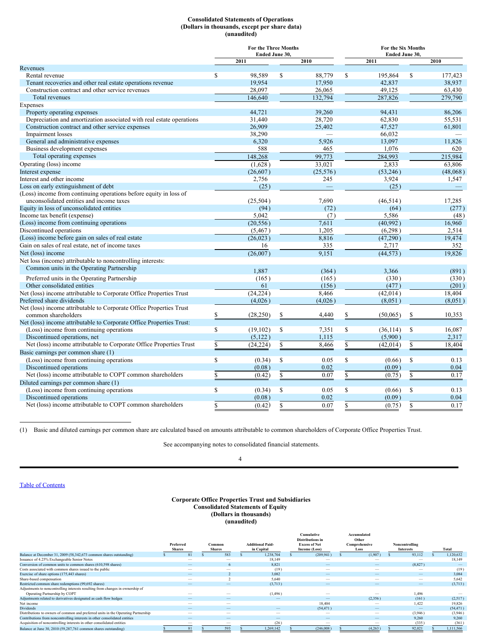# <span id="page-2-0"></span>**Consolidated Statements of Operations (Dollars in thousands, except per share data) (unaudited)**

|                                                                      |             | <b>For the Three Months</b><br>Ended June 30, |               |                          |              | For the Six Months<br>Ended June 30, |               |          |
|----------------------------------------------------------------------|-------------|-----------------------------------------------|---------------|--------------------------|--------------|--------------------------------------|---------------|----------|
|                                                                      |             | 2011                                          |               | 2010                     |              | 2011                                 |               | 2010     |
| Revenues                                                             |             |                                               |               |                          |              |                                      |               |          |
| Rental revenue                                                       | $\mathbf S$ | 98,589                                        | $\mathbb{S}$  | 88,779                   | \$           | 195,864                              | $\mathbb{S}$  | 177,423  |
| Tenant recoveries and other real estate operations revenue           |             | 19,954                                        |               | 17,950                   |              | 42,837                               |               | 38,937   |
| Construction contract and other service revenues                     |             | 28,097                                        |               | 26,065                   |              | 49,125                               |               | 63,430   |
| <b>Total revenues</b>                                                |             | 146,640                                       |               | 132,794                  |              | 287,826                              |               | 279,790  |
| <b>Expenses</b>                                                      |             |                                               |               |                          |              |                                      |               |          |
| Property operating expenses                                          |             | 44.721                                        |               | 39.260                   |              | 94.431                               |               | 86.206   |
| Depreciation and amortization associated with real estate operations |             | 31.440                                        |               | 28.720                   |              | 62.830                               |               | 55,531   |
| Construction contract and other service expenses                     |             | 26,909                                        |               | 25,402                   |              | 47,527                               |               | 61,801   |
| Impairment losses                                                    |             | 38,290                                        |               | $\overline{\phantom{0}}$ |              | 66,032                               |               |          |
| General and administrative expenses                                  |             | 6,320                                         |               | 5,926                    |              | 13,097                               |               | 11,826   |
| Business development expenses                                        |             | 588                                           |               | 465                      |              | 1,076                                |               | 620      |
| Total operating expenses                                             |             | 148,268                                       |               | 99,773                   |              | 284,993                              |               | 215,984  |
| Operating (loss) income                                              |             | (1,628)                                       |               | 33.021                   |              | 2.833                                |               | 63.806   |
| Interest expense                                                     |             | (26,607)                                      |               | (25,576)                 |              | (53,246)                             |               | (48,068) |
| Interest and other income                                            |             | 2,756                                         |               | 245                      |              | 3,924                                |               | 1,547    |
| Loss on early extinguishment of debt                                 |             | (25)                                          |               |                          |              | (25)                                 |               |          |
| (Loss) income from continuing operations before equity in loss of    |             |                                               |               |                          |              |                                      |               |          |
| unconsolidated entities and income taxes                             |             | (25, 504)                                     |               | 7.690                    |              | (46, 514)                            |               | 17,285   |
| Equity in loss of unconsolidated entities                            |             | (94)                                          |               | (72)                     |              | (64)                                 |               | (277)    |
| Income tax benefit (expense)                                         |             | 5,042                                         |               | (7)                      |              | 5,586                                |               | (48)     |
| (Loss) income from continuing operations                             |             | (20.556)                                      |               | 7,611                    |              | (40.992)                             |               | 16.960   |
| Discontinued operations                                              |             | (5, 467)                                      |               | 1,205                    |              | (6,298)                              |               | 2,514    |
| (Loss) income before gain on sales of real estate                    |             | (26.023)                                      |               | 8.816                    |              | (47, 290)                            |               | 19.474   |
| Gain on sales of real estate, net of income taxes                    |             | 16                                            |               | 335                      |              | 2,717                                |               | 352      |
| Net (loss) income                                                    |             | (26,007)                                      |               | 9.151                    |              | (44, 573)                            |               | 19.826   |
| Net loss (income) attributable to noncontrolling interests:          |             |                                               |               |                          |              |                                      |               |          |
| Common units in the Operating Partnership                            |             | 1,887                                         |               | (364)                    |              | 3,366                                |               | (891)    |
| Preferred units in the Operating Partnership                         |             | (165)                                         |               | (165)                    |              | (330)                                |               | (330)    |
| Other consolidated entities                                          |             | 61                                            |               | (156)                    |              | (477)                                |               | (201)    |
| Net (loss) income attributable to Corporate Office Properties Trust  |             | (24.224)                                      |               | 8.466                    |              | (42, 014)                            |               | 18.404   |
| Preferred share dividends                                            |             | (4,026)                                       |               | (4,026)                  |              | (8,051)                              |               | (8,051)  |
| Net (loss) income attributable to Corporate Office Properties Trust  |             |                                               |               |                          |              |                                      |               |          |
| common shareholders                                                  | \$          | (28, 250)                                     | S             | 4,440                    | \$           | (50,065)                             | S             | 10,353   |
| Net (loss) income attributable to Corporate Office Properties Trust: |             |                                               |               |                          |              |                                      |               |          |
| (Loss) income from continuing operations                             | \$          | (19, 102)                                     | <sup>\$</sup> | 7,351                    | \$           | (36, 114)                            | <sup>\$</sup> | 16,087   |
| Discontinued operations, net                                         |             | (5,122)                                       |               | 1,115                    |              | (5,900)                              |               | 2,317    |
| Net (loss) income attributable to Corporate Office Properties Trust  | $\mathbf S$ | (24, 224)                                     | \$            | 8,466                    | $\mathbf S$  | (42, 014)                            | $\mathbf S$   | 18,404   |
| Basic earnings per common share (1)                                  |             |                                               |               |                          |              |                                      |               |          |
| (Loss) income from continuing operations                             | \$          | (0.34)                                        | $\mathbb{S}$  | 0.05                     | \$           | (0.66)                               | $\mathcal{S}$ | 0.13     |
| Discontinued operations                                              |             | (0.08)                                        |               | 0.02                     |              | (0.09)                               |               | 0.04     |
| Net (loss) income attributable to COPT common shareholders           | S           | (0.42)                                        | S             | 0.07                     | $\mathbb{S}$ | (0.75)                               | $\mathbf S$   | 0.17     |
| Diluted earnings per common share (1)                                |             |                                               |               |                          |              |                                      |               |          |
| (Loss) income from continuing operations                             | $\mathbf S$ | (0.34)                                        | S             | 0.05                     | \$           | (0.66)                               | \$            | 0.13     |
| Discontinued operations                                              |             | (0.08)                                        |               | 0.02                     |              | (0.09)                               |               | 0.04     |
| Net (loss) income attributable to COPT common shareholders           | $\mathbf S$ | (0.42)                                        | $\mathbf S$   | 0.07                     | $\mathbf S$  | (0.75)                               | \$            | 0.17     |
|                                                                      |             |                                               |               |                          |              |                                      |               |          |

(1) Basic and diluted earnings per common share are calculated based on amounts attributable to common shareholders of Corporate Office Properties Trust.

See accompanying notes to consolidated financial statements.

4

Table of [Contents](#page-0-0)

# **Corporate Office Properties Trust and Subsidiaries Consolidated Statements of Equity (Dollars in thousands)**

<span id="page-2-1"></span>**(unaudited)**

|                                                                                                                 | Preferred<br><b>Shares</b> |                          | Common<br><b>Shares</b>  | <b>Additional Paid-</b><br>in Capital | Cumulative<br><b>Distributions</b> in<br><b>Excess of Net</b><br>Income (Loss) | Accumulated<br>Other<br>Comprehensive<br>Loss | Noncontrolling<br><b>Interests</b> | Total     |
|-----------------------------------------------------------------------------------------------------------------|----------------------------|--------------------------|--------------------------|---------------------------------------|--------------------------------------------------------------------------------|-----------------------------------------------|------------------------------------|-----------|
| Balance at December 31, 2009 (58,342,673 common shares outstanding)                                             |                            | 81                       | 583                      | 1.238.704                             | (209, 941)                                                                     | (1,907)                                       | 93.112                             | 1,120,632 |
| Issuance of 4.25% Exchangeable Senior Notes                                                                     |                            | $\overline{\phantom{a}}$ | $\overline{\phantom{a}}$ | 18.149                                | $\overline{\phantom{a}}$                                                       | $-$                                           | $\sim$                             | 18.149    |
| Conversion of common units to common shares (610,598 shares)                                                    |                            | -                        |                          | 8.821                                 | $-$                                                                            | $-$                                           | (8,827)                            |           |
| Costs associated with common shares issued to the public                                                        |                            | -                        | $\overline{\phantom{a}}$ | (19)                                  | $\overline{\phantom{a}}$                                                       | $-$                                           | $\sim$                             | (19)      |
| Exercise of share options (175,443 shares)                                                                      |                            | $\overline{\phantom{a}}$ |                          | 3.082                                 | $-$                                                                            |                                               | $\qquad \qquad$                    | 3.084     |
| Share-based compensation                                                                                        |                            | $\overline{\phantom{a}}$ |                          | 5,640                                 | $\overline{\phantom{a}}$                                                       | $\overline{\phantom{a}}$                      | $\sim$                             | 5,642     |
| Restricted common share redemptions (99,692 shares)                                                             |                            | $\overline{\phantom{a}}$ |                          | (3,713)                               | $-$                                                                            | $-$                                           | $\qquad \qquad$                    | (3,713)   |
| Adjustments to noncontrolling interests resulting from changes in ownership of<br>Operating Partnership by COPT |                            | -                        | -                        | (1, 496)                              | $\overline{\phantom{a}}$                                                       | $\overline{\phantom{a}}$                      | 1.496                              |           |
| Adjustments related to derivatives designated as cash flow hedges                                               |                            | $\overline{\phantom{a}}$ | $\overline{\phantom{a}}$ | $\overline{\phantom{a}}$              | $\overline{\phantom{a}}$                                                       | (2,356)                                       | (161)                              | (2,517)   |
| Net income                                                                                                      |                            | $\overline{\phantom{a}}$ | $\overline{\phantom{a}}$ |                                       | 18,404                                                                         | $\overline{\phantom{a}}$                      | 1.422                              | 19.826    |
| <b>Dividends</b>                                                                                                |                            | $\overline{\phantom{a}}$ | $-$                      | $-$                                   | (54, 471)                                                                      | $\overline{\phantom{a}}$                      | $\overline{\phantom{a}}$           | (54, 471) |
| Distributions to owners of common and preferred units in the Operating Partnership                              |                            | -                        | -                        | $\overline{\phantom{a}}$              | $\overline{\phantom{a}}$                                                       | $\overline{\phantom{a}}$                      | (3,946)                            | (3,946)   |
| Contributions from noncontrolling interests in other consolidated entities                                      |                            | -                        | $-$                      | $-$                                   | $-$                                                                            | $-$                                           | 9.260                              | 9.260     |
| Acquisition of noncontrolling interests in other consolidated entities                                          |                            | $\overline{\phantom{a}}$ | $\overline{\phantom{a}}$ | (26)                                  | $\overline{\phantom{a}}$                                                       | $\overline{\phantom{a}}$                      | (335)                              | (361)     |
| Balance at June 30, 2010 (59,287,761 common shares outstanding)                                                 |                            |                          | 593                      | ,269,142                              | (246,008)                                                                      | (4,263)                                       | 92,021                             | 1,111,566 |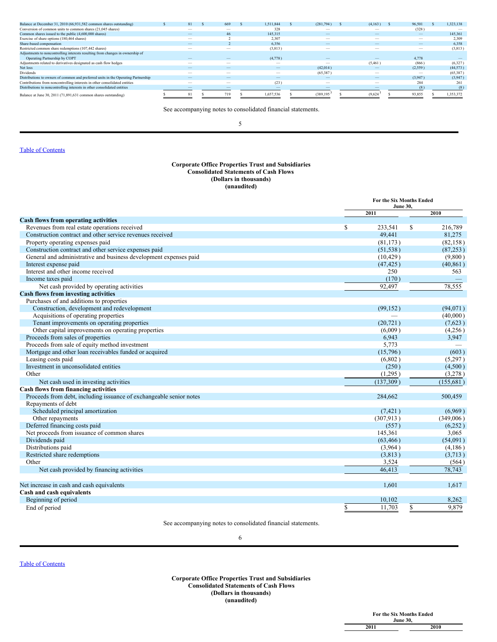| Balance at December 31, 2010 (66,931,582 common shares outstanding)                | 81                       | 669                      | 1.511.844                | (281,794)                | (4,163)                  | 96,501                   | 1.323.138 |
|------------------------------------------------------------------------------------|--------------------------|--------------------------|--------------------------|--------------------------|--------------------------|--------------------------|-----------|
| Conversion of common units to common shares (21,045 shares)                        | $\sim$                   | $\overline{\phantom{a}}$ | 328                      | $\overline{\phantom{a}}$ | $\overline{\phantom{a}}$ | (328)                    | $\sim$    |
| Common shares issued to the public (4,600,000 shares)                              | -                        | 46                       | 145.315                  | $-$                      | $-$                      | $\qquad \qquad$          | 145.361   |
| Exercise of share options (180,464 shares)                                         | $\sim$                   |                          | 2.307                    | $\overline{\phantom{a}}$ | $\overline{\phantom{a}}$ | $\overline{\phantom{a}}$ | 2.309     |
| Share-based compensation                                                           | $\overline{\phantom{a}}$ |                          | 6.356                    | $\overline{\phantom{a}}$ | $-$                      | $\qquad \qquad$          | 6.358     |
| Restricted common share redemptions (107,442 shares)                               | $\sim$                   |                          | (3,813)                  | $\overline{\phantom{a}}$ | $\overline{\phantom{a}}$ | $\sim$                   | (3,813)   |
| Adjustments to noncontrolling interests resulting from changes in ownership of     |                          |                          |                          |                          |                          |                          |           |
| Operating Partnership by COPT                                                      |                          | $\overline{\phantom{a}}$ | (4,778)                  | $-$                      | $\overline{\phantom{a}}$ | 4.778                    |           |
| Adjustments related to derivatives designated as cash flow hedges                  | $\sim$                   | $\overline{\phantom{a}}$ | $\overline{\phantom{a}}$ | $\overline{\phantom{a}}$ | (5, 461)                 | (866)                    | (6,327)   |
| Net loss                                                                           |                          |                          | $\overline{\phantom{a}}$ | (42.014)                 | $\overline{\phantom{a}}$ | (2,559)                  | (44, 573) |
| Dividends                                                                          |                          | -                        | $\overline{\phantom{a}}$ | (65,387)                 | $\overline{\phantom{a}}$ | $\overline{\phantom{a}}$ | (65, 387) |
| Distributions to owners of common and preferred units in the Operating Partnership |                          | $-$                      | $\overline{\phantom{a}}$ | $\qquad \qquad$          | $-$                      | (3.947)                  | (3,947)   |
| Contributions from noncontrolling interests in other consolidated entities         | $\sim$                   | -                        | (23)                     | $\overline{\phantom{a}}$ | $\overline{\phantom{a}}$ | 284                      | 261       |
| Distributions to noncontrolling interests in other consolidated entities           |                          |                          |                          |                          |                          | (8)                      | (8)       |
| Balance at June 30, 2011 (71.891.631 common shares outstanding)                    | $8^{\circ}$              | 719                      | 1.657.536                | (389.195                 | (9.624)                  | 93.855                   | 1.353.372 |

See accompanying notes to consolidated financial statements.

<span id="page-3-0"></span>5

Table of [Contents](#page-0-0)

# **Corporate Office Properties Trust and Subsidiaries Consolidated Statements of Cash Flows (Dollars in thousands) (unaudited)**

| 2011<br>2010<br>Revenues from real estate operations received<br>$\mathbb{S}$<br>216,789<br>233,541<br>\$<br>Construction contract and other service revenues received<br>49.441<br>81,275<br>Property operating expenses paid<br>(81, 173)<br>(82, 158)<br>Construction contract and other service expenses paid<br>(51, 538)<br>(87, 253)<br>General and administrative and business development expenses paid<br>(10, 429)<br>(9,800)<br>Interest expense paid<br>(47, 425)<br>(40, 861)<br>Interest and other income received<br>250<br>563<br>Income taxes paid<br>(170)<br>78,555<br>Net cash provided by operating activities<br>92,497<br>Purchases of and additions to properties<br>Construction, development and redevelopment<br>(94,071)<br>(99, 152)<br>Acquisitions of operating properties<br>(40,000)<br>Tenant improvements on operating properties<br>(20, 721)<br>(7,623)<br>Other capital improvements on operating properties<br>(6,009)<br>(4,256)<br>Proceeds from sales of properties<br>6,943<br>3,947<br>Proceeds from sale of equity method investment<br>5,773<br>Mortgage and other loan receivables funded or acquired<br>(15,796)<br>(603)<br>Leasing costs paid<br>(6,802)<br>(5,297)<br>Investment in unconsolidated entities<br>(250)<br>(4,500)<br>Other<br>(1,295)<br>(3,278)<br>Net cash used in investing activities<br>(137,309)<br>(155,681)<br>Cash flows from financing activities<br>Proceeds from debt, including issuance of exchangeable senior notes<br>284,662<br>500,459<br>Repayments of debt<br>Scheduled principal amortization<br>(7, 421)<br>(6,969)<br>Other repayments<br>(307, 913)<br>(349,006)<br>Deferred financing costs paid<br>(6,252)<br>(557)<br>Net proceeds from issuance of common shares<br>145,361<br>3,065<br>Dividends paid<br>(63, 466)<br>(54,091)<br>Distributions paid<br>(3,964)<br>(4,186)<br>Restricted share redemptions<br>(3,813)<br>(3,713)<br>Other<br>3,524<br>(564)<br>46,413<br>78,743<br>Net cash provided by financing activities<br>Net increase in cash and cash equivalents<br>1.601<br>1.617<br>Cash and cash equivalents<br>Beginning of period<br>10,102<br>8,262 |                                             |   | For the Six Months Ended<br><b>June 30.</b> |       |  |
|-------------------------------------------------------------------------------------------------------------------------------------------------------------------------------------------------------------------------------------------------------------------------------------------------------------------------------------------------------------------------------------------------------------------------------------------------------------------------------------------------------------------------------------------------------------------------------------------------------------------------------------------------------------------------------------------------------------------------------------------------------------------------------------------------------------------------------------------------------------------------------------------------------------------------------------------------------------------------------------------------------------------------------------------------------------------------------------------------------------------------------------------------------------------------------------------------------------------------------------------------------------------------------------------------------------------------------------------------------------------------------------------------------------------------------------------------------------------------------------------------------------------------------------------------------------------------------------------------------------------------------------------------------------------------------------------------------------------------------------------------------------------------------------------------------------------------------------------------------------------------------------------------------------------------------------------------------------------------------------------------------------------------------------------------------------------------------------------------------------------------------------------------------------------|---------------------------------------------|---|---------------------------------------------|-------|--|
|                                                                                                                                                                                                                                                                                                                                                                                                                                                                                                                                                                                                                                                                                                                                                                                                                                                                                                                                                                                                                                                                                                                                                                                                                                                                                                                                                                                                                                                                                                                                                                                                                                                                                                                                                                                                                                                                                                                                                                                                                                                                                                                                                                   |                                             |   |                                             |       |  |
|                                                                                                                                                                                                                                                                                                                                                                                                                                                                                                                                                                                                                                                                                                                                                                                                                                                                                                                                                                                                                                                                                                                                                                                                                                                                                                                                                                                                                                                                                                                                                                                                                                                                                                                                                                                                                                                                                                                                                                                                                                                                                                                                                                   | <b>Cash flows from operating activities</b> |   |                                             |       |  |
|                                                                                                                                                                                                                                                                                                                                                                                                                                                                                                                                                                                                                                                                                                                                                                                                                                                                                                                                                                                                                                                                                                                                                                                                                                                                                                                                                                                                                                                                                                                                                                                                                                                                                                                                                                                                                                                                                                                                                                                                                                                                                                                                                                   |                                             |   |                                             |       |  |
|                                                                                                                                                                                                                                                                                                                                                                                                                                                                                                                                                                                                                                                                                                                                                                                                                                                                                                                                                                                                                                                                                                                                                                                                                                                                                                                                                                                                                                                                                                                                                                                                                                                                                                                                                                                                                                                                                                                                                                                                                                                                                                                                                                   |                                             |   |                                             |       |  |
|                                                                                                                                                                                                                                                                                                                                                                                                                                                                                                                                                                                                                                                                                                                                                                                                                                                                                                                                                                                                                                                                                                                                                                                                                                                                                                                                                                                                                                                                                                                                                                                                                                                                                                                                                                                                                                                                                                                                                                                                                                                                                                                                                                   |                                             |   |                                             |       |  |
|                                                                                                                                                                                                                                                                                                                                                                                                                                                                                                                                                                                                                                                                                                                                                                                                                                                                                                                                                                                                                                                                                                                                                                                                                                                                                                                                                                                                                                                                                                                                                                                                                                                                                                                                                                                                                                                                                                                                                                                                                                                                                                                                                                   |                                             |   |                                             |       |  |
|                                                                                                                                                                                                                                                                                                                                                                                                                                                                                                                                                                                                                                                                                                                                                                                                                                                                                                                                                                                                                                                                                                                                                                                                                                                                                                                                                                                                                                                                                                                                                                                                                                                                                                                                                                                                                                                                                                                                                                                                                                                                                                                                                                   |                                             |   |                                             |       |  |
|                                                                                                                                                                                                                                                                                                                                                                                                                                                                                                                                                                                                                                                                                                                                                                                                                                                                                                                                                                                                                                                                                                                                                                                                                                                                                                                                                                                                                                                                                                                                                                                                                                                                                                                                                                                                                                                                                                                                                                                                                                                                                                                                                                   |                                             |   |                                             |       |  |
|                                                                                                                                                                                                                                                                                                                                                                                                                                                                                                                                                                                                                                                                                                                                                                                                                                                                                                                                                                                                                                                                                                                                                                                                                                                                                                                                                                                                                                                                                                                                                                                                                                                                                                                                                                                                                                                                                                                                                                                                                                                                                                                                                                   |                                             |   |                                             |       |  |
|                                                                                                                                                                                                                                                                                                                                                                                                                                                                                                                                                                                                                                                                                                                                                                                                                                                                                                                                                                                                                                                                                                                                                                                                                                                                                                                                                                                                                                                                                                                                                                                                                                                                                                                                                                                                                                                                                                                                                                                                                                                                                                                                                                   |                                             |   |                                             |       |  |
|                                                                                                                                                                                                                                                                                                                                                                                                                                                                                                                                                                                                                                                                                                                                                                                                                                                                                                                                                                                                                                                                                                                                                                                                                                                                                                                                                                                                                                                                                                                                                                                                                                                                                                                                                                                                                                                                                                                                                                                                                                                                                                                                                                   |                                             |   |                                             |       |  |
|                                                                                                                                                                                                                                                                                                                                                                                                                                                                                                                                                                                                                                                                                                                                                                                                                                                                                                                                                                                                                                                                                                                                                                                                                                                                                                                                                                                                                                                                                                                                                                                                                                                                                                                                                                                                                                                                                                                                                                                                                                                                                                                                                                   | <b>Cash flows from investing activities</b> |   |                                             |       |  |
|                                                                                                                                                                                                                                                                                                                                                                                                                                                                                                                                                                                                                                                                                                                                                                                                                                                                                                                                                                                                                                                                                                                                                                                                                                                                                                                                                                                                                                                                                                                                                                                                                                                                                                                                                                                                                                                                                                                                                                                                                                                                                                                                                                   |                                             |   |                                             |       |  |
|                                                                                                                                                                                                                                                                                                                                                                                                                                                                                                                                                                                                                                                                                                                                                                                                                                                                                                                                                                                                                                                                                                                                                                                                                                                                                                                                                                                                                                                                                                                                                                                                                                                                                                                                                                                                                                                                                                                                                                                                                                                                                                                                                                   |                                             |   |                                             |       |  |
|                                                                                                                                                                                                                                                                                                                                                                                                                                                                                                                                                                                                                                                                                                                                                                                                                                                                                                                                                                                                                                                                                                                                                                                                                                                                                                                                                                                                                                                                                                                                                                                                                                                                                                                                                                                                                                                                                                                                                                                                                                                                                                                                                                   |                                             |   |                                             |       |  |
|                                                                                                                                                                                                                                                                                                                                                                                                                                                                                                                                                                                                                                                                                                                                                                                                                                                                                                                                                                                                                                                                                                                                                                                                                                                                                                                                                                                                                                                                                                                                                                                                                                                                                                                                                                                                                                                                                                                                                                                                                                                                                                                                                                   |                                             |   |                                             |       |  |
|                                                                                                                                                                                                                                                                                                                                                                                                                                                                                                                                                                                                                                                                                                                                                                                                                                                                                                                                                                                                                                                                                                                                                                                                                                                                                                                                                                                                                                                                                                                                                                                                                                                                                                                                                                                                                                                                                                                                                                                                                                                                                                                                                                   |                                             |   |                                             |       |  |
|                                                                                                                                                                                                                                                                                                                                                                                                                                                                                                                                                                                                                                                                                                                                                                                                                                                                                                                                                                                                                                                                                                                                                                                                                                                                                                                                                                                                                                                                                                                                                                                                                                                                                                                                                                                                                                                                                                                                                                                                                                                                                                                                                                   |                                             |   |                                             |       |  |
|                                                                                                                                                                                                                                                                                                                                                                                                                                                                                                                                                                                                                                                                                                                                                                                                                                                                                                                                                                                                                                                                                                                                                                                                                                                                                                                                                                                                                                                                                                                                                                                                                                                                                                                                                                                                                                                                                                                                                                                                                                                                                                                                                                   |                                             |   |                                             |       |  |
|                                                                                                                                                                                                                                                                                                                                                                                                                                                                                                                                                                                                                                                                                                                                                                                                                                                                                                                                                                                                                                                                                                                                                                                                                                                                                                                                                                                                                                                                                                                                                                                                                                                                                                                                                                                                                                                                                                                                                                                                                                                                                                                                                                   |                                             |   |                                             |       |  |
|                                                                                                                                                                                                                                                                                                                                                                                                                                                                                                                                                                                                                                                                                                                                                                                                                                                                                                                                                                                                                                                                                                                                                                                                                                                                                                                                                                                                                                                                                                                                                                                                                                                                                                                                                                                                                                                                                                                                                                                                                                                                                                                                                                   |                                             |   |                                             |       |  |
|                                                                                                                                                                                                                                                                                                                                                                                                                                                                                                                                                                                                                                                                                                                                                                                                                                                                                                                                                                                                                                                                                                                                                                                                                                                                                                                                                                                                                                                                                                                                                                                                                                                                                                                                                                                                                                                                                                                                                                                                                                                                                                                                                                   |                                             |   |                                             |       |  |
|                                                                                                                                                                                                                                                                                                                                                                                                                                                                                                                                                                                                                                                                                                                                                                                                                                                                                                                                                                                                                                                                                                                                                                                                                                                                                                                                                                                                                                                                                                                                                                                                                                                                                                                                                                                                                                                                                                                                                                                                                                                                                                                                                                   |                                             |   |                                             |       |  |
|                                                                                                                                                                                                                                                                                                                                                                                                                                                                                                                                                                                                                                                                                                                                                                                                                                                                                                                                                                                                                                                                                                                                                                                                                                                                                                                                                                                                                                                                                                                                                                                                                                                                                                                                                                                                                                                                                                                                                                                                                                                                                                                                                                   |                                             |   |                                             |       |  |
|                                                                                                                                                                                                                                                                                                                                                                                                                                                                                                                                                                                                                                                                                                                                                                                                                                                                                                                                                                                                                                                                                                                                                                                                                                                                                                                                                                                                                                                                                                                                                                                                                                                                                                                                                                                                                                                                                                                                                                                                                                                                                                                                                                   |                                             |   |                                             |       |  |
|                                                                                                                                                                                                                                                                                                                                                                                                                                                                                                                                                                                                                                                                                                                                                                                                                                                                                                                                                                                                                                                                                                                                                                                                                                                                                                                                                                                                                                                                                                                                                                                                                                                                                                                                                                                                                                                                                                                                                                                                                                                                                                                                                                   |                                             |   |                                             |       |  |
|                                                                                                                                                                                                                                                                                                                                                                                                                                                                                                                                                                                                                                                                                                                                                                                                                                                                                                                                                                                                                                                                                                                                                                                                                                                                                                                                                                                                                                                                                                                                                                                                                                                                                                                                                                                                                                                                                                                                                                                                                                                                                                                                                                   |                                             |   |                                             |       |  |
|                                                                                                                                                                                                                                                                                                                                                                                                                                                                                                                                                                                                                                                                                                                                                                                                                                                                                                                                                                                                                                                                                                                                                                                                                                                                                                                                                                                                                                                                                                                                                                                                                                                                                                                                                                                                                                                                                                                                                                                                                                                                                                                                                                   |                                             |   |                                             |       |  |
|                                                                                                                                                                                                                                                                                                                                                                                                                                                                                                                                                                                                                                                                                                                                                                                                                                                                                                                                                                                                                                                                                                                                                                                                                                                                                                                                                                                                                                                                                                                                                                                                                                                                                                                                                                                                                                                                                                                                                                                                                                                                                                                                                                   |                                             |   |                                             |       |  |
|                                                                                                                                                                                                                                                                                                                                                                                                                                                                                                                                                                                                                                                                                                                                                                                                                                                                                                                                                                                                                                                                                                                                                                                                                                                                                                                                                                                                                                                                                                                                                                                                                                                                                                                                                                                                                                                                                                                                                                                                                                                                                                                                                                   |                                             |   |                                             |       |  |
|                                                                                                                                                                                                                                                                                                                                                                                                                                                                                                                                                                                                                                                                                                                                                                                                                                                                                                                                                                                                                                                                                                                                                                                                                                                                                                                                                                                                                                                                                                                                                                                                                                                                                                                                                                                                                                                                                                                                                                                                                                                                                                                                                                   |                                             |   |                                             |       |  |
|                                                                                                                                                                                                                                                                                                                                                                                                                                                                                                                                                                                                                                                                                                                                                                                                                                                                                                                                                                                                                                                                                                                                                                                                                                                                                                                                                                                                                                                                                                                                                                                                                                                                                                                                                                                                                                                                                                                                                                                                                                                                                                                                                                   |                                             |   |                                             |       |  |
|                                                                                                                                                                                                                                                                                                                                                                                                                                                                                                                                                                                                                                                                                                                                                                                                                                                                                                                                                                                                                                                                                                                                                                                                                                                                                                                                                                                                                                                                                                                                                                                                                                                                                                                                                                                                                                                                                                                                                                                                                                                                                                                                                                   |                                             |   |                                             |       |  |
|                                                                                                                                                                                                                                                                                                                                                                                                                                                                                                                                                                                                                                                                                                                                                                                                                                                                                                                                                                                                                                                                                                                                                                                                                                                                                                                                                                                                                                                                                                                                                                                                                                                                                                                                                                                                                                                                                                                                                                                                                                                                                                                                                                   |                                             |   |                                             |       |  |
|                                                                                                                                                                                                                                                                                                                                                                                                                                                                                                                                                                                                                                                                                                                                                                                                                                                                                                                                                                                                                                                                                                                                                                                                                                                                                                                                                                                                                                                                                                                                                                                                                                                                                                                                                                                                                                                                                                                                                                                                                                                                                                                                                                   |                                             |   |                                             |       |  |
|                                                                                                                                                                                                                                                                                                                                                                                                                                                                                                                                                                                                                                                                                                                                                                                                                                                                                                                                                                                                                                                                                                                                                                                                                                                                                                                                                                                                                                                                                                                                                                                                                                                                                                                                                                                                                                                                                                                                                                                                                                                                                                                                                                   |                                             |   |                                             |       |  |
|                                                                                                                                                                                                                                                                                                                                                                                                                                                                                                                                                                                                                                                                                                                                                                                                                                                                                                                                                                                                                                                                                                                                                                                                                                                                                                                                                                                                                                                                                                                                                                                                                                                                                                                                                                                                                                                                                                                                                                                                                                                                                                                                                                   |                                             |   |                                             |       |  |
|                                                                                                                                                                                                                                                                                                                                                                                                                                                                                                                                                                                                                                                                                                                                                                                                                                                                                                                                                                                                                                                                                                                                                                                                                                                                                                                                                                                                                                                                                                                                                                                                                                                                                                                                                                                                                                                                                                                                                                                                                                                                                                                                                                   |                                             |   |                                             |       |  |
|                                                                                                                                                                                                                                                                                                                                                                                                                                                                                                                                                                                                                                                                                                                                                                                                                                                                                                                                                                                                                                                                                                                                                                                                                                                                                                                                                                                                                                                                                                                                                                                                                                                                                                                                                                                                                                                                                                                                                                                                                                                                                                                                                                   |                                             |   |                                             |       |  |
|                                                                                                                                                                                                                                                                                                                                                                                                                                                                                                                                                                                                                                                                                                                                                                                                                                                                                                                                                                                                                                                                                                                                                                                                                                                                                                                                                                                                                                                                                                                                                                                                                                                                                                                                                                                                                                                                                                                                                                                                                                                                                                                                                                   | End of period                               | S | \$<br>11.703                                | 9.879 |  |

See accompanying notes to consolidated financial statements. 6

Table of [Contents](#page-0-0)

**Corporate Office Properties Trust and Subsidiaries Consolidated Statements of Cash Flows (Dollars in thousands) (unaudited)**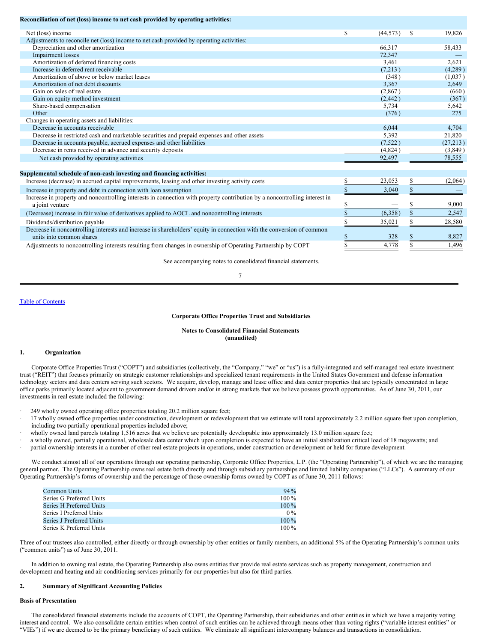| Reconciliation of net (loss) income to net cash provided by operating activities:                                          |   |           |               |           |
|----------------------------------------------------------------------------------------------------------------------------|---|-----------|---------------|-----------|
| Net (loss) income                                                                                                          | S | (44, 573) | <sup>\$</sup> | 19,826    |
| Adjustments to reconcile net (loss) income to net cash provided by operating activities:                                   |   |           |               |           |
| Depreciation and other amortization                                                                                        |   | 66,317    |               | 58,433    |
| <b>Impairment</b> losses                                                                                                   |   | 72,347    |               |           |
| Amortization of deferred financing costs                                                                                   |   | 3,461     |               | 2,621     |
| Increase in deferred rent receivable                                                                                       |   | (7,213)   |               | (4,289)   |
| Amortization of above or below market leases                                                                               |   | (348)     |               | (1,037)   |
| Amortization of net debt discounts                                                                                         |   | 3.367     |               | 2,649     |
| Gain on sales of real estate                                                                                               |   | (2,867)   |               | (660)     |
| Gain on equity method investment                                                                                           |   | (2, 442)  |               | (367)     |
| Share-based compensation                                                                                                   |   | 5,734     |               | 5,642     |
| Other                                                                                                                      |   | (376)     |               | 275       |
| Changes in operating assets and liabilities:                                                                               |   |           |               |           |
| Decrease in accounts receivable                                                                                            |   | 6,044     |               | 4,704     |
| Decrease in restricted cash and marketable securities and prepaid expenses and other assets                                |   | 5,392     |               | 21,820    |
| Decrease in accounts payable, accrued expenses and other liabilities                                                       |   | (7,522)   |               | (27, 213) |
| Decrease in rents received in advance and security deposits                                                                |   | (4,824)   |               | (3,849)   |
| Net cash provided by operating activities                                                                                  |   | 92,497    |               | 78,555    |
| Supplemental schedule of non-cash investing and financing activities:                                                      |   |           |               |           |
| Increase (decrease) in accrued capital improvements, leasing and other investing activity costs                            | S | 23,053    | \$            | (2,064)   |
| Increase in property and debt in connection with loan assumption                                                           | S | 3,040     | \$            |           |
| Increase in property and noncontrolling interests in connection with property contribution by a noncontrolling interest in |   |           |               |           |
| a joint venture                                                                                                            | S |           | \$            | 9,000     |
| (Decrease) increase in fair value of derivatives applied to AOCL and noncontrolling interests                              |   | (6,358)   | \$            | 2,547     |
| Dividends/distribution payable                                                                                             |   | 35,021    |               | 28,580    |
| Decrease in noncontrolling interests and increase in shareholders' equity in connection with the conversion of common      |   |           |               |           |
| units into common shares                                                                                                   |   | 328       |               | 8,827     |
| Adjustments to noncontrolling interests resulting from changes in ownership of Operating Partnership by COPT               |   | 4,778     |               | 1,496     |

See accompanying notes to consolidated financial statements. 7

Table of [Contents](#page-0-0)

### **Corporate Office Properties Trust and Subsidiaries**

#### <span id="page-4-0"></span>**Notes to Consolidated Financial Statements (unaudited)**

# **1. Organization**

Corporate Office Properties Trust ("COPT") and subsidiaries (collectively, the "Company," "we" or "us") is a fully-integrated and self-managed real estate investment trust ("REIT") that focuses primarily on strategic customer relationships and specialized tenant requirements in the United States Government and defense information technology sectors and data centers serving such sectors. We acquire, develop, manage and lease office and data center properties that are typically concentrated in large office parks primarily located adjacent to government demand drivers and/or in strong markets that we believe possess growth opportunities. As of June 30, 2011, our investments in real estate included the following:

- 249 wholly owned operating office properties totaling 20.2 million square feet;
- · 17 wholly owned office properties under construction, development or redevelopment that we estimate will total approximately 2.2 million square feet upon completion, including two partially operational properties included above;
- wholly owned land parcels totaling 1,516 acres that we believe are potentially developable into approximately 13.0 million square feet;
- a wholly owned, partially operational, wholesale data center which upon completion is expected to have an initial stabilization critical load of 18 megawatts; and
- · partial ownership interests in a number of other real estate projects in operations, under construction or development or held for future development.

We conduct almost all of our operations through our operating partnership, Corporate Office Properties, L.P. (the "Operating Partnership"), of which we are the managing general partner. The Operating Partnership owns real estate both directly and through subsidiary partnerships and limited liability companies ("LLCs"). A summary of our Operating Partnership's forms of ownership and the percentage of those ownership forms owned by COPT as of June 30, 2011 follows:

| Common Units             | $94\%$  |
|--------------------------|---------|
| Series G Preferred Units | $100\%$ |
| Series H Preferred Units | $100\%$ |
| Series I Preferred Units | $0\%$   |
| Series J Preferred Units | $100\%$ |
| Series K Preferred Units | $100\%$ |

Three of our trustees also controlled, either directly or through ownership by other entities or family members, an additional 5% of the Operating Partnership's common units ("common units") as of June 30, 2011.

In addition to owning real estate, the Operating Partnership also owns entities that provide real estate services such as property management, construction and development and heating and air conditioning services primarily for our properties but also for third parties.

#### **2. Summary of Significant Accounting Policies**

# **Basis of Presentation**

The consolidated financial statements include the accounts of COPT, the Operating Partnership, their subsidiaries and other entities in which we have a majority voting interest and control. We also consolidate certain entities when control of such entities can be achieved through means other than voting rights ("variable interest entities" or "VIEs") if we are deemed to be the primary beneficiary of such entities. We eliminate all significant intercompany balances and transactions in consolidation.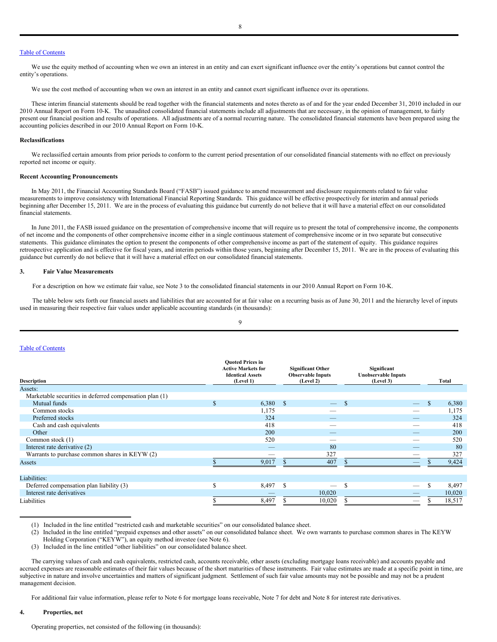## Table of [Contents](#page-0-0)

We use the equity method of accounting when we own an interest in an entity and can exert significant influence over the entity's operations but cannot control the entity's operations.

We use the cost method of accounting when we own an interest in an entity and cannot exert significant influence over its operations.

These interim financial statements should be read together with the financial statements and notes thereto as of and for the year ended December 31, 2010 included in our 2010 Annual Report on Form 10-K. The unaudited consolidated financial statements include all adjustments that are necessary, in the opinion of management, to fairly present our financial position and results of operations. All adjustments are of a normal recurring nature. The consolidated financial statements have been prepared using the accounting policies described in our 2010 Annual Report on Form 10-K.

#### **Reclassifications**

We reclassified certain amounts from prior periods to conform to the current period presentation of our consolidated financial statements with no effect on previously reported net income or equity.

#### **Recent Accounting Pronouncements**

In May 2011, the Financial Accounting Standards Board ("FASB") issued guidance to amend measurement and disclosure requirements related to fair value measurements to improve consistency with International Financial Reporting Standards. This guidance will be effective prospectively for interim and annual periods beginning after December 15, 2011. We are in the process of evaluating this guidance but currently do not believe that it will have a material effect on our consolidated financial statements.

In June 2011, the FASB issued guidance on the presentation of comprehensive income that will require us to present the total of comprehensive income, the components of net income and the components of other comprehensive income either in a single continuous statement of comprehensive income or in two separate but consecutive statements. This guidance eliminates the option to present the components of other comprehensive income as part of the statement of equity. This guidance requires retrospective application and is effective for fiscal years, and interim periods within those years, beginning after December 15, 2011. We are in the process of evaluating this guidance but currently do not believe that it will have a material effect on our consolidated financial statements.

### **3. Fair Value Measurements**

For a description on how we estimate fair value, see Note 3 to the consolidated financial statements in our 2010 Annual Report on Form 10-K.

The table below sets forth our financial assets and liabilities that are accounted for at fair value on a recurring basis as of June 30, 2011 and the hierarchy level of inputs used in measuring their respective fair values under applicable accounting standards (in thousands):

9

#### Table of [Contents](#page-0-0)

| Description                                             |     | <b>Ouoted Prices in</b><br><b>Active Markets for</b><br><b>Identical Assets</b><br>(Level 1) | <b>Significant Other</b><br><b>Observable Inputs</b><br>(Level 2) |                          | Significant<br><b>Unobservable Inputs</b><br>(Level 3) |  |                          |               | <b>Total</b> |
|---------------------------------------------------------|-----|----------------------------------------------------------------------------------------------|-------------------------------------------------------------------|--------------------------|--------------------------------------------------------|--|--------------------------|---------------|--------------|
| Assets:                                                 |     |                                                                                              |                                                                   |                          |                                                        |  |                          |               |              |
| Marketable securities in deferred compensation plan (1) |     |                                                                                              |                                                                   |                          |                                                        |  |                          |               |              |
| Mutual funds                                            | S   | 6,380                                                                                        | <sup>\$</sup>                                                     | $\overline{\phantom{m}}$ | $\mathbf{s}$                                           |  | $\overline{\phantom{0}}$ | <sup>\$</sup> | 6,380        |
| Common stocks                                           |     | 1,175                                                                                        |                                                                   | -                        |                                                        |  |                          |               | 1,175        |
| Preferred stocks                                        |     | 324                                                                                          |                                                                   | _                        |                                                        |  |                          |               | 324          |
| Cash and cash equivalents                               |     | 418                                                                                          |                                                                   | _                        |                                                        |  |                          |               | 418          |
| Other                                                   |     | 200                                                                                          |                                                                   |                          |                                                        |  |                          |               | 200          |
| Common stock (1)                                        |     | 520                                                                                          |                                                                   | _                        |                                                        |  |                          |               | 520          |
| Interest rate derivative (2)                            |     | _                                                                                            |                                                                   | 80                       |                                                        |  | _                        |               | 80           |
| Warrants to purchase common shares in KEYW (2)          |     |                                                                                              |                                                                   | 327                      |                                                        |  |                          |               | 327          |
| Assets                                                  |     | 9,017                                                                                        |                                                                   | 407                      |                                                        |  |                          |               | 9,424        |
|                                                         |     |                                                                                              |                                                                   |                          |                                                        |  |                          |               |              |
| Liabilities:                                            |     |                                                                                              |                                                                   |                          |                                                        |  |                          |               |              |
| Deferred compensation plan liability (3)                | \$. | 8,497                                                                                        | \$.                                                               | -                        | S                                                      |  |                          | S             | 8,497        |
| Interest rate derivatives                               |     |                                                                                              |                                                                   | 10,020                   |                                                        |  |                          |               | 10,020       |
| Liabilities                                             |     | 8,497                                                                                        |                                                                   | 10,020                   |                                                        |  |                          |               | 18,517       |

(1) Included in the line entitled "restricted cash and marketable securities" on our consolidated balance sheet.

(2) Included in the line entitled "prepaid expenses and other assets" on our consolidated balance sheet. We own warrants to purchase common shares in The KEYW

Holding Corporation ("KEYW"), an equity method investee (see Note 6).

(3) Included in the line entitled "other liabilities" on our consolidated balance sheet.

The carrying values of cash and cash equivalents, restricted cash, accounts receivable, other assets (excluding mortgage loans receivable) and accounts payable and accrued expenses are reasonable estimates of their fair values because of the short maturities of these instruments. Fair value estimates are made at a specific point in time, are subjective in nature and involve uncertainties and matters of significant judgment. Settlement of such fair value amounts may not be possible and may not be a prudent management decision.

For additional fair value information, please refer to Note 6 for mortgage loans receivable, Note 7 for debt and Note 8 for interest rate derivatives.

#### **4. Properties, net**

Operating properties, net consisted of the following (in thousands):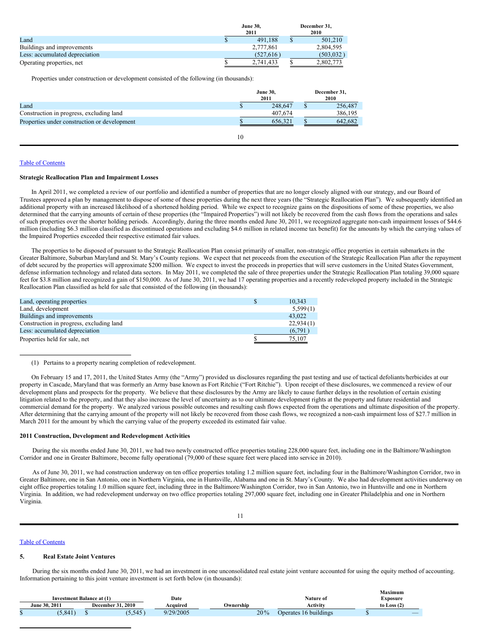|                                |  | <b>June 30.</b><br>2011 |           |  | December 31, |
|--------------------------------|--|-------------------------|-----------|--|--------------|
|                                |  |                         |           |  | 2010         |
| Land                           |  |                         | 491.188   |  | 501.210      |
| Buildings and improvements     |  |                         | 2.777.861 |  | 2,804,595    |
| Less: accumulated depreciation |  |                         | (527.616) |  | (503, 032)   |
| Operating properties, net      |  |                         | 2.741.433 |  | 2.802.773    |

Properties under construction or development consisted of the following (in thousands):

|                                              |    | <b>June 30,</b><br>2011 | December 31,<br>2010 |
|----------------------------------------------|----|-------------------------|----------------------|
| Land                                         | Ф  | 248,647                 | 256,487              |
| Construction in progress, excluding land     |    | 407.674                 | 386,195              |
| Properties under construction or development |    | 656.321                 | 642.682              |
|                                              | 10 |                         |                      |

#### Table of [Contents](#page-0-0)

# **Strategic Reallocation Plan and Impairment Losses**

In April 2011, we completed a review of our portfolio and identified a number of properties that are no longer closely aligned with our strategy, and our Board of Trustees approved a plan by management to dispose of some of these properties during the next three years (the "Strategic Reallocation Plan"). We subsequently identified an additional property with an increased likelihood of a shortened holding period. While we expect to recognize gains on the dispositions of some of these properties, we also determined that the carrying amounts of certain of these properties (the "Impaired Properties") will not likely be recovered from the cash flows from the operations and sales of such properties over the shorter holding periods. Accordingly, during the three months ended June 30, 2011, we recognized aggregate non-cash impairment losses of \$44.6 million (including \$6.3 million classified as discontinued operations and excluding \$4.6 million in related income tax benefit) for the amounts by which the carrying values of the Impaired Properties exceeded their respective estimated fair values.

The properties to be disposed of pursuant to the Strategic Reallocation Plan consist primarily of smaller, non-strategic office properties in certain submarkets in the Greater Baltimore, Suburban Maryland and St. Mary's County regions. We expect that net proceeds from the execution of the Strategic Reallocation Plan after the repayment of debt secured by the properties will approximate \$200 million. We expect to invest the proceeds in properties that will serve customers in the United States Government, defense information technology and related data sectors. In May 2011, we completed the sale of three properties under the Strategic Reallocation Plan totaling 39,000 square feet for \$3.8 million and recognized a gain of \$150,000. As of June 30, 2011, we had 17 operating properties and a recently redeveloped property included in the Strategic Reallocation Plan classified as held for sale that consisted of the following (in thousands):

| Land, operating properties               | 10.343    |
|------------------------------------------|-----------|
| Land, development                        | 5,599(1)  |
| Buildings and improvements               | 43,022    |
| Construction in progress, excluding land | 22,934(1) |
| Less: accumulated depreciation           | (6,791)   |
| Properties held for sale, net            | 75.107    |

#### (1) Pertains to a property nearing completion of redevelopment.

On February 15 and 17, 2011, the United States Army (the "Army") provided us disclosures regarding the past testing and use of tactical defoliants/herbicides at our property in Cascade, Maryland that was formerly an Army base known as Fort Ritchie ("Fort Ritchie"). Upon receipt of these disclosures, we commenced a review of our development plans and prospects for the property. We believe that these disclosures by the Army are likely to cause further delays in the resolution of certain existing litigation related to the property, and that they also increase the level of uncertainty as to our ultimate development rights at the property and future residential and commercial demand for the property. We analyzed various possible outcomes and resulting cash flows expected from the operations and ultimate disposition of the property. After determining that the carrying amount of the property will not likely be recovered from those cash flows, we recognized a non-cash impairment loss of \$27.7 million in March 2011 for the amount by which the carrying value of the property exceeded its estimated fair value.

### **2011 Construction, Development and Redevelopment Activities**

During the six months ended June 30, 2011, we had two newly constructed office properties totaling 228,000 square feet, including one in the Baltimore/Washington Corridor and one in Greater Baltimore, become fully operational (79,000 of these square feet were placed into service in 2010).

As of June 30, 2011, we had construction underway on ten office properties totaling 1.2 million square feet, including four in the Baltimore/Washington Corridor, two in Greater Baltimore, one in San Antonio, one in Northern Virginia, one in Huntsville, Alabama and one in St. Mary's County. We also had development activities underway on eight office properties totaling 1.0 million square feet, including three in the Baltimore/Washington Corridor, two in San Antonio, two in Huntsville and one in Northern Virginia. In addition, we had redevelopment underway on two office properties totaling 297,000 square feet, including one in Greater Philadelphia and one in Northern Virginia.

11

#### Table of [Contents](#page-0-0)

### **5. Real Estate Joint Ventures**

During the six months ended June 30, 2011, we had an investment in one unconsolidated real estate joint venture accounted for using the equity method of accounting. Information pertaining to this joint venture investment is set forth below (in thousands):

| Investment Balance at (1) |                          | Date      |           | <b>Nature of</b>      | Maximum<br>Exposure |
|---------------------------|--------------------------|-----------|-----------|-----------------------|---------------------|
| June 30, 2011             | <b>December 31, 2010</b> | Acauired  | Ownership | Activity              | to Loss $(2)$       |
| 5.841                     | (5, 545)                 | 9/29/2005 | 20%       | Operates 16 buildings | _                   |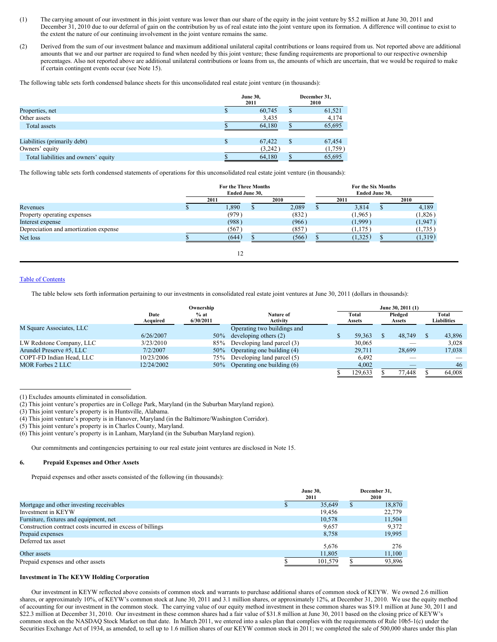- (1) The carrying amount of our investment in this joint venture was lower than our share of the equity in the joint venture by \$5.2 million at June 30, 2011 and December 31, 2010 due to our deferral of gain on the contribution by us of real estate into the joint venture upon its formation. A difference will continue to exist to the extent the nature of our continuing involvement in the joint venture remains the same.
- (2) Derived from the sum of our investment balance and maximum additional unilateral capital contributions or loans required from us. Not reported above are additional amounts that we and our partner are required to fund when needed by this joint venture; these funding requirements are proportional to our respective ownership percentages. Also not reported above are additional unilateral contributions or loans from us, the amounts of which are uncertain, that we would be required to make if certain contingent events occur (see Note 15).

The following table sets forth condensed balance sheets for this unconsolidated real estate joint venture (in thousands):

|                                      | <b>June 30,</b><br>2011 | December 31,<br>2010 |
|--------------------------------------|-------------------------|----------------------|
| Properties, net                      | 60,745                  | 61,521               |
| Other assets                         | 3,435                   | 4,174                |
| Total assets                         | 64.180                  | 65,695               |
| Liabilities (primarily debt)         | 67,422                  | 67,454               |
| Owners' equity                       | (3,242)                 | (1,759)              |
| Total liabilities and owners' equity | 64,180                  | 65,695               |

The following table sets forth condensed statements of operations for this unconsolidated real estate joint venture (in thousands):

|                                       | For the Three Months<br>Ended June 30. |       | For the Six Months<br>Ended June 30. |          |  |         |  |  |
|---------------------------------------|----------------------------------------|-------|--------------------------------------|----------|--|---------|--|--|
|                                       | 2011                                   | 2010  |                                      | 2011     |  | 2010    |  |  |
| Revenues                              | 1,890                                  | 2,089 |                                      | 3,814    |  | 4,189   |  |  |
| Property operating expenses           | (979)                                  | (832) |                                      | (1,965)  |  | (1,826) |  |  |
| Interest expense                      | (988)                                  | (966) |                                      | (1,999)  |  | (1,947) |  |  |
| Depreciation and amortization expense | (567)                                  | (857) |                                      | (1,175)  |  | (1,735) |  |  |
| Net loss                              | (644)                                  | (566) |                                      | (1, 325) |  | (1,319) |  |  |
|                                       |                                        |       |                                      |          |  |         |  |  |
|                                       | 12                                     |       |                                      |          |  |         |  |  |

# Table of [Contents](#page-0-0)

The table below sets forth information pertaining to our investments in consolidated real estate joint ventures at June 30, 2011 (dollars in thousands):

|                          |            | Ownership |                                |               | June 30, 2011 (1) |             |
|--------------------------|------------|-----------|--------------------------------|---------------|-------------------|-------------|
|                          | Date       | $%$ at    | Nature of                      | Total         | Pledged           | Total       |
|                          | Acquired   | 6/30/2011 | <b>Activity</b>                | <b>Assets</b> | <b>Assets</b>     | Liabilities |
| M Square Associates, LLC |            |           | Operating two buildings and    |               |                   |             |
|                          | 6/26/2007  |           | $50\%$ developing others (2)   | 59.363        | 48.749            | 43,896      |
| LW Redstone Company, LLC | 3/23/2010  |           | 85% Developing land parcel (3) | 30,065        |                   | 3,028       |
| Arundel Preserve #5, LLC | 7/2/2007   |           | 50% Operating one building (4) | 29.711        | 28,699            | 17,038      |
| COPT-FD Indian Head, LLC | 10/23/2006 | 75%       | Developing land parcel (5)     | 6.492         |                   |             |
| <b>MOR Forbes 2 LLC</b>  | 12/24/2002 |           | 50% Operating one building (6) | 4.002         |                   | 46          |
|                          |            |           |                                | 129,633       | 77.448            | 64,008      |

(1) Excludes amounts eliminated in consolidation.

(2) This joint venture's properties are in College Park, Maryland (in the Suburban Maryland region).

(3) This joint venture's property is in Huntsville, Alabama.

(5) This joint venture's property is in Charles County, Maryland.

(6) This joint venture's property is in Lanham, Maryland (in the Suburban Maryland region).

Our commitments and contingencies pertaining to our real estate joint ventures are disclosed in Note 15.

# **6. Prepaid Expenses and Other Assets**

Prepaid expenses and other assets consisted of the following (in thousands):

|                                                            | <b>June 30.</b><br>2011 |    | December 31,<br>2010 |
|------------------------------------------------------------|-------------------------|----|----------------------|
| Mortgage and other investing receivables                   | 35,649                  | S. | 18,870               |
| Investment in KEYW                                         | 19.456                  |    | 22,779               |
| Furniture, fixtures and equipment, net                     | 10,578                  |    | 11,504               |
| Construction contract costs incurred in excess of billings | 9.657                   |    | 9.372                |
| Prepaid expenses                                           | 8,758                   |    | 19,995               |
| Deferred tax asset                                         | 5.676                   |    | 276                  |
| Other assets                                               | 11,805                  |    | 11,100               |
| Prepaid expenses and other assets                          | 101.579                 |    | 93,896               |

#### **Investment in The KEYW Holding Corporation**

Our investment in KEYW reflected above consists of common stock and warrants to purchase additional shares of common stock of KEYW. We owned 2.6 million shares, or approximately 10%, of KEYW's common stock at June 30, 2011 and 3.1 million shares, or approximately 12%, at December 31, 2010. We use the equity method of accounting for our investment in the common stock. The carrying value of our equity method investment in these common shares was \$19.1 million at June 30, 2011 and \$22.3 million at December 31, 2010. Our investment in these common shares had a fair value of \$31.8 million at June 30, 2011 based on the closing price of KEYW's common stock on the NASDAQ Stock Market on that date. In March 2011, we entered into a sales plan that complies with the requirements of Rule 10b5-1(c) under the Securities Exchange Act of 1934, as amended, to sell up to 1.6 million shares of our KEYW common stock in 2011; we completed the sale of 500,000 shares under this plan

<sup>(4)</sup> This joint venture's property is in Hanover, Maryland (in the Baltimore/Washington Corridor).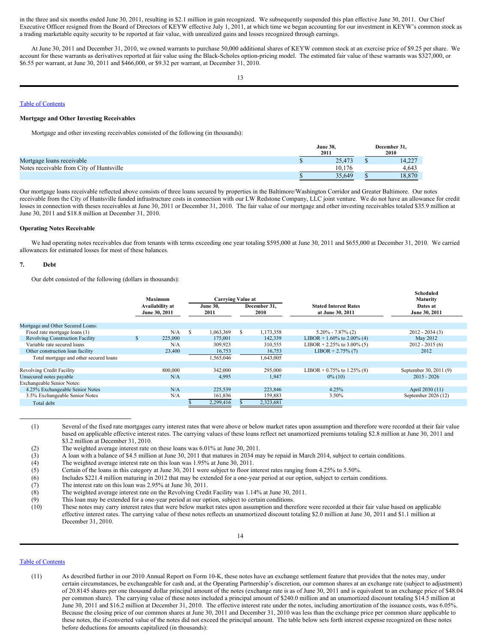in the three and six months ended June 30, 2011, resulting in \$2.1 million in gain recognized. We subsequently suspended this plan effective June 30, 2011. Our Chief Executive Officer resigned from the Board of Directors of KEYW effective July 1, 2011, at which time we began accounting for our investment in KEYW's common stock as a trading marketable equity security to be reported at fair value, with unrealized gains and losses recognized through earnings.

At June 30, 2011 and December 31, 2010, we owned warrants to purchase 50,000 additional shares of KEYW common stock at an exercise price of \$9.25 per share. We account for these warrants as derivatives reported at fair value using the Black-Scholes option-pricing model. The estimated fair value of these warrants was \$327,000, or \$6.55 per warrant, at June 30, 2011 and \$466,000, or \$9.32 per warrant, at December 31, 2010.

### Table of [Contents](#page-0-0)

#### **Mortgage and Other Investing Receivables**

Mortgage and other investing receivables consisted of the following (in thousands):

|                                          | <b>June 30,</b><br>2011 | December 31,<br>2010 |
|------------------------------------------|-------------------------|----------------------|
| Mortgage loans receivable                | 25.473                  | 14,227               |
| Notes receivable from City of Huntsville | 10.176                  | 4.643                |
|                                          | 35.649                  | 8.870                |

Our mortgage loans receivable reflected above consists of three loans secured by properties in the Baltimore/Washington Corridor and Greater Baltimore. Our notes receivable from the City of Huntsville funded infrastructure costs in connection with our LW Redstone Company, LLC joint venture. We do not have an allowance for credit losses in connection with theses receivables at June 30, 2011 or December 31, 2010. The fair value of our mortgage and other investing receivables totaled \$35.9 million at June 30, 2011 and \$18.8 million at December 31, 2010.

#### **Operating Notes Receivable**

We had operating notes receivables due from tenants with terms exceeding one year totaling \$595,000 at June 30, 2011 and \$655,000 at December 31, 2010. We carried allowances for estimated losses for most of these balances.

#### **7. Debt**

Our debt consisted of the following (dollars in thousands):

|                                        |                                  | Maximum |                         | <b>Carrying Value at</b> |                      |           |                                                  | <b>Scheduled</b><br>Maturity |
|----------------------------------------|----------------------------------|---------|-------------------------|--------------------------|----------------------|-----------|--------------------------------------------------|------------------------------|
|                                        | Availability at<br>June 30, 2011 |         | <b>June 30.</b><br>2011 |                          | December 31.<br>2010 |           | <b>Stated Interest Rates</b><br>at June 30, 2011 | Dates at<br>June 30, 2011    |
| Mortgage and Other Secured Loans:      |                                  |         |                         |                          |                      |           |                                                  |                              |
| Fixed rate mortgage loans (1)          |                                  | N/A     | -S                      | 1,063,369                | S                    | 1,173,358 | $5.20\% - 7.87\%$ (2)                            | $2012 - 2034(3)$             |
| <b>Revolving Construction Facility</b> |                                  | 225,000 |                         | 175,001                  |                      | 142,339   | LIBOR + 1.60% to 2.00% (4)                       | May 2012                     |
| Variable rate secured loans            |                                  | N/A     |                         | 309,923                  |                      | 310,555   | LIBOR + 2.25% to 3.00% (5)                       | $2012 - 2015(6)$             |
| Other construction loan facility       |                                  | 23,400  |                         | 16,753                   |                      | 16,753    | $LIBOR + 2.75\% (7)$                             | 2012                         |
| Total mortgage and other secured loans |                                  |         |                         | 1,565,046                |                      | 1,643,005 |                                                  |                              |
|                                        |                                  |         |                         |                          |                      |           |                                                  |                              |
| Revolving Credit Facility              |                                  | 800,000 |                         | 342,000                  |                      | 295,000   | LIBOR + 0.75% to 1.25% (8)                       | September 30, 2011 (9)       |
| Unsecured notes payable                |                                  | N/A     |                         | 4,995                    |                      | 1.947     | $0\%$ (10)                                       | $2015 - 2026$                |
| Exchangeable Senior Notes:             |                                  |         |                         |                          |                      |           |                                                  |                              |
| 4.25% Exchangeable Senior Notes        |                                  | N/A     |                         | 225,539                  |                      | 223,846   | 4.25%                                            | April 2030 (11)              |
| 3.5% Exchangeable Senior Notes         |                                  | N/A     |                         | 161,836                  |                      | 159,883   | 3.50%                                            | September 2026 (12)          |
| Total debt                             |                                  |         |                         | 2,299,416                |                      | 2,323,681 |                                                  |                              |

<sup>(1)</sup> Several of the fixed rate mortgages carry interest rates that were above or below market rates upon assumption and therefore were recorded at their fair value based on applicable effective interest rates. The carrying values of these loans reflect net unamortized premiums totaling \$2.8 million at June 30, 2011 and \$3.2 million at December 31, 2010.

(7) The interest rate on this loan was 2.95% at June 30, 2011.

#### Table of [Contents](#page-0-0)

(11) As described further in our 2010 Annual Report on Form 10-K, these notes have an exchange settlement feature that provides that the notes may, under certain circumstances, be exchangeable for cash and, at the Operating Partnership's discretion, our common shares at an exchange rate (subject to adjustment) of 20.8145 shares per one thousand dollar principal amount of the notes (exchange rate is as of June 30, 2011 and is equivalent to an exchange price of \$48.04 per common share). The carrying value of these notes included a principal amount of \$240.0 million and an unamortized discount totaling \$14.5 million at June 30, 2011 and \$16.2 million at December 31, 2010. The effective interest rate under the notes, including amortization of the issuance costs, was 6.05%. Because the closing price of our common shares at June 30, 2011 and December 31, 2010 was less than the exchange price per common share applicable to these notes, the if-converted value of the notes did not exceed the principal amount. The table below sets forth interest expense recognized on these notes before deductions for amounts capitalized (in thousands):

<sup>(2)</sup> The weighted average interest rate on these loans was 6.01% at June 30, 2011.

<sup>(3)</sup> A loan with a balance of \$4.5 million at June 30, 2011 that matures in 2034 may be repaid in March 2014, subject to certain conditions.

<sup>(4)</sup> The weighted average interest rate on this loan was 1.95% at June 30, 2011.

<sup>(5)</sup> Certain of the loans in this category at June 30, 2011 were subject to floor interest rates ranging from 4.25% to 5.50%.

<sup>(6)</sup> Includes \$221.4 million maturing in 2012 that may be extended for a one-year period at our option, subject to certain conditions.

<sup>(8)</sup> The weighted average interest rate on the Revolving Credit Facility was 1.14% at June 30, 2011.

<sup>(9)</sup> This loan may be extended for a one-year period at our option, subject to certain conditions.

<sup>(10)</sup> These notes may carry interest rates that were below market rates upon assumption and therefore were recorded at their fair value based on applicable effective interest rates. The carrying value of these notes reflects an unamortized discount totaling \$2.0 million at June 30, 2011 and \$1.1 million at December 31, 2010.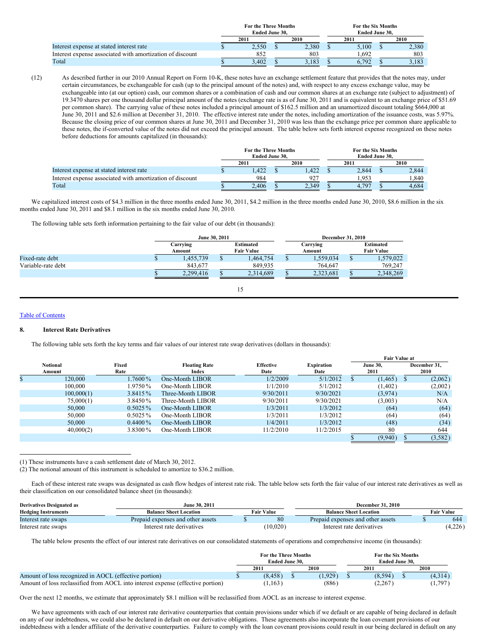|                                                           | For the Three Months |      |                | For the Six Months |       |  |       |  |
|-----------------------------------------------------------|----------------------|------|----------------|--------------------|-------|--|-------|--|
|                                                           | Ended June 30.       |      | Ended June 30. |                    |       |  |       |  |
|                                                           | 2011                 | 2010 |                | 2011               |       |  | 2010  |  |
| Interest expense at stated interest rate                  | 2.550                |      | 2.380          |                    | 5.100 |  | 2.380 |  |
| Interest expense associated with amortization of discount | 852                  |      | 803            |                    | 1.692 |  | 803   |  |
| Total                                                     | 3.402                |      | 3.183          |                    | 6.792 |  | 3.183 |  |

(12) As described further in our 2010 Annual Report on Form 10-K, these notes have an exchange settlement feature that provides that the notes may, under certain circumstances, be exchangeable for cash (up to the principal amount of the notes) and, with respect to any excess exchange value, may be exchangeable into (at our option) cash, our common shares or a combination of cash and our common shares at an exchange rate (subject to adjustment) of 19.3470 shares per one thousand dollar principal amount of the notes (exchange rate is as of June 30, 2011 and is equivalent to an exchange price of \$51.69 per common share). The carrying value of these notes included a principal amount of \$162.5 million and an unamortized discount totaling \$664,000 at June 30, 2011 and \$2.6 million at December 31, 2010. The effective interest rate under the notes, including amortization of the issuance costs, was 5.97%. Because the closing price of our common shares at June 30, 2011 and December 31, 2010 was less than the exchange price per common share applicable to these notes, the if-converted value of the notes did not exceed the principal amount. The table below sets forth interest expense recognized on these notes before deductions for amounts capitalized (in thousands):

|                                                           | For the Three Months<br>Ended June 30. |      |       | For the Six Months<br>Ended June 30. |       |  |       |
|-----------------------------------------------------------|----------------------------------------|------|-------|--------------------------------------|-------|--|-------|
|                                                           | 2011                                   | 2010 |       |                                      | 2011  |  | 2010  |
| Interest expense at stated interest rate                  | .422                                   |      | .422  |                                      | 2.844 |  | 2.844 |
| Interest expense associated with amortization of discount | 984                                    |      | 927   |                                      | . 953 |  | 1.840 |
| Total                                                     | 2.406                                  |      | 2.349 |                                      | 4.797 |  | 4.684 |

We capitalized interest costs of \$4.3 million in the three months ended June 30, 2011, \$4.2 million in the three months ended June 30, 2010, \$8.6 million in the six months ended June 30, 2011 and \$8.1 million in the six months ended June 30, 2010.

The following table sets forth information pertaining to the fair value of our debt (in thousands):

|                    | June 30, 2011      |   | <b>December 31, 2010</b>              |                    |    |                                       |
|--------------------|--------------------|---|---------------------------------------|--------------------|----|---------------------------------------|
|                    | Carrying<br>Amount |   | <b>Estimated</b><br><b>Fair Value</b> | Carrying<br>Amount |    | <b>Estimated</b><br><b>Fair Value</b> |
| Fixed-rate debt    | 1,455,739          | Φ | 1,464,754                             | 1,559,034          | ۰D | 1,579,022                             |
| Variable-rate debt | 843,677            |   | 849,935                               | 764,647            |    | 769.247                               |
|                    | 2,299,416          |   | 2,314,689                             | 2,323,681          |    | 2,348,269                             |
|                    |                    |   | 15                                    |                    |    |                                       |

# Table of [Contents](#page-0-0)

# **8. Interest Rate Derivatives**

The following table sets forth the key terms and fair values of our interest rate swap derivatives (dollars in thousands):

|                 |            |                      |                  |                   | <b>Fair Value at</b> |   |              |
|-----------------|------------|----------------------|------------------|-------------------|----------------------|---|--------------|
| <b>Notional</b> | Fixed      | <b>Floating Rate</b> | <b>Effective</b> | <b>Expiration</b> | <b>June 30,</b>      |   | December 31, |
| Amount          | Rate       | Index                | Date             | Date              | 2011                 |   | 2010         |
| 120,000         | 1.7600%    | One-Month LIBOR      | 1/2/2009         | 5/1/2012          | (1, 465)             | Ъ | (2,062)      |
| 100,000         | 1.9750%    | One-Month LIBOR      | 1/1/2010         | 5/1/2012          | (1, 402)             |   | (2,002)      |
| 100,000(1)      | $3.8415\%$ | Three-Month LIBOR    | 9/30/2011        | 9/30/2021         | (3,974)              |   | N/A          |
| 75,000(1)       | 3.8450 %   | Three-Month LIBOR    | 9/30/2011        | 9/30/2021         | (3,003)              |   | N/A          |
| 50,000          | $0.5025\%$ | One-Month LIBOR      | 1/3/2011         | 1/3/2012          | (64)                 |   | (64)         |
| 50,000          | $0.5025\%$ | One-Month LIBOR      | 1/3/2011         | 1/3/2012          | (64)                 |   | (64)         |
| 50,000          | $0.4400\%$ | One-Month LIBOR      | 1/4/2011         | 1/3/2012          | (48)                 |   | (34)         |
| 40,000(2)       | 3.8300 %   | One-Month LIBOR      | 11/2/2010        | 11/2/2015         | 80                   |   | 644          |
|                 |            |                      |                  |                   | (9,940)              |   | (3,582)      |

(1) These instruments have a cash settlement date of March 30, 2012.

(2) The notional amount of this instrument is scheduled to amortize to \$36.2 million.

Each of these interest rate swaps was designated as cash flow hedges of interest rate risk. The table below sets forth the fair value of our interest rate derivatives as well as their classification on our consolidated balance sheet (in thousands):

| <b>Derivatives Designated as</b> | June 30, 2011                     |  |            | <b>December 31, 2010</b>          |  |                   |  |  |  |  |
|----------------------------------|-----------------------------------|--|------------|-----------------------------------|--|-------------------|--|--|--|--|
| <b>Hedging Instruments</b>       | <b>Balance Sheet Location</b>     |  | Fair Value | <b>Balance Sheet Location</b>     |  | <b>Fair Value</b> |  |  |  |  |
| Interest rate swaps              | Prepaid expenses and other assets |  | 80         | Prepaid expenses and other assets |  | 644               |  |  |  |  |
| Interest rate swaps              | Interest rate derivatives         |  | (10,020)   | Interest rate derivatives         |  | (4,226)           |  |  |  |  |

The table below presents the effect of our interest rate derivatives on our consolidated statements of operations and comprehensive income (in thousands):

|                                                                                 | For the Three Months<br>Ended June 30. |         | For the Six Months<br>Ended June 30. |         |
|---------------------------------------------------------------------------------|----------------------------------------|---------|--------------------------------------|---------|
|                                                                                 | 2011                                   | 2010    | 2011                                 | 2010    |
| Amount of loss recognized in AOCL (effective portion)                           | (8.458)                                | (1.929) | (8,594)                              | (4,314) |
| Amount of loss reclassified from AOCL into interest expense (effective portion) | 1,163                                  | (886)   | (2,267                               | (1.797) |

Over the next 12 months, we estimate that approximately \$8.1 million will be reclassified from AOCL as an increase to interest expense.

We have agreements with each of our interest rate derivative counterparties that contain provisions under which if we default or are capable of being declared in default on any of our indebtedness, we could also be declared in default on our derivative obligations. These agreements also incorporate the loan covenant provisions of our indebtedness with a lender affiliate of the derivative counterparties. Failure to comply with the loan covenant provisions could result in our being declared in default on any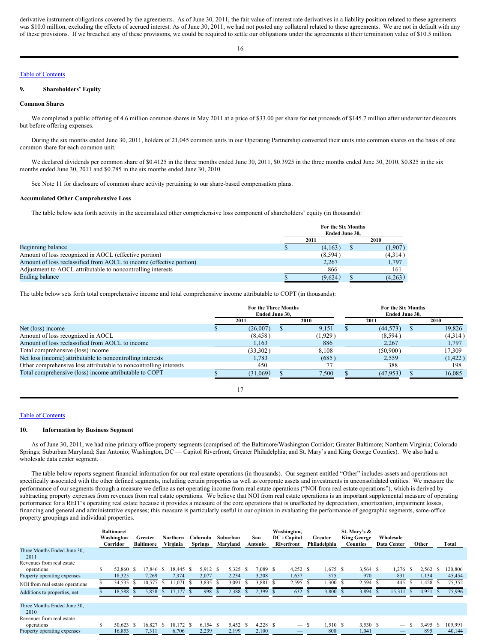derivative instrument obligations covered by the agreements. As of June 30, 2011, the fair value of interest rate derivatives in a liability position related to these agreements was \$10.0 million, excluding the effects of accrued interest. As of June 30, 2011, we had not posted any collateral related to these agreements. We are not in default with any of these provisions. If we breached any of these provisions, we could be required to settle our obligations under the agreements at their termination value of \$10.5 million.

# Table of [Contents](#page-0-0)

# **9. Shareholders' Equity**

# **Common Shares**

We completed a public offering of 4.6 million common shares in May 2011 at a price of \$33.00 per share for net proceeds of \$145.7 million after underwriter discounts but before offering expenses.

During the six months ended June 30, 2011, holders of 21,045 common units in our Operating Partnership converted their units into common shares on the basis of one common share for each common unit.

We declared dividends per common share of \$0.4125 in the three months ended June 30, 2011, \$0.3925 in the three months ended June 30, 2010, \$0.825 in the six months ended June 30, 2011 and \$0.785 in the six months ended June 30, 2010.

See Note 11 for disclosure of common share activity pertaining to our share-based compensation plans.

# **Accumulated Other Comprehensive Loss**

The table below sets forth activity in the accumulated other comprehensive loss component of shareholders' equity (in thousands):

|                                                                     | For the Six Months<br>Ended June 30. |         |
|---------------------------------------------------------------------|--------------------------------------|---------|
|                                                                     | 2011                                 | 2010    |
| Beginning balance                                                   | (4,163)                              | (1,907) |
| Amount of loss recognized in AOCL (effective portion)               | (8, 594)                             | (4,314) |
| Amount of loss reclassified from AOCL to income (effective portion) | 2.267                                | 1,797   |
| Adjustment to AOCL attributable to noncontrolling interests         | 866                                  | 161     |
| Ending balance                                                      | (9,624)                              | (4,263) |

The table below sets forth total comprehensive income and total comprehensive income attributable to COPT (in thousands):

|                                                                   | <b>For the Three Months</b><br>Ended June 30, |         | <b>For the Six Months</b><br>Ended June 30, |  |             |  |
|-------------------------------------------------------------------|-----------------------------------------------|---------|---------------------------------------------|--|-------------|--|
|                                                                   | 2011                                          | 2010    | 2011                                        |  | <b>2010</b> |  |
| Net (loss) income                                                 | (26,007)                                      | 9.151   | (44, 573)                                   |  | 19,826      |  |
| Amount of loss recognized in AOCL                                 | (8, 458)                                      | (1,929) | (8, 594)                                    |  | (4,314)     |  |
| Amount of loss reclassified from AOCL to income                   | 1,163                                         | 886     | 2,267                                       |  | 1,797       |  |
| Total comprehensive (loss) income                                 | (33,302)                                      | 8.108   | (50,900)                                    |  | 17,309      |  |
| Net loss (income) attributable to noncontrolling interests        | 1,783                                         | (685)   | 2,559                                       |  | (1, 422)    |  |
| Other comprehensive loss attributable to noncontrolling interests | 450                                           |         | 388                                         |  | 198         |  |
| Total comprehensive (loss) income attributable to COPT            | (31,069)                                      | 7.500   | (47, 953)                                   |  | 16,085      |  |
|                                                                   |                                               |         |                                             |  |             |  |

# 17

#### Table of [Contents](#page-0-0)

#### **10. Information by Business Segment**

As of June 30, 2011, we had nine primary office property segments (comprised of: the Baltimore/Washington Corridor; Greater Baltimore; Northern Virginia; Colorado Springs; Suburban Maryland; San Antonio; Washington, DC — Capitol Riverfront; Greater Philadelphia; and St. Mary's and King George Counties). We also had a wholesale data center segment.

The table below reports segment financial information for our real estate operations (in thousands). Our segment entitled "Other" includes assets and operations not specifically associated with the other defined segments, including certain properties as well as corporate assets and investments in unconsolidated entities. We measure the performance of our segments through a measure we define as net operating income from real estate operations ("NOI from real estate operations"), which is derived by subtracting property expenses from revenues from real estate operations. We believe that NOI from real estate operations is an important supplemental measure of operating performance for a REIT's operating real estate because it provides a measure of the core operations that is unaffected by depreciation, amortization, impairment losses, financing and general and administrative expenses; this measure is particularly useful in our opinion in evaluating the performance of geographic segments, same-office property groupings and individual properties.

|                                         |   | <b>Baltimore</b> /<br>Washington<br>Corridor |     | Greater<br><b>Baltimore</b> |               | Northern<br>Virginia |    | Colorado<br><b>Springs</b> |      | Suburban<br>Maryland |     | San<br>Antonio |    | Washington,<br>DC - Capitol<br>Riverfront |   | Greater<br>Philadelphia | St. Mary's &<br><b>King George</b><br><b>Counties</b> | Wholesale<br>Data Center |    | Other    | Total   |
|-----------------------------------------|---|----------------------------------------------|-----|-----------------------------|---------------|----------------------|----|----------------------------|------|----------------------|-----|----------------|----|-------------------------------------------|---|-------------------------|-------------------------------------------------------|--------------------------|----|----------|---------|
| Three Months Ended June 30,<br>2011     |   |                                              |     |                             |               |                      |    |                            |      |                      |     |                |    |                                           |   |                         |                                                       |                          |    |          |         |
| Revenues from real estate<br>operations | S | 52,860                                       | - 5 | 17,846 \$                   |               | 18,445 \$            |    | 5,912 \$                   |      | 5,325                | - S | 7,089 \$       |    | $4,252$ \$                                |   | $1,675$ \$              | 3,564 \$                                              | 1,276                    | -S | 2,562 \$ | 120,806 |
| Property operating expenses             |   | 18,325                                       |     | 7,269                       |               | 7,374                |    | 2,077                      |      | 2,234                |     | 3,208          |    | 1,657                                     |   | 375                     | 970                                                   | 831                      |    | 1,134    | 45,454  |
| NOI from real estate operations         |   | 34,535                                       | -S  | 10.577                      | <sup>S</sup>  | 11.071               |    | 3,835                      | - \$ | 3,091                |     | 3,881          | -S | 2,595                                     | S | 1.300 S                 | 2.594 \$                                              | 445                      | N. | .428     | 75,352  |
| Additions to properties, net            |   | 18,588                                       |     | 5,858                       | $\mathcal{S}$ | 17,177               | -S | 998                        |      | 2.388                |     | 2,399          |    | 632                                       |   | 3,800                   | 3,894                                                 | 15,311                   | -S | 4,951    | 75,996  |
| Three Months Ended June 30,<br>2010     |   |                                              |     |                             |               |                      |    |                            |      |                      |     |                |    |                                           |   |                         |                                                       |                          |    |          |         |
| Revenues from real estate<br>operations |   | 50,623                                       | -8  | 16,827                      | -S            | 18,172 \$            |    | $6,154$ \$                 |      | 5,452 \$             |     | $4,228$ \$     |    | $\overline{\phantom{m}}$                  |   | 1,510S                  | 3,530 \$                                              | $\overline{\phantom{a}}$ |    | 3,495    | 109,991 |
| Property operating expenses             |   | 16,853                                       |     | 7,311                       |               | 6,706                |    | 2,239                      |      | 2,199                |     | 2,100          |    |                                           |   | 800                     | 1,041                                                 |                          |    | 895      | 40,144  |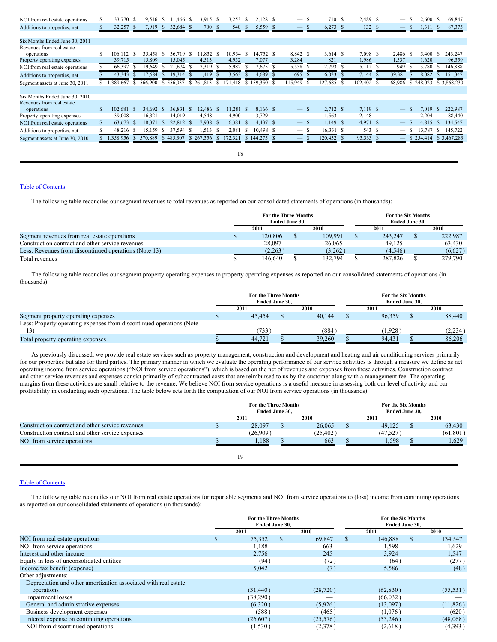| NOI from real estate operations |    | 33,770     |    | 9,516     | 11,466                  |           | 3,915            | S            | 3,253     |    | 2,128     |    |                          |    | 710        | S | 2,489    |                          |    | 2,600     |              | 69,847      |
|---------------------------------|----|------------|----|-----------|-------------------------|-----------|------------------|--------------|-----------|----|-----------|----|--------------------------|----|------------|---|----------|--------------------------|----|-----------|--------------|-------------|
| Additions to properties, net    |    | 32,257     |    | 7,919     | 32,684<br>S             |           | 700              |              | 540       |    | 5,559     |    |                          |    | 6,273      |   | 132      |                          |    | 1,311     |              | 87,375      |
|                                 |    |            |    |           |                         |           |                  |              |           |    |           |    |                          |    |            |   |          |                          |    |           |              |             |
| Six Months Ended June 30, 2011  |    |            |    |           |                         |           |                  |              |           |    |           |    |                          |    |            |   |          |                          |    |           |              |             |
| Revenues from real estate       |    |            |    |           |                         |           |                  |              |           |    |           |    |                          |    |            |   |          |                          |    |           |              |             |
| operations                      |    | 106,112 \$ |    | 35,458    | S                       | 36,719 \$ | 11,832 \$        |              | 10,934    | -S | 14,752 \$ |    | 8,842 \$                 |    | $3,614$ \$ |   | 7,098 \$ | 2,486                    | -S | 5,400     | S            | 243,247     |
| Property operating expenses     |    | 39,715     |    | 15,809    | 15.045                  |           | 4,513            |              | 4,952     |    | 7,077     |    | 3,284                    |    | 821        |   | 1,986    | 1,537                    |    | 1,620     |              | 96,359      |
| NOI from real estate operations |    | 66,397     | S  | 19,649    | 21,674                  |           | 7,319            | ь            | 5,982     |    | 7,675     | -S | 5,558                    | -S | 2,793      |   | 5,112    | 949                      | S  | 3,780     |              | 146,888     |
| Additions to properties, net    |    | 43,343     |    | 17,684    | 19,314                  |           | 1,419            |              | 3,563     |    | 4,689     |    | 695                      |    | 6,033      |   | 7,144    | 39,381                   |    | 8,082     |              | 151,347     |
| Segment assets at June 30, 2011 |    | ,389,667   | -S | 566,900   | \$556,037               |           | \$261,813        | S.           | 171.418   |    | \$159,350 |    | 115,949                  |    | 127,685    |   | 102,402  | 168,986                  |    | \$248,023 |              | \$3,868,230 |
| Six Months Ended June 30, 2010  |    |            |    |           |                         |           |                  |              |           |    |           |    |                          |    |            |   |          |                          |    |           |              |             |
| Revenues from real estate       |    |            |    |           |                         |           |                  |              |           |    |           |    |                          |    |            |   |          |                          |    |           |              |             |
| operations                      | -S | 102,681    | -8 | 34,692 \$ | 36,831                  |           | 12,486 \$<br>- 8 |              | 11,281 \$ |    | 8,166 \$  |    | $-$ \$                   |    | $2,712$ \$ |   | 7,119 \$ | $\overline{\phantom{0}}$ | -8 | 7,019     | <sup>S</sup> | 222,987     |
| Property operating expenses     |    | 39,008     |    | 16,321    | 14,019                  |           | 4,548            |              | 4,900     |    | 3,729     |    |                          |    | 1,563      |   | 2,148    | $-$                      |    | 2,204     |              | 88,440      |
| NOI from real estate operations |    | 63,673     |    | 18,371    | 22,812                  |           | 7,938            |              | 6,381     |    | 4,437     |    | $\overline{\phantom{0}}$ |    | 1,149      |   | 4,971    |                          |    | 4,815     |              | 134,547     |
| Additions to properties, net    |    | 48,216     |    | 15,159    | 37,594                  |           | 1,513            |              | 2,081     |    | 10,498    |    |                          |    | 16,331     |   | 543      |                          |    | 13,787    |              | 145,722     |
| Segment assets at June 30, 2010 |    | 1,358,956  | -S | 570,889   | 485,307<br><sup>S</sup> |           | \$267,356        | <sup>S</sup> | 172,321   |    | \$144,275 |    |                          |    | 120,432    |   | 93,333   | $\overline{\phantom{0}}$ |    | \$254,414 |              | \$3,467,283 |
|                                 |    |            |    |           |                         |           |                  |              |           |    |           |    |                          |    |            |   |          |                          |    |           |              |             |
|                                 |    |            |    |           |                         |           |                  |              | 18        |    |           |    |                          |    |            |   |          |                          |    |           |              |             |

# Table of [Contents](#page-0-0)

The following table reconciles our segment revenues to total revenues as reported on our consolidated statements of operations (in thousands):

|                                                       | <b>For the Three Months</b> | Ended June 30. |         | For the Six Months | Ended June 30. |         |
|-------------------------------------------------------|-----------------------------|----------------|---------|--------------------|----------------|---------|
|                                                       | 2011                        |                | 2010    | 2011               |                | 2010    |
| Segment revenues from real estate operations          | 120,806                     |                | 109.991 | 243,247            |                | 222,987 |
| Construction contract and other service revenues      | 28.097                      |                | 26,065  | 49.125             |                | 63.430  |
| Less: Revenues from discontinued operations (Note 13) | (2.263)                     |                | (3,262) | (4,546)            |                | (6,627) |
| Total revenues                                        | 146,640                     |                | 132.794 | 287,826            |                | 279,790 |

The following table reconciles our segment property operating expenses to property operating expenses as reported on our consolidated statements of operations (in thousands):

|                                                                       | For the Three Months<br>Ended June 30. |        | For the Six Months<br>Ended June 30. |         |
|-----------------------------------------------------------------------|----------------------------------------|--------|--------------------------------------|---------|
|                                                                       | 2011                                   | 2010   | 2011                                 | 2010    |
| Segment property operating expenses                                   | 45.454                                 | 40.144 | 96.359                               | 88,440  |
| Less: Property operating expenses from discontinued operations (Note) |                                        |        |                                      |         |
| 13)                                                                   | (733)                                  | (884)  | (1,928)                              | (2,234) |
| Total property operating expenses                                     | 44,721                                 | 39,260 | 94,431                               | 86,206  |

As previously discussed, we provide real estate services such as property management, construction and development and heating and air conditioning services primarily for our properties but also for third parties. The primary manner in which we evaluate the operating performance of our service activities is through a measure we define as net operating income from service operations ("NOI from service operations"), which is based on the net of revenues and expenses from these activities. Construction contract and other service revenues and expenses consist primarily of subcontracted costs that are reimbursed to us by the customer along with a management fee. The operating margins from these activities are small relative to the revenue. We believe NOI from service operations is a useful measure in assessing both our level of activity and our profitability in conducting such operations. The table below sets forth the computation of our NOI from service operations (in thousands):

|                                                  | <b>For the Three Months</b><br>Ended June 30. |           | For the Six Months<br>Ended June 30. |           |
|--------------------------------------------------|-----------------------------------------------|-----------|--------------------------------------|-----------|
|                                                  | 2011                                          | 2010      | 2011                                 | 2010      |
| Construction contract and other service revenues | 28,097                                        | 26,065    | 49.125                               | 63,430    |
| Construction contract and other service expenses | (26,909)                                      | (25, 402) | (47, 527)                            | (61, 801) |
| NOI from service operations                      | .188                                          | 663       | 1,598                                | 1.629     |
|                                                  |                                               |           |                                      |           |
|                                                  | 19                                            |           |                                      |           |

# Table of [Contents](#page-0-0)

The following table reconciles our NOI from real estate operations for reportable segments and NOI from service operations to (loss) income from continuing operations as reported on our consolidated statements of operations (in thousands):

|                                                                 | <b>For the Three Months</b><br>Ended June 30. |           | <b>For the Six Months</b><br>Ended June 30. |  |           |  |
|-----------------------------------------------------------------|-----------------------------------------------|-----------|---------------------------------------------|--|-----------|--|
|                                                                 | 2011                                          | 2010      | 2011                                        |  | 2010      |  |
| NOI from real estate operations                                 | 75,352                                        | 69,847    | 146,888                                     |  | 134,547   |  |
| NOI from service operations                                     | 1,188                                         | 663       | 1,598                                       |  | 1,629     |  |
| Interest and other income                                       | 2,756                                         | 245       | 3,924                                       |  | 1,547     |  |
| Equity in loss of unconsolidated entities                       | (94)                                          | (72)      | (64)                                        |  | (277)     |  |
| Income tax benefit (expense)                                    | 5,042                                         | (7)       | 5,586                                       |  | (48)      |  |
| Other adjustments:                                              |                                               |           |                                             |  |           |  |
| Depreciation and other amortization associated with real estate |                                               |           |                                             |  |           |  |
| operations                                                      | (31, 440)                                     | (28, 720) | (62.830)                                    |  | (55, 531) |  |
| Impairment losses                                               | (38,290)                                      |           | (66, 032)                                   |  |           |  |
| General and administrative expenses                             | (6,320)                                       | (5,926)   | (13,097)                                    |  | (11, 826) |  |
| Business development expenses                                   | (588)                                         | (465)     | (1,076)                                     |  | (620)     |  |
| Interest expense on continuing operations                       | (26, 607)                                     | (25,576)  | (53,246)                                    |  | (48,068)  |  |
| NOI from discontinued operations                                | (1,530)                                       | (2,378)   | (2,618)                                     |  | (4,393)   |  |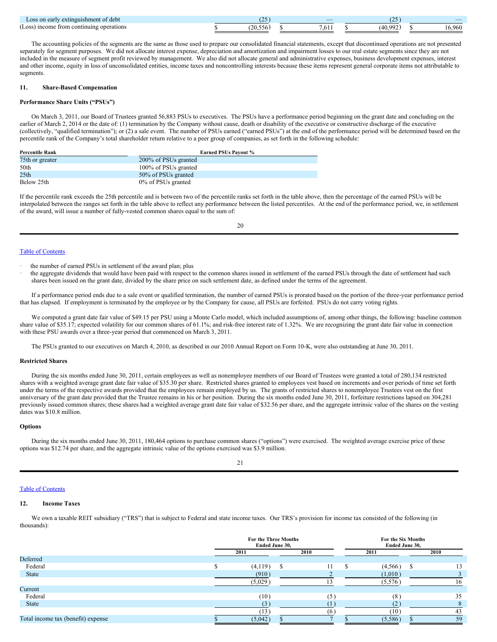| $\angle$ OSS<br>on early<br>extinguishment of debt                       | י ה<br>ॱ∸ |       | <b>COL</b>       |             |
|--------------------------------------------------------------------------|-----------|-------|------------------|-------------|
| operations<br>$\sim$ $0$ SS <sup>3</sup><br>i continuing<br>mcome<br>rom | . 20.336' | 1.011 | $\Delta$ 0<br>ററ | 6.960<br>v. |

The accounting policies of the segments are the same as those used to prepare our consolidated financial statements, except that discontinued operations are not presented separately for segment purposes. We did not allocate interest expense, depreciation and amortization and impairment losses to our real estate segments since they are not included in the measure of segment profit reviewed by management. We also did not allocate general and administrative expenses, business development expenses, interest and other income, equity in loss of unconsolidated entities, income taxes and noncontrolling interests because these items represent general corporate items not attributable to segments.

# **11. Share-Based Compensation**

# **Performance Share Units ("PSUs")**

On March 3, 2011, our Board of Trustees granted 56,883 PSUs to executives. The PSUs have a performance period beginning on the grant date and concluding on the earlier of March 2, 2014 or the date of: (1) termination by the Company without cause, death or disability of the executive or constructive discharge of the executive (collectively, "qualified termination"); or (2) a sale event. The number of PSUs earned ("earned PSUs") at the end of the performance period will be determined based on the percentile rank of the Company's total shareholder return relative to a peer group of companies, as set forth in the following schedule:

| <b>Percentile Rank</b> | <b>Earned PSUs Payout %</b> |
|------------------------|-----------------------------|
| 75th or greater        | 200% of PSUs granted        |
| 50th                   | 100% of PSUs granted        |
| 25 <sub>th</sub>       | 50% of PSUs granted         |
| Below 25th             | 0% of PSUs granted          |

If the percentile rank exceeds the 25th percentile and is between two of the percentile ranks set forth in the table above, then the percentage of the earned PSUs will be interpolated between the ranges set forth in the table above to reflect any performance between the listed percentiles. At the end of the performance period, we, in settlement of the award, will issue a number of fully-vested common shares equal to the sum of:

20

#### Table of [Contents](#page-0-0)

the number of earned PSUs in settlement of the award plan; plus

· the aggregate dividends that would have been paid with respect to the common shares issued in settlement of the earned PSUs through the date of settlement had such shares been issued on the grant date, divided by the share price on such settlement date, as defined under the terms of the agreement.

If a performance period ends due to a sale event or qualified termination, the number of earned PSUs is prorated based on the portion of the three-year performance period that has elapsed. If employment is terminated by the employee or by the Company for cause, all PSUs are forfeited. PSUs do not carry voting rights.

We computed a grant date fair value of \$49.15 per PSU using a Monte Carlo model, which included assumptions of, among other things, the following: baseline common share value of \$35.17; expected volatility for our common shares of 61.1%; and risk-free interest rate of 1.32%. We are recognizing the grant date fair value in connection with these PSU awards over a three-year period that commenced on March 3, 2011.

The PSUs granted to our executives on March 4, 2010, as described in our 2010 Annual Report on Form 10-K, were also outstanding at June 30, 2011.

#### **Restricted Shares**

During the six months ended June 30, 2011, certain employees as well as nonemployee members of our Board of Trustees were granted a total of 280,134 restricted shares with a weighted average grant date fair value of \$35.30 per share. Restricted shares granted to employees vest based on increments and over periods of time set forth under the terms of the respective awards provided that the employees remain employed by us. The grants of restricted shares to nonemployee Trustees vest on the first anniversary of the grant date provided that the Trustee remains in his or her position. During the six months ended June 30, 2011, forfeiture restrictions lapsed on 304,281 previously issued common shares; these shares had a weighted average grant date fair value of \$32.56 per share, and the aggregate intrinsic value of the shares on the vesting dates was \$10.8 million.

#### **Options**

During the six months ended June 30, 2011, 180,464 options to purchase common shares ("options") were exercised. The weighted average exercise price of these options was \$12.74 per share, and the aggregate intrinsic value of the options exercised was \$3.9 million.

# Table of [Contents](#page-0-0)

# **12. Income Taxes**

We own a taxable REIT subsidiary ("TRS") that is subject to Federal and state income taxes. Our TRS's provision for income tax consisted of the following (in thousands):

|                                    | <b>For the Three Months</b><br>Ended June 30. |   |      | For the Six Months<br>Ended June 30, |      |      |  |
|------------------------------------|-----------------------------------------------|---|------|--------------------------------------|------|------|--|
|                                    | 2011                                          |   | 2010 | 2011                                 |      | 2010 |  |
| Deferred                           |                                               |   |      |                                      |      |      |  |
| Federal                            | (4,119)                                       | S |      | (4,566)                              | - \$ | 13   |  |
| State                              | (910)                                         |   |      | (1,010)                              |      |      |  |
|                                    | (5,029)                                       |   |      | (5,576)                              |      | 16   |  |
| Current                            |                                               |   |      |                                      |      |      |  |
| Federal                            | (10)                                          |   | (5)  | (8)                                  |      | 35   |  |
| State                              |                                               |   |      |                                      |      |      |  |
|                                    | (13)                                          |   | 66   | (10)                                 |      | 43   |  |
| Total income tax (benefit) expense | (5,042)                                       |   |      | (5,586)                              |      | 59   |  |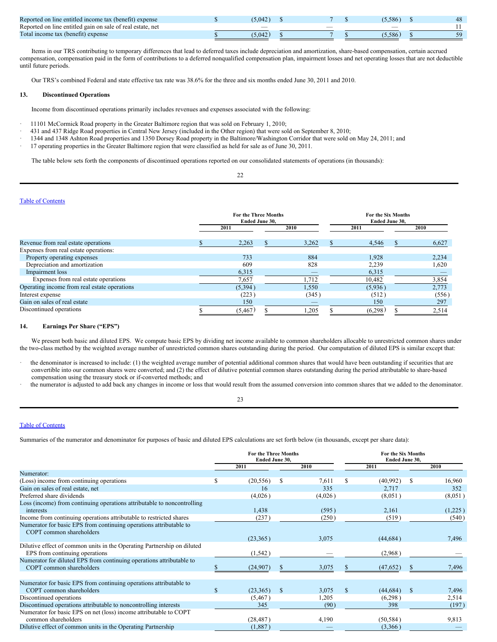| Reported on line entitled income tax (benefit) expense     |  |  |  | 48 |
|------------------------------------------------------------|--|--|--|----|
| Reported on line entitled gain on sale of real estate, net |  |  |  |    |
| Total income tax (benefit) expense                         |  |  |  |    |

Items in our TRS contributing to temporary differences that lead to deferred taxes include depreciation and amortization, share-based compensation, certain accrued compensation, compensation paid in the form of contributions to a deferred nonqualified compensation plan, impairment losses and net operating losses that are not deductible until future periods.

Our TRS's combined Federal and state effective tax rate was 38.6% for the three and six months ended June 30, 2011 and 2010.

#### **13. Discontinued Operations**

Income from discontinued operations primarily includes revenues and expenses associated with the following:

- · 11101 McCormick Road property in the Greater Baltimore region that was sold on February 1, 2010;
- · 431 and 437 Ridge Road properties in Central New Jersey (included in the Other region) that were sold on September 8, 2010;
- · 1344 and 1348 Ashton Road properties and 1350 Dorsey Road property in the Baltimore/Washington Corridor that were sold on May 24, 2011; and
- · 17 operating properties in the Greater Baltimore region that were classified as held for sale as of June 30, 2011.

The table below sets forth the components of discontinued operations reported on our consolidated statements of operations (in thousands):

### Table of [Contents](#page-0-0)

|                                              | <b>For the Three Months</b><br><b>Ended June 30.</b> |      |       |      | <b>For the Six Months</b><br>Ended June 30. |  |       |
|----------------------------------------------|------------------------------------------------------|------|-------|------|---------------------------------------------|--|-------|
|                                              | 2011                                                 | 2010 |       | 2011 |                                             |  | 2010  |
| Revenue from real estate operations          | 2,263                                                |      | 3,262 |      | 4,546                                       |  | 6,627 |
| Expenses from real estate operations:        |                                                      |      |       |      |                                             |  |       |
| Property operating expenses                  | 733                                                  |      | 884   |      | 1,928                                       |  | 2,234 |
| Depreciation and amortization                | 609                                                  |      | 828   |      | 2,239                                       |  | 1,620 |
| Impairment loss                              | 6,315                                                |      |       |      | 6,315                                       |  |       |
| Expenses from real estate operations         | 7,657                                                |      | 1,712 |      | 10,482                                      |  | 3,854 |
| Operating income from real estate operations | (5,394)                                              |      | 1,550 |      | (5,936)                                     |  | 2,773 |
| Interest expense                             | (223)                                                |      | (345) |      | (512)                                       |  | (556) |
| Gain on sales of real estate                 | 150                                                  |      |       |      | 150                                         |  | 297   |
| Discontinued operations                      | (5, 467)                                             |      | 1,205 |      | (6,298)                                     |  | 2,514 |

### **14. Earnings Per Share ("EPS")**

We present both basic and diluted EPS. We compute basic EPS by dividing net income available to common shareholders allocable to unrestricted common shares under the two-class method by the weighted average number of unrestricted common shares outstanding during the period. Our computation of diluted EPS is similar except that:

- the denominator is increased to include: (1) the weighted average number of potential additional common shares that would have been outstanding if securities that are convertible into our common shares were converted; and (2) the effect of dilutive potential common shares outstanding during the period attributable to share-based compensation using the treasury stock or if-converted methods; and
- the numerator is adjusted to add back any changes in income or loss that would result from the assumed conversion into common shares that we added to the denominator.

# $23$

#### Table of [Contents](#page-0-0)

Summaries of the numerator and denominator for purposes of basic and diluted EPS calculations are set forth below (in thousands, except per share data):

|                                                                         | For the Three Months<br>Ended June 30. |              |         | For the Six Months<br>Ended June 30, |           |               |         |
|-------------------------------------------------------------------------|----------------------------------------|--------------|---------|--------------------------------------|-----------|---------------|---------|
|                                                                         | 2011                                   |              | 2010    |                                      | 2011      |               | 2010    |
| Numerator:                                                              |                                        |              |         |                                      |           |               |         |
| (Loss) income from continuing operations                                | \$<br>(20, 556)                        | \$.          | 7,611   | S.                                   | (40, 992) | <sup>\$</sup> | 16,960  |
| Gain on sales of real estate, net                                       | 16                                     |              | 335     |                                      | 2,717     |               | 352     |
| Preferred share dividends                                               | (4,026)                                |              | (4,026) |                                      | (8,051)   |               | (8,051) |
| Loss (income) from continuing operations attributable to noncontrolling |                                        |              |         |                                      |           |               |         |
| interests                                                               | 1,438                                  |              | (595)   |                                      | 2,161     |               | (1,225) |
| Income from continuing operations attributable to restricted shares     | (237)                                  |              | (250)   |                                      | (519)     |               | (540)   |
| Numerator for basic EPS from continuing operations attributable to      |                                        |              |         |                                      |           |               |         |
| COPT common shareholders                                                |                                        |              |         |                                      |           |               |         |
|                                                                         | (23,365)                               |              | 3,075   |                                      | (44, 684) |               | 7,496   |
| Dilutive effect of common units in the Operating Partnership on diluted |                                        |              |         |                                      |           |               |         |
| EPS from continuing operations                                          | (1, 542)                               |              |         |                                      | (2,968)   |               |         |
| Numerator for diluted EPS from continuing operations attributable to    |                                        |              |         |                                      |           |               |         |
| COPT common shareholders                                                | (24,907)                               |              | 3,075   |                                      | (47, 652) |               | 7,496   |
|                                                                         |                                        |              |         |                                      |           |               |         |
| Numerator for basic EPS from continuing operations attributable to      |                                        |              |         |                                      |           |               |         |
| COPT common shareholders                                                | \$<br>(23, 365)                        | <sup>S</sup> | 3,075   | <sup>\$</sup>                        | (44, 684) | -S            | 7,496   |
| Discontinued operations                                                 | (5, 467)                               |              | 1,205   |                                      | (6,298)   |               | 2,514   |
| Discontinued operations attributable to noncontrolling interests        | 345                                    |              | (90)    |                                      | 398       |               | (197)   |
| Numerator for basic EPS on net (loss) income attributable to COPT       |                                        |              |         |                                      |           |               |         |
| common shareholders                                                     | (28, 487)                              |              | 4,190   |                                      | (50, 584) |               | 9,813   |
| Dilutive effect of common units in the Operating Partnership            | (1,887)                                |              |         |                                      | (3,366)   |               |         |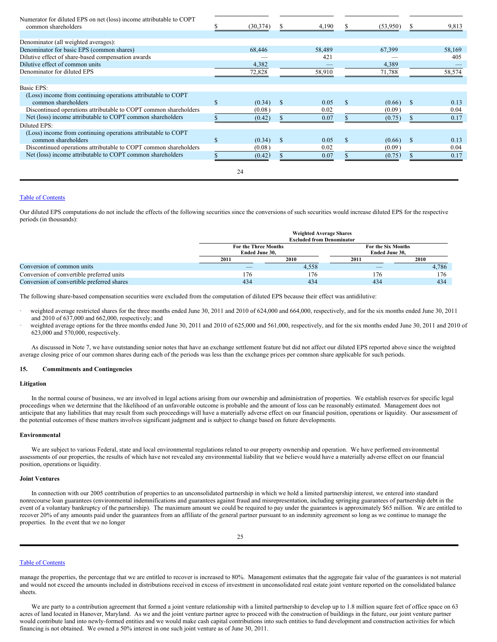| Numerator for diluted EPS on net (loss) income attributable to COPT<br>common shareholders |              | (30, 374) |              | 4,190  |               | (53,950) |              | 9,813  |
|--------------------------------------------------------------------------------------------|--------------|-----------|--------------|--------|---------------|----------|--------------|--------|
|                                                                                            |              |           |              |        |               |          |              |        |
| Denominator (all weighted averages):                                                       |              |           |              |        |               |          |              |        |
| Denominator for basic EPS (common shares)                                                  |              | 68,446    |              | 58,489 |               | 67,399   |              | 58,169 |
| Dilutive effect of share-based compensation awards                                         |              |           |              | 421    |               |          |              | 405    |
| Dilutive effect of common units                                                            |              | 4,382     |              |        |               | 4,389    |              |        |
| Denominator for diluted EPS                                                                |              | 72,828    |              | 58,910 |               | 71,788   |              | 58,574 |
|                                                                                            |              |           |              |        |               |          |              |        |
| Basic EPS:                                                                                 |              |           |              |        |               |          |              |        |
| (Loss) income from continuing operations attributable to COPT                              |              |           |              |        |               |          |              |        |
| common shareholders                                                                        | $\mathbb{S}$ | (0.34)    | <sup>S</sup> | 0.05   | S.            | (0.66)   | -S           | 0.13   |
| Discontinued operations attributable to COPT common shareholders                           |              | (0.08)    |              | 0.02   |               | (0.09)   |              | 0.04   |
| Net (loss) income attributable to COPT common shareholders                                 |              | (0.42)    |              | 0.07   |               | (0.75)   |              | 0.17   |
| Diluted EPS:                                                                               |              |           |              |        |               |          |              |        |
| (Loss) income from continuing operations attributable to COPT                              |              |           |              |        |               |          |              |        |
| common shareholders                                                                        | \$           | (0.34)    | <sup>S</sup> | 0.05   | <sup>\$</sup> | (0.66)   | <sup>S</sup> | 0.13   |
| Discontinued operations attributable to COPT common shareholders                           |              | (0.08)    |              | 0.02   |               | (0.09)   |              | 0.04   |
| Net (loss) income attributable to COPT common shareholders                                 |              | (0.42)    |              | 0.07   |               | (0.75)   |              | 0.17   |
|                                                                                            |              | 24        |              |        |               |          |              |        |

# Table of [Contents](#page-0-0)

Our diluted EPS computations do not include the effects of the following securities since the conversions of such securities would increase diluted EPS for the respective periods (in thousands):

|                                            |                                               | <b>Weighted Average Shares</b><br><b>Excluded from Denominator</b> |                                      |       |  |  |  |  |  |  |
|--------------------------------------------|-----------------------------------------------|--------------------------------------------------------------------|--------------------------------------|-------|--|--|--|--|--|--|
|                                            | <b>For the Three Months</b><br>Ended June 30. |                                                                    | For the Six Months<br>Ended June 30. |       |  |  |  |  |  |  |
|                                            | 2011                                          | 2010                                                               | 2011                                 | 2010  |  |  |  |  |  |  |
| Conversion of common units                 |                                               | 4,558                                                              |                                      | 4.786 |  |  |  |  |  |  |
| Conversion of convertible preferred units  | 176                                           | 176                                                                | 176                                  | 176   |  |  |  |  |  |  |
| Conversion of convertible preferred shares | 434                                           | 434                                                                | 434                                  | 434   |  |  |  |  |  |  |

The following share-based compensation securities were excluded from the computation of diluted EPS because their effect was antidilutive:

- weighted average restricted shares for the three months ended June 30, 2011 and 2010 of 624,000 and 664,000, respectively, and for the six months ended June 30, 2011 and 2010 of 637,000 and 662,000, respectively; and
- weighted average options for the three months ended June 30, 2011 and 2010 of 625,000 and 561,000, respectively, and for the six months ended June 30, 2011 and 2010 of 623,000 and 570,000, respectively.

As discussed in Note 7, we have outstanding senior notes that have an exchange settlement feature but did not affect our diluted EPS reported above since the weighted average closing price of our common shares during each of the periods was less than the exchange prices per common share applicable for such periods.

### **15. Commitments and Contingencies**

#### **Litigation**

In the normal course of business, we are involved in legal actions arising from our ownership and administration of properties. We establish reserves for specific legal proceedings when we determine that the likelihood of an unfavorable outcome is probable and the amount of loss can be reasonably estimated. Management does not anticipate that any liabilities that may result from such proceedings will have a materially adverse effect on our financial position, operations or liquidity. Our assessment of the potential outcomes of these matters involves significant judgment and is subject to change based on future developments.

#### **Environmental**

We are subject to various Federal, state and local environmental regulations related to our property ownership and operation. We have performed environmental assessments of our properties, the results of which have not revealed any environmental liability that we believe would have a materially adverse effect on our financial position, operations or liquidity.

#### **Joint Ventures**

In connection with our 2005 contribution of properties to an unconsolidated partnership in which we hold a limited partnership interest, we entered into standard nonrecourse loan guarantees (environmental indemnifications and guarantees against fraud and misrepresentation, including springing guarantees of partnership debt in the event of a voluntary bankruptcy of the partnership). The maximum amount we could be required to pay under the guarantees is approximately \$65 million. We are entitled to recover 20% of any amounts paid under the guarantees from an affiliate of the general partner pursuant to an indemnity agreement so long as we continue to manage the properties. In the event that we no longer

#### Table of [Contents](#page-0-0)

manage the properties, the percentage that we are entitled to recover is increased to 80%. Management estimates that the aggregate fair value of the guarantees is not material and would not exceed the amounts included in distributions received in excess of investment in unconsolidated real estate joint venture reported on the consolidated balance sheets.

We are party to a contribution agreement that formed a joint venture relationship with a limited partnership to develop up to 1.8 million square feet of office space on 63 acres of land located in Hanover, Maryland. As we and the joint venture partner agree to proceed with the construction of buildings in the future, our joint venture partner would contribute land into newly-formed entities and we would make cash capital contributions into such entities to fund development and construction activities for which financing is not obtained. We owned a 50% interest in one such joint venture as of June 30, 2011.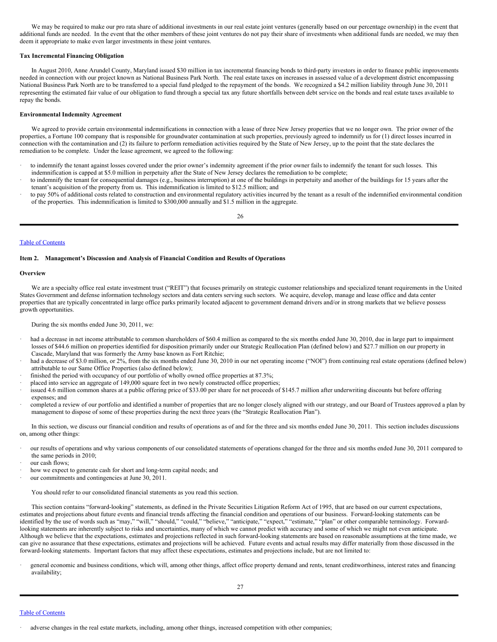We may be required to make our pro rata share of additional investments in our real estate joint ventures (generally based on our percentage ownership) in the event that additional funds are needed. In the event that the other members of these joint ventures do not pay their share of investments when additional funds are needed, we may then deem it appropriate to make even larger investments in these joint ventures.

#### **Tax Incremental Financing Obligation**

In August 2010, Anne Arundel County, Maryland issued \$30 million in tax incremental financing bonds to third-party investors in order to finance public improvements needed in connection with our project known as National Business Park North. The real estate taxes on increases in assessed value of a development district encompassing National Business Park North are to be transferred to a special fund pledged to the repayment of the bonds. We recognized a \$4.2 million liability through June 30, 2011 representing the estimated fair value of our obligation to fund through a special tax any future shortfalls between debt service on the bonds and real estate taxes available to repay the bonds.

#### **Environmental Indemnity Agreement**

We agreed to provide certain environmental indemnifications in connection with a lease of three New Jersey properties that we no longer own. The prior owner of the properties, a Fortune 100 company that is responsible for groundwater contamination at such properties, previously agreed to indemnify us for (1) direct losses incurred in connection with the contamination and (2) its failure to perform remediation activities required by the State of New Jersey, up to the point that the state declares the remediation to be complete. Under the lease agreement, we agreed to the following:

- to indemnify the tenant against losses covered under the prior owner's indemnity agreement if the prior owner fails to indemnify the tenant for such losses. This indemnification is capped at \$5.0 million in perpetuity after the State of New Jersey declares the remediation to be complete;
- to indemnify the tenant for consequential damages (e.g., business interruption) at one of the buildings in perpetuity and another of the buildings for 15 years after the tenant's acquisition of the property from us. This indemnification is limited to \$12.5 million; and
- to pay 50% of additional costs related to construction and environmental regulatory activities incurred by the tenant as a result of the indemnified environmental condition of the properties. This indemnification is limited to \$300,000 annually and \$1.5 million in the aggregate.

<span id="page-15-0"></span>26

#### Table of [Contents](#page-0-0)

#### **Item 2. Management's Discussion and Analysis of Financial Condition and Results of Operations**

#### **Overview**

We are a specialty office real estate investment trust ("REIT") that focuses primarily on strategic customer relationships and specialized tenant requirements in the United States Government and defense information technology sectors and data centers serving such sectors. We acquire, develop, manage and lease office and data center properties that are typically concentrated in large office parks primarily located adjacent to government demand drivers and/or in strong markets that we believe possess growth opportunities.

During the six months ended June 30, 2011, we:

- had a decrease in net income attributable to common shareholders of \$60.4 million as compared to the six months ended June 30, 2010, due in large part to impairment losses of \$44.6 million on properties identified for disposition primarily under our Strategic Reallocation Plan (defined below) and \$27.7 million on our property in Cascade, Maryland that was formerly the Army base known as Fort Ritchie;
- had a decrease of \$3.0 million, or 2%, from the six months ended June 30, 2010 in our net operating income ("NOI") from continuing real estate operations (defined below) attributable to our Same Office Properties (also defined below);
- finished the period with occupancy of our portfolio of wholly owned office properties at 87.3%;
- placed into service an aggregate of 149,000 square feet in two newly constructed office properties;
- · issued 4.6 million common shares at a public offering price of \$33.00 per share for net proceeds of \$145.7 million after underwriting discounts but before offering expenses; and
- · completed a review of our portfolio and identified a number of properties that are no longer closely aligned with our strategy, and our Board of Trustees approved a plan by management to dispose of some of these properties during the next three years (the "Strategic Reallocation Plan").

In this section, we discuss our financial condition and results of operations as of and for the three and six months ended June 30, 2011. This section includes discussions on, among other things:

- · our results of operations and why various components of our consolidated statements of operations changed for the three and six months ended June 30, 2011 compared to the same periods in 2010;
- · our cash flows;
- how we expect to generate cash for short and long-term capital needs; and
- our commitments and contingencies at June 30, 2011.

You should refer to our consolidated financial statements as you read this section.

This section contains "forward-looking" statements, as defined in the Private Securities Litigation Reform Act of 1995, that are based on our current expectations, estimates and projections about future events and financial trends affecting the financial condition and operations of our business. Forward-looking statements can be identified by the use of words such as "may," "will," "should," "could," "believe," "anticipate," "expect," "estimate," "plan" or other comparable terminology. Forwardlooking statements are inherently subject to risks and uncertainties, many of which we cannot predict with accuracy and some of which we might not even anticipate. Although we believe that the expectations, estimates and projections reflected in such forward-looking statements are based on reasonable assumptions at the time made, we can give no assurance that these expectations, estimates and projections will be achieved. Future events and actual results may differ materially from those discussed in the forward-looking statements. Important factors that may affect these expectations, estimates and projections include, but are not limited to:

· general economic and business conditions, which will, among other things, affect office property demand and rents, tenant creditworthiness, interest rates and financing availability;

Table of [Contents](#page-0-0)

adverse changes in the real estate markets, including, among other things, increased competition with other companies;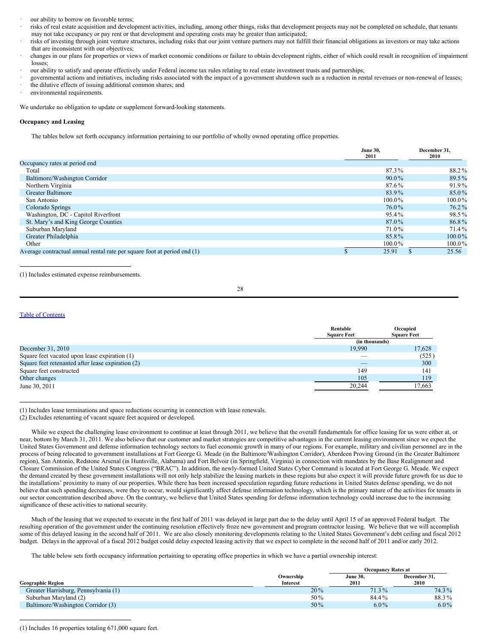- our ability to borrow on favorable terms;
- · risks of real estate acquisition and development activities, including, among other things, risks that development projects may not be completed on schedule, that tenants may not take occupancy or pay rent or that development and operating costs may be greater than anticipated;
- · risks of investing through joint venture structures, including risks that our joint venture partners may not fulfill their financial obligations as investors or may take actions that are inconsistent with our objectives;
- · changes in our plans for properties or views of market economic conditions or failure to obtain development rights, either of which could result in recognition of impairment losses;
- our ability to satisfy and operate effectively under Federal income tax rules relating to real estate investment trusts and partnerships;
- · governmental actions and initiatives, including risks associated with the impact of a government shutdown such as a reduction in rental revenues or non-renewal of leases;
- the dilutive effects of issuing additional common shares; and

environmental requirements.

We undertake no obligation to update or supplement forward-looking statements.

## **Occupancy and Leasing**

The tables below set forth occupancy information pertaining to our portfolio of wholly owned operating office properties.

|                                                                          | <b>June 30,</b> | December 31. |
|--------------------------------------------------------------------------|-----------------|--------------|
|                                                                          | 2011            | 2010         |
| Occupancy rates at period end.                                           |                 |              |
| Total                                                                    | 87.3%           | 88.2%        |
| Baltimore/Washington Corridor                                            | $90.0\%$        | 89.5%        |
| Northern Virginia                                                        | 87.6%           | 91.9%        |
| <b>Greater Baltimore</b>                                                 | 83.9%           | 85.0%        |
| San Antonio                                                              | $100.0\%$       | $100.0\%$    |
| Colorado Springs                                                         | 76.0%           | 76.2%        |
| Washington, DC - Capitol Riverfront                                      | 95.4%           | 98.5%        |
| St. Mary's and King George Counties                                      | 87.0%           | 86.8%        |
| Suburban Maryland                                                        | 71.0%           | 71.4%        |
| Greater Philadelphia                                                     | 85.8%           | 100.0%       |
| Other                                                                    | $100.0\%$       | $100.0\%$    |
| Average contractual annual rental rate per square foot at period end (1) | 25.91           | 25.56        |

(1) Includes estimated expense reimbursements.

28

# Table of [Contents](#page-0-0)

|                                                   | Rentable           | Occupied           |
|---------------------------------------------------|--------------------|--------------------|
|                                                   | <b>Square Feet</b> | <b>Square Feet</b> |
|                                                   | (in thousands)     |                    |
| December 31, 2010                                 | 19.990             | 17.628             |
| Square feet vacated upon lease expiration (1)     |                    | (525)              |
| Square feet retenanted after lease expiration (2) |                    | 300                |
| Square feet constructed                           | 149                | 141                |
| Other changes                                     | 105                | 119                |
| June 30, 2011                                     | 20,244             | 17,663             |

(1) Includes lease terminations and space reductions occurring in connection with lease renewals.

Much of the leasing that we expected to execute in the first half of 2011 was delayed in large part due to the delay until April 15 of an approved Federal budget. The resulting operation of the government under the continuing resolution effectively froze new government and program contractor leasing. We believe that we will accomplish some of this delayed leasing in the second half of 2011. We are also closely monitoring developments relating to the United States Government's debt ceiling and fiscal 2012 budget. Delays in the approval of a fiscal 2012 budget could delay expected leasing activity that we expect to complete in the second half of 2011 and/or early 2012.

The table below sets forth occupancy information pertaining to operating office properties in which we have a partial ownership interest:

|                                      |                 | <b>Occupancy Rates at</b> |              |
|--------------------------------------|-----------------|---------------------------|--------------|
|                                      | Ownership       | <b>June 30,</b>           | December 31, |
| <b>Geographic Region</b>             | <b>Interest</b> | 2011                      | 2010         |
| Greater Harrisburg, Pennsylvania (1) | 20%             | $71.3\%$                  | 74.3%        |
| Suburban Maryland (2)                | 50%             | 84.4%                     | 88.3%        |
| Baltimore/Washington Corridor (3)    | $50\%$          | $6.0\%$                   | $6.0\%$      |
|                                      |                 |                           |              |

(1) Includes 16 properties totaling 671,000 square feet.

<sup>(2)</sup> Excludes retenanting of vacant square feet acquired or developed.

While we expect the challenging lease environment to continue at least through 2011, we believe that the overall fundamentals for office leasing for us were either at, or near, bottom by March 31, 2011. We also believe that our customer and market strategies are competitive advantages in the current leasing environment since we expect the United States Government and defense information technology sectors to fuel economic growth in many of our regions. For example, military and civilian personnel are in the process of being relocated to government installations at Fort George G. Meade (in the Baltimore/Washington Corridor), Aberdeen Proving Ground (in the Greater Baltimore region), San Antonio, Redstone Arsenal (in Huntsville, Alabama) and Fort Belvoir (in Springfield, Virginia) in connection with mandates by the Base Realignment and Closure Commission of the United States Congress ("BRAC"). In addition, the newly-formed United States Cyber Command is located at Fort George G. Meade. We expect the demand created by these government installations will not only help stabilize the leasing markets in these regions but also expect it will provide future growth for us due to the installations' proximity to many of our properties. While there has been increased speculation regarding future reductions in United States defense spending, we do not believe that such spending decreases, were they to occur, would significantly affect defense information technology, which is the primary nature of the activities for tenants in our sector concentration described above. On the contrary, we believe that United States spending for defense information technology could increase due to the increasing significance of these activities to national security.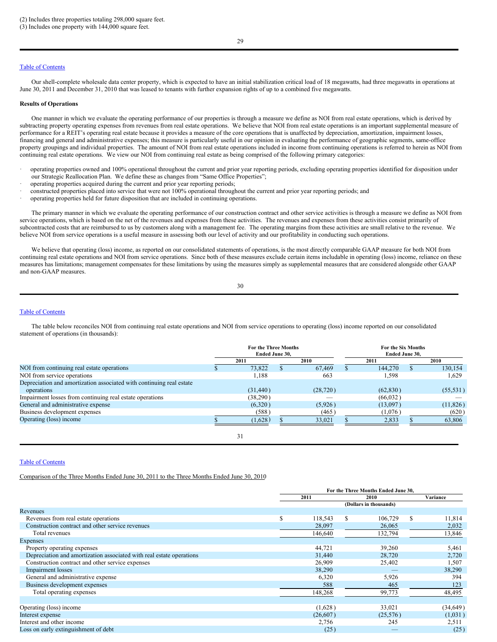(2) Includes three properties totaling 298,000 square feet. (3) Includes one property with 144,000 square feet.

#### Table of [Contents](#page-0-0)

Our shell-complete wholesale data center property, which is expected to have an initial stabilization critical load of 18 megawatts, had three megawatts in operations at June 30, 2011 and December 31, 2010 that was leased to tenants with further expansion rights of up to a combined five megawatts.

#### **Results of Operations**

One manner in which we evaluate the operating performance of our properties is through a measure we define as NOI from real estate operations, which is derived by subtracting property operating expenses from revenues from real estate operations. We believe that NOI from real estate operations is an important supplemental measure of performance for a REIT's operating real estate because it provides a measure of the core operations that is unaffected by depreciation, amortization, impairment losses, financing and general and administrative expenses; this measure is particularly useful in our opinion in evaluating the performance of geographic segments, same-office property groupings and individual properties. The amount of NOI from real estate operations included in income from continuing operations is referred to herein as NOI from continuing real estate operations. We view our NOI from continuing real estate as being comprised of the following primary categories:

- · operating properties owned and 100% operational throughout the current and prior year reporting periods, excluding operating properties identified for disposition under our Strategic Reallocation Plan. We define these as changes from "Same Office Properties";
- operating properties acquired during the current and prior year reporting periods;
- · constructed properties placed into service that were not 100% operational throughout the current and prior year reporting periods; and
- · operating properties held for future disposition that are included in continuing operations.

The primary manner in which we evaluate the operating performance of our construction contract and other service activities is through a measure we define as NOI from service operations, which is based on the net of the revenues and expenses from these activities. The revenues and expenses from these activities consist primarily of subcontracted costs that are reimbursed to us by customers along with a management fee. The operating margins from these activities are small relative to the revenue. We believe NOI from service operations is a useful measure in assessing both our level of activity and our profitability in conducting such operations.

We believe that operating (loss) income, as reported on our consolidated statements of operations, is the most directly comparable GAAP measure for both NOI from continuing real estate operations and NOI from service operations. Since both of these measures exclude certain items includable in operating (loss) income, reliance on these measures has limitations; management compensates for these limitations by using the measures simply as supplemental measures that are considered alongside other GAAP and non-GAAP measures.

|                  | ۰.          |
|------------------|-------------|
| ٠<br>ı<br>$\sim$ | i<br>I<br>٧ |

# Table of [Contents](#page-0-0)

The table below reconciles NOI from continuing real estate operations and NOI from service operations to operating (loss) income reported on our consolidated statement of operations (in thousands):

|                                                                      | <b>For the Three Months</b><br>Ended June 30. |           |  |           | <b>For the Six Months</b><br>Ended June 30. |           |  |           |
|----------------------------------------------------------------------|-----------------------------------------------|-----------|--|-----------|---------------------------------------------|-----------|--|-----------|
|                                                                      |                                               | 2011      |  | 2010      |                                             | 2011      |  | 2010      |
| NOI from continuing real estate operations                           |                                               | 73.822    |  | 67,469    |                                             | 144,270   |  | 130,154   |
| NOI from service operations                                          |                                               | 1,188     |  | 663       |                                             | 1,598     |  | 1,629     |
| Depreciation and amortization associated with continuing real estate |                                               |           |  |           |                                             |           |  |           |
| operations                                                           |                                               | (31, 440) |  | (28, 720) |                                             | (62, 830) |  | (55, 531) |
| Impairment losses from continuing real estate operations             |                                               | (38, 290) |  |           |                                             | (66, 032) |  |           |
| General and administrative expense                                   |                                               | (6,320)   |  | (5,926)   |                                             | (13,097)  |  | (11, 826) |
| Business development expenses                                        |                                               | (588)     |  | (465)     |                                             | (1,076)   |  | (620)     |
| Operating (loss) income                                              |                                               | (1,628)   |  | 33,021    |                                             | 2,833     |  | 63,806    |
|                                                                      |                                               | 31        |  |           |                                             |           |  |           |

## Table of [Contents](#page-0-0)

Comparison of the Three Months Ended June 30, 2011 to the Three Months Ended June 30, 2010

|                                                                      | For the Three Months Ended June 30, |          |     |                        |   |           |
|----------------------------------------------------------------------|-------------------------------------|----------|-----|------------------------|---|-----------|
|                                                                      |                                     | 2011     |     | 2010                   |   | Variance  |
|                                                                      |                                     |          |     | (Dollars in thousands) |   |           |
| Revenues                                                             |                                     |          |     |                        |   |           |
| Revenues from real estate operations                                 | У.                                  | 118,543  | \$. | 106,729                | S | 11,814    |
| Construction contract and other service revenues                     |                                     | 28,097   |     | 26,065                 |   | 2,032     |
| Total revenues                                                       |                                     | 146,640  |     | 132,794                |   | 13,846    |
| <b>Expenses</b>                                                      |                                     |          |     |                        |   |           |
| Property operating expenses                                          |                                     | 44,721   |     | 39,260                 |   | 5,461     |
| Depreciation and amortization associated with real estate operations |                                     | 31,440   |     | 28,720                 |   | 2,720     |
| Construction contract and other service expenses                     |                                     | 26,909   |     | 25,402                 |   | 1,507     |
| Impairment losses                                                    |                                     | 38,290   |     |                        |   | 38,290    |
| General and administrative expense                                   |                                     | 6,320    |     | 5,926                  |   | 394       |
| Business development expenses                                        |                                     | 588      |     | 465                    |   | 123       |
| Total operating expenses                                             |                                     | 148,268  |     | 99,773                 |   | 48,495    |
|                                                                      |                                     |          |     |                        |   |           |
| Operating (loss) income                                              |                                     | (1,628)  |     | 33,021                 |   | (34, 649) |
| Interest expense                                                     |                                     | (26,607) |     | (25, 576)              |   | (1,031)   |
| Interest and other income                                            |                                     | 2,756    |     | 245                    |   | 2,511     |
| Loss on early extinguishment of debt                                 |                                     | (25)     |     |                        |   | (25)      |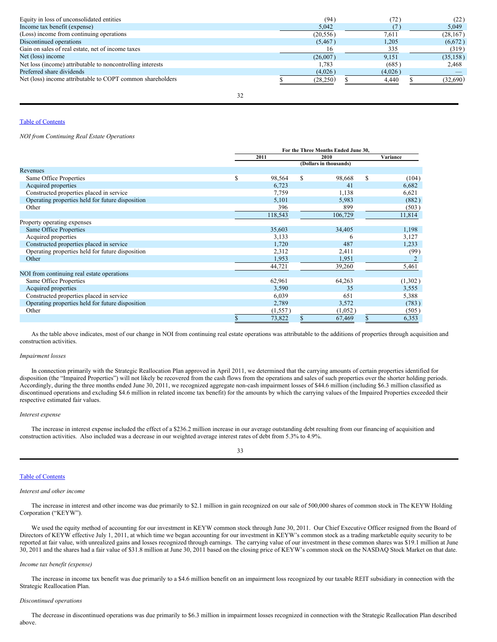| Equity in loss of unconsolidated entities                  | (94)      | (72)    | (22)      |
|------------------------------------------------------------|-----------|---------|-----------|
| Income tax benefit (expense)                               | 5,042     |         | 5,049     |
| (Loss) income from continuing operations                   | (20, 556) | 7,611   | (28, 167) |
| Discontinued operations                                    | (5, 467)  | 1,205   | (6,672)   |
| Gain on sales of real estate, net of income taxes          | 16        | 335     | (319)     |
| Net (loss) income                                          | (26,007)  | 9.151   | (35, 158) |
| Net loss (income) attributable to noncontrolling interests | 1,783     | (685)   | 2,468     |
| Preferred share dividends                                  | (4,026)   | (4,026) |           |
| Net (loss) income attributable to COPT common shareholders | (28, 250) | 4.440   | (32,690)  |
|                                                            |           |         |           |

# Table of [Contents](#page-0-0)

*NOI from Continuing Real Estate Operations*

|                                                  | For the Three Months Ended June 30, |    |                        |   |          |  |  |  |
|--------------------------------------------------|-------------------------------------|----|------------------------|---|----------|--|--|--|
|                                                  | 2011                                |    | 2010                   |   | Variance |  |  |  |
|                                                  |                                     |    | (Dollars in thousands) |   |          |  |  |  |
| Revenues                                         |                                     |    |                        |   |          |  |  |  |
| Same Office Properties                           | \$<br>98,564                        | \$ | 98,668                 | S | (104)    |  |  |  |
| Acquired properties                              | 6,723                               |    | 41                     |   | 6,682    |  |  |  |
| Constructed properties placed in service         | 7,759                               |    | 1,138                  |   | 6,621    |  |  |  |
| Operating properties held for future disposition | 5,101                               |    | 5,983                  |   | (882)    |  |  |  |
| Other                                            | 396                                 |    | 899                    |   | (503)    |  |  |  |
|                                                  | 118,543                             |    | 106,729                |   | 11,814   |  |  |  |
| Property operating expenses                      |                                     |    |                        |   |          |  |  |  |
| Same Office Properties                           | 35,603                              |    | 34,405                 |   | 1,198    |  |  |  |
| Acquired properties                              | 3,133                               |    | 6                      |   | 3,127    |  |  |  |
| Constructed properties placed in service         | 1,720                               |    | 487                    |   | 1,233    |  |  |  |
| Operating properties held for future disposition | 2,312                               |    | 2,411                  |   | (99)     |  |  |  |
| Other                                            | 1,953                               |    | 1,951                  |   |          |  |  |  |
|                                                  | 44,721                              |    | 39,260                 |   | 5,461    |  |  |  |
| NOI from continuing real estate operations       |                                     |    |                        |   |          |  |  |  |
| Same Office Properties                           | 62,961                              |    | 64,263                 |   | (1,302)  |  |  |  |
| Acquired properties                              | 3,590                               |    | 35                     |   | 3,555    |  |  |  |
| Constructed properties placed in service         | 6,039                               |    | 651                    |   | 5,388    |  |  |  |
| Operating properties held for future disposition | 2,789                               |    | 3,572                  |   | (783)    |  |  |  |
| Other                                            | (1, 557)                            |    | (1,052)                |   | (505)    |  |  |  |
|                                                  | 73,822                              |    | 67,469                 | S | 6,353    |  |  |  |

As the table above indicates, most of our change in NOI from continuing real estate operations was attributable to the additions of properties through acquisition and construction activities.

# *Impairment losses*

In connection primarily with the Strategic Reallocation Plan approved in April 2011, we determined that the carrying amounts of certain properties identified for disposition (the "Impaired Properties") will not likely be recovered from the cash flows from the operations and sales of such properties over the shorter holding periods. Accordingly, during the three months ended June 30, 2011, we recognized aggregate non-cash impairment losses of \$44.6 million (including \$6.3 million classified as discontinued operations and excluding \$4.6 million in related income tax benefit) for the amounts by which the carrying values of the Impaired Properties exceeded their respective estimated fair values.

#### *Interest expense*

The increase in interest expense included the effect of a \$236.2 million increase in our average outstanding debt resulting from our financing of acquisition and construction activities. Also included was a decrease in our weighted average interest rates of debt from 5.3% to 4.9%.

# Table of [Contents](#page-0-0)

#### *Interest and other income*

The increase in interest and other income was due primarily to \$2.1 million in gain recognized on our sale of 500,000 shares of common stock in The KEYW Holding Corporation ("KEYW").

We used the equity method of accounting for our investment in KEYW common stock through June 30, 2011. Our Chief Executive Officer resigned from the Board of Directors of KEYW effective July 1, 2011, at which time we began accounting for our investment in KEYW's common stock as a trading marketable equity security to be reported at fair value, with unrealized gains and losses recognized through earnings. The carrying value of our investment in these common shares was \$19.1 million at June 30, 2011 and the shares had a fair value of \$31.8 million at June 30, 2011 based on the closing price of KEYW's common stock on the NASDAQ Stock Market on that date.

#### *Income tax benefit (expense)*

The increase in income tax benefit was due primarily to a \$4.6 million benefit on an impairment loss recognized by our taxable REIT subsidiary in connection with the Strategic Reallocation Plan.

## *Discontinued operations*

The decrease in discontinued operations was due primarily to \$6.3 million in impairment losses recognized in connection with the Strategic Reallocation Plan described above.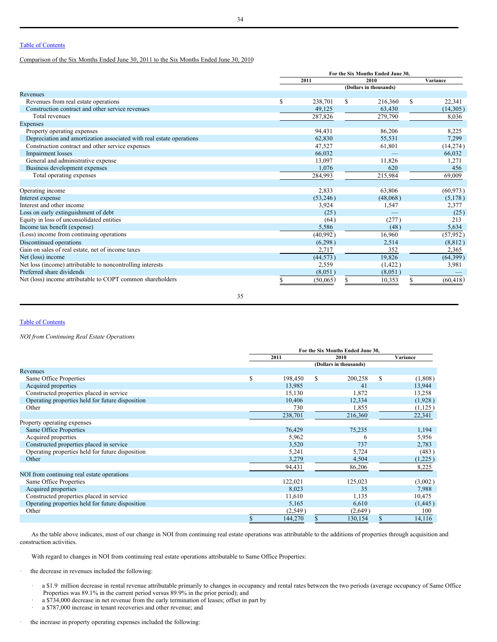# Table of [Contents](#page-0-0)

Comparison of the Six Months Ended June 30, 2011 to the Six Months Ended June 30, 2010

|                                                                      |    |           | 2010          |                        | Variance |           |
|----------------------------------------------------------------------|----|-----------|---------------|------------------------|----------|-----------|
|                                                                      |    |           |               | (Dollars in thousands) |          |           |
| Revenues                                                             |    |           |               |                        |          |           |
| Revenues from real estate operations                                 | \$ | 238,701   | <sup>\$</sup> | 216,360                | \$       | 22,341    |
| Construction contract and other service revenues                     |    | 49,125    |               | 63,430                 |          | (14,305)  |
| Total revenues                                                       |    | 287,826   |               | 279,790                |          | 8,036     |
| Expenses                                                             |    |           |               |                        |          |           |
| Property operating expenses                                          |    | 94,431    |               | 86,206                 |          | 8,225     |
| Depreciation and amortization associated with real estate operations |    | 62,830    |               | 55,531                 |          | 7,299     |
| Construction contract and other service expenses                     |    | 47,527    |               | 61,801                 |          | (14, 274) |
| <b>Impairment</b> losses                                             |    | 66,032    |               |                        |          | 66,032    |
| General and administrative expense                                   |    | 13,097    |               | 11,826                 |          | 1,271     |
| Business development expenses                                        |    | 1,076     |               | 620                    |          | 456       |
| Total operating expenses                                             |    | 284,993   |               | 215,984                |          | 69,009    |
|                                                                      |    |           |               |                        |          |           |
| Operating income                                                     |    | 2,833     |               | 63,806                 |          | (60, 973) |
| Interest expense                                                     |    | (53,246)  |               | (48,068)               |          | (5,178)   |
| Interest and other income                                            |    | 3,924     |               | 1,547                  |          | 2,377     |
| Loss on early extinguishment of debt                                 |    | (25)      |               |                        |          | (25)      |
| Equity in loss of unconsolidated entities                            |    | (64)      |               | (277)                  |          | 213       |
| Income tax benefit (expense)                                         |    | 5,586     |               | (48)                   |          | 5,634     |
| (Loss) income from continuing operations                             |    | (40, 992) |               | 16,960                 |          | (57, 952) |
| Discontinued operations                                              |    | (6,298)   |               | 2,514                  |          | (8, 812)  |
| Gain on sales of real estate, net of income taxes                    |    | 2,717     |               | 352                    |          | 2,365     |
| Net (loss) income                                                    |    | (44, 573) |               | 19,826                 |          | (64,399)  |
| Net loss (income) attributable to noncontrolling interests           |    | 2,559     |               | (1, 422)               |          | 3,981     |
| Preferred share dividends                                            |    | (8,051)   |               | (8,051)                |          |           |
| Net (loss) income attributable to COPT common shareholders           |    | (50,065)  |               | 10,353                 |          | (60, 418) |

35

## Table of [Contents](#page-0-0)

*NOI from Continuing Real Estate Operations*

|                                                  | For the Six Months Ended June 30, |    |                        |    |          |  |  |  |
|--------------------------------------------------|-----------------------------------|----|------------------------|----|----------|--|--|--|
|                                                  | 2011                              |    | 2010                   |    | Variance |  |  |  |
|                                                  |                                   |    | (Dollars in thousands) |    |          |  |  |  |
| Revenues                                         |                                   |    |                        |    |          |  |  |  |
| Same Office Properties                           | \$<br>198,450                     | \$ | 200,258                | \$ | (1,808)  |  |  |  |
| Acquired properties                              | 13,985                            |    | 41                     |    | 13,944   |  |  |  |
| Constructed properties placed in service         | 15,130                            |    | 1,872                  |    | 13,258   |  |  |  |
| Operating properties held for future disposition | 10,406                            |    | 12,334                 |    | (1,928)  |  |  |  |
| Other                                            | 730                               |    | 1,855                  |    | (1, 125) |  |  |  |
|                                                  | 238,701                           |    | 216,360                |    | 22,341   |  |  |  |
| Property operating expenses                      |                                   |    |                        |    |          |  |  |  |
| Same Office Properties                           | 76,429                            |    | 75,235                 |    | 1,194    |  |  |  |
| Acquired properties                              | 5,962                             |    | 6                      |    | 5,956    |  |  |  |
| Constructed properties placed in service         | 3,520                             |    | 737                    |    | 2,783    |  |  |  |
| Operating properties held for future disposition | 5,241                             |    | 5,724                  |    | (483)    |  |  |  |
| Other                                            | 3,279                             |    | 4,504                  |    | (1,225)  |  |  |  |
|                                                  | 94,431                            |    | 86,206                 |    | 8,225    |  |  |  |
| NOI from continuing real estate operations       |                                   |    |                        |    |          |  |  |  |
| Same Office Properties                           | 122,021                           |    | 125,023                |    | (3,002)  |  |  |  |
| Acquired properties                              | 8,023                             |    | 35                     |    | 7,988    |  |  |  |
| Constructed properties placed in service         | 11,610                            |    | 1,135                  |    | 10,475   |  |  |  |
| Operating properties held for future disposition | 5,165                             |    | 6,610                  |    | (1, 445) |  |  |  |
| Other                                            | (2, 549)                          |    | (2,649)                |    | 100      |  |  |  |
|                                                  | 144,270                           |    | 130,154                |    | 14,116   |  |  |  |

As the table above indicates, most of our change in NOI from continuing real estate operations was attributable to the additions of properties through acquisition and construction activities.

With regard to changes in NOI from continuing real estate operations attributable to Same Office Properties:

the decrease in revenues included the following:

- · a \$1.9 million decrease in rental revenue attributable primarily to changes in occupancy and rental rates between the two periods (average occupancy of Same Office Properties was 89.1% in the current period versus 89.9% in the prior period); and
- · a \$734,000 decrease in net revenue from the early termination of leases; offset in part by
- · a \$787,000 increase in tenant recoveries and other revenue; and
- · the increase in property operating expenses included the following: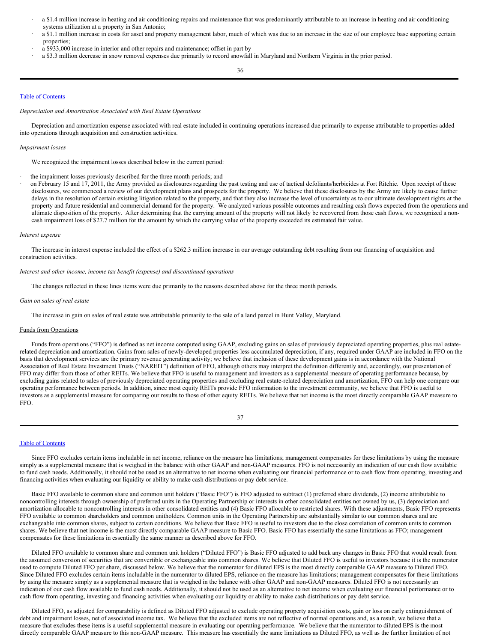- a \$1.4 million increase in heating and air conditioning repairs and maintenance that was predominantly attributable to an increase in heating and air conditioning systems utilization at a property in San Antonio;
- a \$1.1 million increase in costs for asset and property management labor, much of which was due to an increase in the size of our employee base supporting certain properties;
- a \$933,000 increase in interior and other repairs and maintenance; offset in part by
- · a \$3.3 million decrease in snow removal expenses due primarily to record snowfall in Maryland and Northern Virginia in the prior period.

36

# Table of [Contents](#page-0-0)

# *Depreciation and Amortization Associated with Real Estate Operations*

Depreciation and amortization expense associated with real estate included in continuing operations increased due primarily to expense attributable to properties added into operations through acquisition and construction activities.

#### *Impairment losses*

We recognized the impairment losses described below in the current period:

- the impairment losses previously described for the three month periods; and
- · on February 15 and 17, 2011, the Army provided us disclosures regarding the past testing and use of tactical defoliants/herbicides at Fort Ritchie. Upon receipt of these disclosures, we commenced a review of our development plans and prospects for the property. We believe that these disclosures by the Army are likely to cause further delays in the resolution of certain existing litigation related to the property, and that they also increase the level of uncertainty as to our ultimate development rights at the property and future residential and commercial demand for the property. We analyzed various possible outcomes and resulting cash flows expected from the operations and ultimate disposition of the property. After determining that the carrying amount of the property will not likely be recovered from those cash flows, we recognized a noncash impairment loss of \$27.7 million for the amount by which the carrying value of the property exceeded its estimated fair value.

#### *Interest expense*

The increase in interest expense included the effect of a \$262.3 million increase in our average outstanding debt resulting from our financing of acquisition and construction activities.

#### *Interest and other income, income tax benefit (expense) and discontinued operations*

The changes reflected in these lines items were due primarily to the reasons described above for the three month periods.

#### *Gain on sales of real estate*

The increase in gain on sales of real estate was attributable primarily to the sale of a land parcel in Hunt Valley, Maryland.

#### Funds from Operations

Funds from operations ("FFO") is defined as net income computed using GAAP, excluding gains on sales of previously depreciated operating properties, plus real estaterelated depreciation and amortization. Gains from sales of newly-developed properties less accumulated depreciation, if any, required under GAAP are included in FFO on the basis that development services are the primary revenue generating activity; we believe that inclusion of these development gains is in accordance with the National Association of Real Estate Investment Trusts ("NAREIT") definition of FFO, although others may interpret the definition differently and, accordingly, our presentation of FFO may differ from those of other REITs. We believe that FFO is useful to management and investors as a supplemental measure of operating performance because, by excluding gains related to sales of previously depreciated operating properties and excluding real estate-related depreciation and amortization, FFO can help one compare our operating performance between periods. In addition, since most equity REITs provide FFO information to the investment community, we believe that FFO is useful to investors as a supplemental measure for comparing our results to those of other equity REITs. We believe that net income is the most directly comparable GAAP measure to FFO.

# Table of [Contents](#page-0-0)

Since FFO excludes certain items includable in net income, reliance on the measure has limitations; management compensates for these limitations by using the measure simply as a supplemental measure that is weighed in the balance with other GAAP and non-GAAP measures. FFO is not necessarily an indication of our cash flow available to fund cash needs. Additionally, it should not be used as an alternative to net income when evaluating our financial performance or to cash flow from operating, investing and financing activities when evaluating our liquidity or ability to make cash distributions or pay debt service.

Basic FFO available to common share and common unit holders ("Basic FFO") is FFO adjusted to subtract (1) preferred share dividends, (2) income attributable to noncontrolling interests through ownership of preferred units in the Operating Partnership or interests in other consolidated entities not owned by us, (3) depreciation and amortization allocable to noncontrolling interests in other consolidated entities and (4) Basic FFO allocable to restricted shares. With these adjustments, Basic FFO represents FFO available to common shareholders and common unitholders. Common units in the Operating Partnership are substantially similar to our common shares and are exchangeable into common shares, subject to certain conditions. We believe that Basic FFO is useful to investors due to the close correlation of common units to common shares. We believe that net income is the most directly comparable GAAP measure to Basic FFO. Basic FFO has essentially the same limitations as FFO; management compensates for these limitations in essentially the same manner as described above for FFO.

Diluted FFO available to common share and common unit holders ("Diluted FFO") is Basic FFO adjusted to add back any changes in Basic FFO that would result from the assumed conversion of securities that are convertible or exchangeable into common shares. We believe that Diluted FFO is useful to investors because it is the numerator used to compute Diluted FFO per share, discussed below. We believe that the numerator for diluted EPS is the most directly comparable GAAP measure to Diluted FFO. Since Diluted FFO excludes certain items includable in the numerator to diluted EPS, reliance on the measure has limitations; management compensates for these limitations by using the measure simply as a supplemental measure that is weighed in the balance with other GAAP and non-GAAP measures. Diluted FFO is not necessarily an indication of our cash flow available to fund cash needs. Additionally, it should not be used as an alternative to net income when evaluating our financial performance or to cash flow from operating, investing and financing activities when evaluating our liquidity or ability to make cash distributions or pay debt service.

Diluted FFO, as adjusted for comparability is defined as Diluted FFO adjusted to exclude operating property acquisition costs, gain or loss on early extinguishment of debt and impairment losses, net of associated income tax. We believe that the excluded items are not reflective of normal operations and, as a result, we believe that a measure that excludes these items is a useful supplemental measure in evaluating our operating performance. We believe that the numerator to diluted EPS is the most directly comparable GAAP measure to this non-GAAP measure. This measure has essentially the same limitations as Diluted FFO, as well as the further limitation of not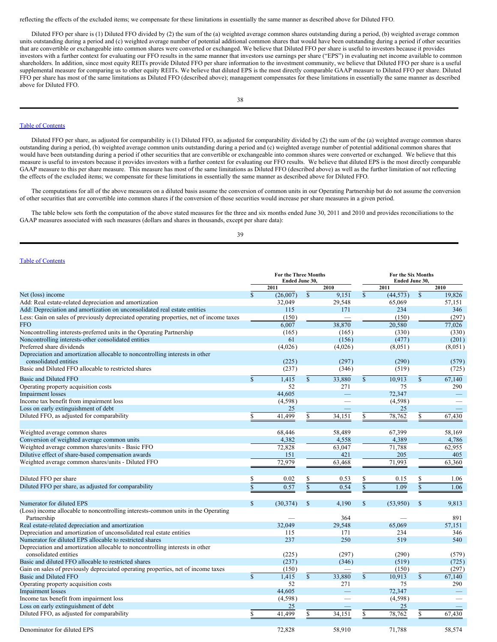reflecting the effects of the excluded items; we compensate for these limitations in essentially the same manner as described above for Diluted FFO.

Diluted FFO per share is (1) Diluted FFO divided by (2) the sum of the (a) weighted average common shares outstanding during a period, (b) weighted average common units outstanding during a period and (c) weighted average number of potential additional common shares that would have been outstanding during a period if other securities that are convertible or exchangeable into common shares were converted or exchanged. We believe that Diluted FFO per share is useful to investors because it provides investors with a further context for evaluating our FFO results in the same manner that investors use earnings per share ("EPS") in evaluating net income available to common shareholders. In addition, since most equity REITs provide Diluted FFO per share information to the investment community, we believe that Diluted FFO per share is a useful supplemental measure for comparing us to other equity REITs. We believe that diluted EPS is the most directly comparable GAAP measure to Diluted FFO per share. Diluted FFO per share has most of the same limitations as Diluted FFO (described above); management compensates for these limitations in essentially the same manner as described above for Diluted FFO.

## Table of [Contents](#page-0-0)

Diluted FFO per share, as adjusted for comparability is (1) Diluted FFO, as adjusted for comparability divided by (2) the sum of the (a) weighted average common shares outstanding during a period, (b) weighted average common units outstanding during a period and (c) weighted average number of potential additional common shares that would have been outstanding during a period if other securities that are convertible or exchangeable into common shares were converted or exchanged. We believe that this measure is useful to investors because it provides investors with a further context for evaluating our FFO results. We believe that diluted EPS is the most directly comparable GAAP measure to this per share measure. This measure has most of the same limitations as Diluted FFO (described above) as well as the further limitation of not reflecting the effects of the excluded items; we compensate for these limitations in essentially the same manner as described above for Diluted FFO.

The computations for all of the above measures on a diluted basis assume the conversion of common units in our Operating Partnership but do not assume the conversion of other securities that are convertible into common shares if the conversion of those securities would increase per share measures in a given period.

The table below sets forth the computation of the above stated measures for the three and six months ended June 30, 2011 and 2010 and provides reconciliations to the GAAP measures associated with such measures (dollars and shares in thousands, except per share data):

39

#### Table of [Contents](#page-0-0)

|                                                                                         |                | <b>For the Three Months</b><br><b>Ended June 30.</b> |              |         |              | For the Six Months<br><b>Ended June 30.</b> |                         |                          |
|-----------------------------------------------------------------------------------------|----------------|------------------------------------------------------|--------------|---------|--------------|---------------------------------------------|-------------------------|--------------------------|
|                                                                                         |                | 2011                                                 |              | 2010    |              | 2011                                        |                         | 2010                     |
| Net (loss) income                                                                       | $\overline{s}$ | (26,007)                                             | $\mathbb{S}$ | 9,151   | $\mathbf S$  | (44, 573)                                   | $\overline{\mathbb{S}}$ | 19,826                   |
| Add: Real estate-related depreciation and amortization                                  |                | 32,049                                               |              | 29,548  |              | 65,069                                      |                         | 57,151                   |
| Add: Depreciation and amortization on unconsolidated real estate entities               |                | 115                                                  |              | 171     |              | 234                                         |                         | 346                      |
| Less: Gain on sales of previously depreciated operating properties, net of income taxes |                | (150)                                                |              |         |              | (150)                                       |                         | (297)                    |
| <b>FFO</b>                                                                              |                | 6.007                                                |              | 38,870  |              | 20,580                                      |                         | 77,026                   |
| Noncontrolling interests-preferred units in the Operating Partnership                   |                | (165)                                                |              | (165)   |              | (330)                                       |                         | (330)                    |
| Noncontrolling interests-other consolidated entities                                    |                | 61                                                   |              | (156)   |              | (477)                                       |                         | (201)                    |
| Preferred share dividends                                                               |                | (4,026)                                              |              | (4,026) |              | (8,051)                                     |                         | (8,051)                  |
| Depreciation and amortization allocable to noncontrolling interests in other            |                |                                                      |              |         |              |                                             |                         |                          |
| consolidated entities                                                                   |                | (225)                                                |              | (297)   |              | (290)                                       |                         | (579)                    |
| Basic and Diluted FFO allocable to restricted shares                                    |                | (237)                                                |              | (346)   |              | (519)                                       |                         | (725)                    |
| Basic and Diluted FFO                                                                   | $\mathbf S$    | 1,415                                                | $\mathbb{S}$ | 33,880  | $\mathbb{S}$ | 10,913                                      | $\mathbf S$             | 67,140                   |
| Operating property acquisition costs                                                    |                | 52                                                   |              | 271     |              | 75                                          |                         | 290                      |
| <b>Impairment</b> losses                                                                |                | 44,605                                               |              |         |              | 72,347                                      |                         | $\overline{\phantom{0}}$ |
| Income tax benefit from impairment loss                                                 |                | (4,598)                                              |              |         |              | (4,598)                                     |                         |                          |
| Loss on early extinguishment of debt                                                    |                | 25                                                   |              |         |              | 25                                          |                         |                          |
| Diluted FFO, as adjusted for comparability                                              | S              | 41,499                                               |              | 34,151  | S            | 78,762                                      | S                       | 67,430                   |
|                                                                                         |                |                                                      |              |         |              |                                             |                         |                          |
| Weighted average common shares                                                          |                | 68,446                                               |              | 58,489  |              | 67,399                                      |                         | 58,169                   |
| Conversion of weighted average common units                                             |                | 4,382                                                |              | 4,558   |              | 4,389                                       |                         | 4,786                    |
| Weighted average common shares/units - Basic FFO                                        |                | 72,828                                               |              | 63,047  |              | 71,788                                      |                         | 62,955                   |
| Dilutive effect of share-based compensation awards                                      |                | 151                                                  |              | 421     |              | 205                                         |                         | 405                      |
| Weighted average common shares/units - Diluted FFO                                      |                | 72,979                                               |              | 63,468  |              | 71,993                                      |                         | 63,360                   |
| Diluted FFO per share                                                                   | S              | 0.02                                                 | S            | 0.53    | $\mathbb{S}$ | 0.15                                        | S                       | 1.06                     |
| Diluted FFO per share, as adjusted for comparability                                    | $\mathbf S$    | 0.57                                                 | $\mathbf S$  | 0.54    | $\mathbb{S}$ | 1.09                                        | $\mathbb{S}$            | 1.06                     |
|                                                                                         |                |                                                      |              |         |              |                                             |                         |                          |
| Numerator for diluted EPS                                                               | $\mathbb{S}$   | (30, 374)                                            | $\mathbb{S}$ | 4,190   | $\mathbb{S}$ | (53,950)                                    | $\mathbb{S}$            | 9,813                    |
| (Loss) income allocable to noncontrolling interests-common units in the Operating       |                |                                                      |              |         |              |                                             |                         |                          |
| Partnership                                                                             |                |                                                      |              | 364     |              |                                             |                         | 891                      |
| Real estate-related depreciation and amortization                                       |                | 32,049                                               |              | 29,548  |              | 65,069                                      |                         | 57,151                   |
| Depreciation and amortization of unconsolidated real estate entities                    |                | 115                                                  |              | 171     |              | 234                                         |                         | 346                      |
| Numerator for diluted EPS allocable to restricted shares                                |                | 237                                                  |              | 250     |              | 519                                         |                         | 540                      |
| Depreciation and amortization allocable to noncontrolling interests in other            |                |                                                      |              |         |              |                                             |                         |                          |
| consolidated entities                                                                   |                | (225)                                                |              | (297)   |              | (290)                                       |                         | (579)                    |
| Basic and diluted FFO allocable to restricted shares                                    |                | (237)                                                |              | (346)   |              | (519)                                       |                         | (725)                    |
| Gain on sales of previously depreciated operating properties, net of income taxes       |                | (150)                                                |              |         |              | (150)                                       |                         | (297)                    |
| <b>Basic and Diluted FFO</b>                                                            | $\mathbf S$    | 1,415                                                | $\mathbf S$  | 33,880  | $\mathbb{S}$ | 10,913                                      | $\mathbb{S}$            | 67,140                   |
| Operating property acquisition costs                                                    |                | 52                                                   |              | 271     |              | 75                                          |                         | 290                      |
| <b>Impairment</b> losses                                                                |                | 44.605                                               |              |         |              | 72,347                                      |                         |                          |
| Income tax benefit from impairment loss                                                 |                | (4,598)                                              |              |         |              | (4,598)                                     |                         |                          |
| Loss on early extinguishment of debt                                                    |                | 25                                                   |              |         |              | 25                                          |                         |                          |
| Diluted FFO, as adjusted for comparability                                              | \$             | 41,499                                               | \$           | 34,151  | \$           | 78,762                                      | \$                      | 67,430                   |
| Denominator for diluted EPS                                                             |                | 72,828                                               |              | 58,910  |              | 71,788                                      |                         | 58,574                   |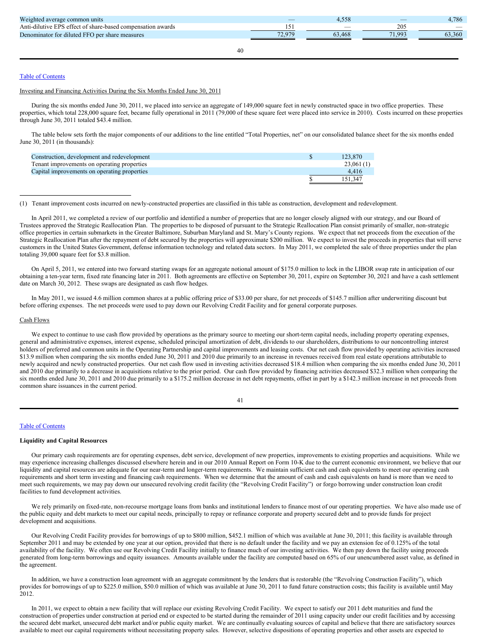| Weighted average common units                               | _ |                          | $\overline{\phantom{a}}$ | .786                     |
|-------------------------------------------------------------|---|--------------------------|--------------------------|--------------------------|
| Anti-dilutive EPS effect of share-based compensation awards |   | $\overline{\phantom{a}}$ | 205                      | $\overline{\phantom{a}}$ |
| Denominator for diluted FFO per share measures              |   | 53.468                   | .993                     | 63.360                   |

## Table of [Contents](#page-0-0)

#### Investing and Financing Activities During the Six Months Ended June 30, 2011

During the six months ended June 30, 2011, we placed into service an aggregate of 149,000 square feet in newly constructed space in two office properties. These properties, which total 228,000 square feet, became fully operational in 2011 (79,000 of these square feet were placed into service in 2010). Costs incurred on these properties through June 30, 2011 totaled \$43.4 million.

The table below sets forth the major components of our additions to the line entitled "Total Properties, net" on our consolidated balance sheet for the six months ended June 30, 2011 (in thousands):

| Construction, development and redevelopment  | 123.870   |
|----------------------------------------------|-----------|
| Tenant improvements on operating properties  | 23,061(1) |
| Capital improvements on operating properties | 4.416     |
|                                              | 151.347   |

(1) Tenant improvement costs incurred on newly-constructed properties are classified in this table as construction, development and redevelopment.

In April 2011, we completed a review of our portfolio and identified a number of properties that are no longer closely aligned with our strategy, and our Board of Trustees approved the Strategic Reallocation Plan. The properties to be disposed of pursuant to the Strategic Reallocation Plan consist primarily of smaller, non-strategic office properties in certain submarkets in the Greater Baltimore, Suburban Maryland and St. Mary's County regions. We expect that net proceeds from the execution of the Strategic Reallocation Plan after the repayment of debt secured by the properties will approximate \$200 million. We expect to invest the proceeds in properties that will serve customers in the United States Government, defense information technology and related data sectors. In May 2011, we completed the sale of three properties under the plan totaling 39,000 square feet for \$3.8 million.

On April 5, 2011, we entered into two forward starting swaps for an aggregate notional amount of \$175.0 million to lock in the LIBOR swap rate in anticipation of our obtaining a ten-year term, fixed rate financing later in 2011. Both agreements are effective on September 30, 2011, expire on September 30, 2021 and have a cash settlement date on March 30, 2012. These swaps are designated as cash flow hedges.

In May 2011, we issued 4.6 million common shares at a public offering price of \$33.00 per share, for net proceeds of \$145.7 million after underwriting discount but before offering expenses. The net proceeds were used to pay down our Revolving Credit Facility and for general corporate purposes.

#### Cash Flows

We expect to continue to use cash flow provided by operations as the primary source to meeting our short-term capital needs, including property operating expenses, general and administrative expenses, interest expense, scheduled principal amortization of debt, dividends to our shareholders, distributions to our noncontrolling interest holders of preferred and common units in the Operating Partnership and capital improvements and leasing costs. Our net cash flow provided by operating activities increased \$13.9 million when comparing the six months ended June 30, 2011 and 2010 due primarily to an increase in revenues received from real estate operations attributable to newly acquired and newly constructed properties. Our net cash flow used in investing activities decreased \$18.4 million when comparing the six months ended June 30, 2011 and 2010 due primarily to a decrease in acquisitions relative to the prior period. Our cash flow provided by financing activities decreased \$32.3 million when comparing the six months ended June 30, 2011 and 2010 due primarily to a \$175.2 million decrease in net debt repayments, offset in part by a \$142.3 million increase in net proceeds from common share issuances in the current period.

| I<br>٧ |
|--------|
|        |

#### Table of [Contents](#page-0-0)

# **Liquidity and Capital Resources**

Our primary cash requirements are for operating expenses, debt service, development of new properties, improvements to existing properties and acquisitions. While we may experience increasing challenges discussed elsewhere herein and in our 2010 Annual Report on Form 10-K due to the current economic environment, we believe that our liquidity and capital resources are adequate for our near-term and longer-term requirements. We maintain sufficient cash and cash equivalents to meet our operating cash requirements and short term investing and financing cash requirements. When we determine that the amount of cash and cash equivalents on hand is more than we need to meet such requirements, we may pay down our unsecured revolving credit facility (the "Revolving Credit Facility") or forgo borrowing under construction loan credit facilities to fund development activities.

We rely primarily on fixed-rate, non-recourse mortgage loans from banks and institutional lenders to finance most of our operating properties. We have also made use of the public equity and debt markets to meet our capital needs, principally to repay or refinance corporate and property secured debt and to provide funds for project development and acquisitions.

Our Revolving Credit Facility provides for borrowings of up to \$800 million, \$452.1 million of which was available at June 30, 2011; this facility is available through September 2011 and may be extended by one year at our option, provided that there is no default under the facility and we pay an extension fee of 0.125% of the total availability of the facility. We often use our Revolving Credit Facility initially to finance much of our investing activities. We then pay down the facility using proceeds generated from long-term borrowings and equity issuances. Amounts available under the facility are computed based on 65% of our unencumbered asset value, as defined in the agreement.

In addition, we have a construction loan agreement with an aggregate commitment by the lenders that is restorable (the "Revolving Construction Facility"), which provides for borrowings of up to \$225.0 million, \$50.0 million of which was available at June 30, 2011 to fund future construction costs; this facility is available until May 2012.

In 2011, we expect to obtain a new facility that will replace our existing Revolving Credit Facility. We expect to satisfy our 2011 debt maturities and fund the construction of properties under construction at period end or expected to be started during the remainder of 2011 using capacity under our credit facilities and by accessing the secured debt market, unsecured debt market and/or public equity market. We are continually evaluating sources of capital and believe that there are satisfactory sources available to meet our capital requirements without necessitating property sales. However, selective dispositions of operating properties and other assets are expected to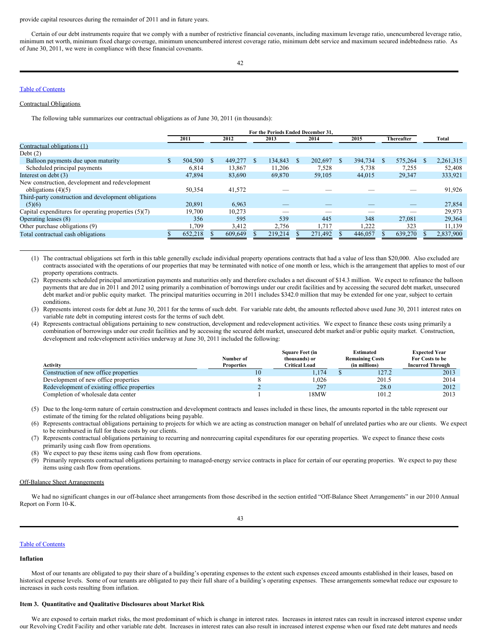#### provide capital resources during the remainder of 2011 and in future years.

Certain of our debt instruments require that we comply with a number of restrictive financial covenants, including maximum leverage ratio, unencumbered leverage ratio, minimum net worth, minimum fixed charge coverage, minimum unencumbered interest coverage ratio, minimum debt service and maximum secured indebtedness ratio. As of June 30, 2011, we were in compliance with these financial covenants.

# Table of [Contents](#page-0-0)

#### Contractual Obligations

The following table summarizes our contractual obligations as of June 30, 2011 (in thousands):

|                                                        | For the Periods Ended December 31. |              |               |         |          |         |          |            |  |            |    |         |       |           |
|--------------------------------------------------------|------------------------------------|--------------|---------------|---------|----------|---------|----------|------------|--|------------|----|---------|-------|-----------|
|                                                        |                                    | 2011<br>2012 |               |         | 2013     | 2014    |          | 2015       |  | Thereafter |    |         | Total |           |
| Contractual obligations (1)                            |                                    |              |               |         |          |         |          |            |  |            |    |         |       |           |
| Debt $(2)$                                             |                                    |              |               |         |          |         |          |            |  |            |    |         |       |           |
| Balloon payments due upon maturity                     | S.                                 | 504,500      | <sup>\$</sup> | 449,277 | <b>S</b> | 134,843 | <b>S</b> | 202,697 \$ |  | 394,734    | -S | 575.264 | -S    | 2.261.315 |
| Scheduled principal payments                           |                                    | 6,814        |               | 13,867  |          | 11,206  |          | 7,528      |  | 5,738      |    | 7,255   |       | 52,408    |
| Interest on debt $(3)$                                 |                                    | 47,894       |               | 83,690  |          | 69,870  |          | 59,105     |  | 44,015     |    | 29,347  |       | 333,921   |
| New construction, development and redevelopment        |                                    |              |               |         |          |         |          |            |  |            |    |         |       |           |
| obligations $(4)(5)$                                   |                                    | 50,354       |               | 41,572  |          |         |          |            |  |            |    |         |       | 91,926    |
| Third-party construction and development obligations   |                                    |              |               |         |          |         |          |            |  |            |    |         |       |           |
| (5)(6)                                                 |                                    | 20.891       |               | 6,963   |          |         |          |            |  |            |    | $-$     |       | 27,854    |
| Capital expenditures for operating properties $(5)(7)$ |                                    | 19.700       |               | 10,273  |          |         |          |            |  |            |    |         |       | 29.973    |
| Operating leases (8)                                   |                                    | 356          |               | 595     |          | 539     |          | 445        |  | 348        |    | 27.081  |       | 29,364    |
| Other purchase obligations (9)                         |                                    | .709         |               | 3,412   |          | 2,756   |          | 1.717      |  | 1,222      |    | 323     |       | 11,139    |
| Total contractual cash obligations                     |                                    | 652.218      |               | 609,649 |          | 219,214 |          | 271,492    |  | 446,057    |    | 639,270 |       | 2,837,900 |

(1) The contractual obligations set forth in this table generally exclude individual property operations contracts that had a value of less than \$20,000. Also excluded are contracts associated with the operations of our properties that may be terminated with notice of one month or less, which is the arrangement that applies to most of our property operations contracts.

(2) Represents scheduled principal amortization payments and maturities only and therefore excludes a net discount of \$14.3 million. We expect to refinance the balloon payments that are due in 2011 and 2012 using primarily a combination of borrowings under our credit facilities and by accessing the secured debt market, unsecured debt market and/or public equity market. The principal maturities occurring in 2011 includes \$342.0 million that may be extended for one year, subject to certain conditions.

(3) Represents interest costs for debt at June 30, 2011 for the terms of such debt. For variable rate debt, the amounts reflected above used June 30, 2011 interest rates on variable rate debt in computing interest costs for the terms of such debt.

(4) Represents contractual obligations pertaining to new construction, development and redevelopment activities. We expect to finance these costs using primarily a combination of borrowings under our credit facilities and by accessing the secured debt market, unsecured debt market and/or public equity market. Construction, development and redevelopment activities underway at June 30, 2011 included the following:

| Activity                                    | Number of<br><b>Properties</b> | <b>Square Feet (in</b><br>thousands) or<br><b>Critical Load</b> | <b>Estimated</b><br><b>Remaining Costs</b><br>(in millions) | <b>Expected Year</b><br>For Costs to be<br><b>Incurred Through</b> |  |  |
|---------------------------------------------|--------------------------------|-----------------------------------------------------------------|-------------------------------------------------------------|--------------------------------------------------------------------|--|--|
| Construction of new office properties       | 10                             | 1,174                                                           | 127.2                                                       | 2013                                                               |  |  |
| Development of new office properties        |                                | .026                                                            | 201.5                                                       | 2014                                                               |  |  |
| Redevelopment of existing office properties |                                | 297                                                             | 28.0                                                        | 2012                                                               |  |  |
| Completion of wholesale data center         |                                | 18MW                                                            | 101.2                                                       | 2013                                                               |  |  |

(5) Due to the long-term nature of certain construction and development contracts and leases included in these lines, the amounts reported in the table represent our estimate of the timing for the related obligations being payable.

(6) Represents contractual obligations pertaining to projects for which we are acting as construction manager on behalf of unrelated parties who are our clients. We expect to be reimbursed in full for these costs by our clients.

(7) Represents contractual obligations pertaining to recurring and nonrecurring capital expenditures for our operating properties. We expect to finance these costs primarily using cash flow from operations.

(8) We expect to pay these items using cash flow from operations.

(9) Primarily represents contractual obligations pertaining to managed-energy service contracts in place for certain of our operating properties. We expect to pay these items using cash flow from operations.

# Off-Balance Sheet Arrangements

We had no significant changes in our off-balance sheet arrangements from those described in the section entitled "Off-Balance Sheet Arrangements" in our 2010 Annual Report on Form 10-K.

#### Table of [Contents](#page-0-0)

# **Inflation**

Most of our tenants are obligated to pay their share of a building's operating expenses to the extent such expenses exceed amounts established in their leases, based on historical expense levels. Some of our tenants are obligated to pay their full share of a building's operating expenses. These arrangements somewhat reduce our exposure to increases in such costs resulting from inflation.

#### <span id="page-23-0"></span>**Item 3. Quantitative and Qualitative Disclosures about Market Risk**

We are exposed to certain market risks, the most predominant of which is change in interest rates. Increases in interest rates can result in increased interest expense under our Revolving Credit Facility and other variable rate debt. Increases in interest rates can also result in increased interest expense when our fixed rate debt matures and needs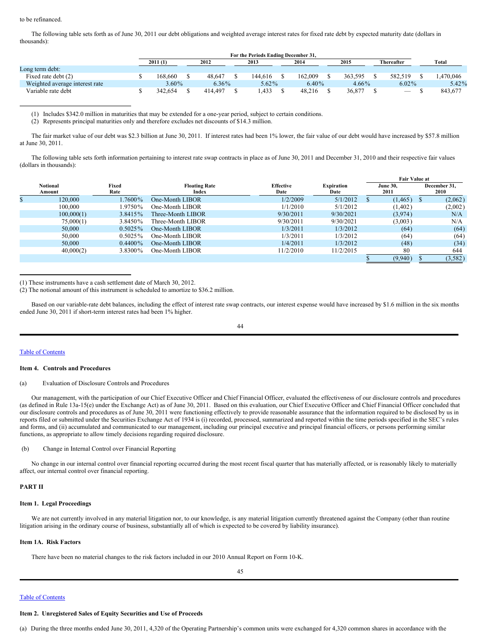#### to be refinanced.

The following table sets forth as of June 30, 2011 our debt obligations and weighted average interest rates for fixed rate debt by expected maturity date (dollars in thousands):

|                                |          | For the Periods Ending December 31. |         |      |         |      |          |      |          |            |          |  |              |
|--------------------------------|----------|-------------------------------------|---------|------|---------|------|----------|------|----------|------------|----------|--|--------------|
|                                | 2011(1)  |                                     | 2012    | 2013 |         | 2014 |          | 2015 |          | Thereafter |          |  | <b>Total</b> |
| Long term debt:                |          |                                     |         |      |         |      |          |      |          |            |          |  |              |
| Fixed rate debt (2)            | 168.660  |                                     | 48.647  |      | 144.616 |      | 162,009  |      | 363.595  |            | 582.519  |  | .470.046     |
| Weighted average interest rate | $3.60\%$ |                                     | 6.36%   |      | 5.62%   |      | $6.40\%$ |      | $4.66\%$ |            | $6.02\%$ |  | 5.42%        |
| Variable rate debt             | 342.654  |                                     | 414.497 |      | .433    |      | 48.216   |      | 36.877   |            |          |  | 843,677      |

(1) Includes \$342.0 million in maturities that may be extended for a one-year period, subject to certain conditions.

(2) Represents principal maturities only and therefore excludes net discounts of \$14.3 million.

The fair market value of our debt was \$2.3 billion at June 30, 2011. If interest rates had been 1% lower, the fair value of our debt would have increased by \$57.8 million at June 30, 2011.

The following table sets forth information pertaining to interest rate swap contracts in place as of June 30, 2011 and December 31, 2010 and their respective fair values (dollars in thousands):

|   |                   |            |                      |                  |                   |   | <b>Fair Value at</b> |              |         |
|---|-------------------|------------|----------------------|------------------|-------------------|---|----------------------|--------------|---------|
|   | Notional<br>Fixed |            | <b>Floating Rate</b> | <b>Effective</b> | <b>Expiration</b> |   | <b>June 30,</b>      | December 31, |         |
|   | Amount            | Rate       | Index                | Date             | Date              |   | 2011                 | 2010         |         |
| ъ | 120,000           | 1.7600%    | One-Month LIBOR      | 1/2/2009         | 5/1/2012          | S | (1, 465)             |              | (2,062) |
|   | 100,000           | 1.9750%    | One-Month LIBOR      | 1/1/2010         | 5/1/2012          |   | (1, 402)             |              | (2,002) |
|   | 100,000(1)        | 3.8415%    | Three-Month LIBOR    | 9/30/2011        | 9/30/2021         |   | (3,974)              |              | N/A     |
|   | 75,000(1)         | 3.8450%    | Three-Month LIBOR    | 9/30/2011        | 9/30/2021         |   | (3,003)              |              | N/A     |
|   | 50,000            | $0.5025\%$ | One-Month LIBOR      | 1/3/2011         | 1/3/2012          |   | (64)                 |              | (64)    |
|   | 50,000            | $0.5025\%$ | One-Month LIBOR      | 1/3/2011         | 1/3/2012          |   | (64)                 |              | (64)    |
|   | 50,000            | $0.4400\%$ | One-Month LIBOR      | 1/4/2011         | 1/3/2012          |   | (48)                 |              | (34)    |
|   | 40,000(2)         | 3.8300%    | One-Month LIBOR      | 11/2/2010        | 11/2/2015         |   | 80                   |              | 644     |
|   |                   |            |                      |                  |                   |   | (9,940)              |              | (3,582) |

(1) These instruments have a cash settlement date of March 30, 2012.

(2) The notional amount of this instrument is scheduled to amortize to \$36.2 million.

Based on our variable-rate debt balances, including the effect of interest rate swap contracts, our interest expense would have increased by \$1.6 million in the six months ended June 30, 2011 if short-term interest rates had been 1% higher.

44

#### Table of [Contents](#page-0-0)

#### <span id="page-24-0"></span>**Item 4. Controls and Procedures**

(a) Evaluation of Disclosure Controls and Procedures

Our management, with the participation of our Chief Executive Officer and Chief Financial Officer, evaluated the effectiveness of our disclosure controls and procedures (as defined in Rule 13a-15(e) under the Exchange Act) as of June 30, 2011. Based on this evaluation, our Chief Executive Officer and Chief Financial Officer concluded that our disclosure controls and procedures as of June 30, 2011 were functioning effectively to provide reasonable assurance that the information required to be disclosed by us in reports filed or submitted under the Securities Exchange Act of 1934 is (i) recorded, processed, summarized and reported within the time periods specified in the SEC's rules and forms, and (ii) accumulated and communicated to our management, including our principal executive and principal financial officers, or persons performing similar functions, as appropriate to allow timely decisions regarding required disclosure.

(b) Change in Internal Control over Financial Reporting

No change in our internal control over financial reporting occurred during the most recent fiscal quarter that has materially affected, or is reasonably likely to materially affect, our internal control over financial reporting.

# <span id="page-24-1"></span>**PART II**

### <span id="page-24-2"></span>**Item 1. Legal Proceedings**

We are not currently involved in any material litigation nor, to our knowledge, is any material litigation currently threatened against the Company (other than routine litigation arising in the ordinary course of business, substantially all of which is expected to be covered by liability insurance).

#### **Item 1A. Risk Factors**

<span id="page-24-4"></span><span id="page-24-3"></span>There have been no material changes to the risk factors included in our 2010 Annual Report on Form 10-K.

# Table of [Contents](#page-0-0)

#### **Item 2. Unregistered Sales of Equity Securities and Use of Proceeds**

(a) During the three months ended June 30, 2011, 4,320 of the Operating Partnership's common units were exchanged for 4,320 common shares in accordance with the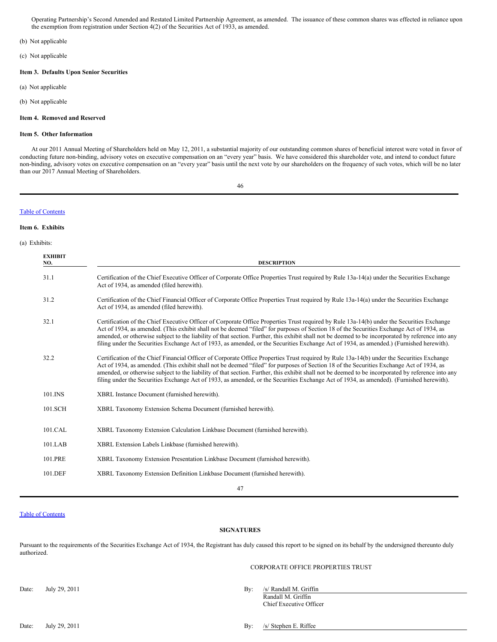Operating Partnership's Second Amended and Restated Limited Partnership Agreement, as amended. The issuance of these common shares was effected in reliance upon the exemption from registration under Section 4(2) of the Securities Act of 1933, as amended.

#### (b) Not applicable

(c) Not applicable

#### <span id="page-25-0"></span>**Item 3. Defaults Upon Senior Securities**

(a) Not applicable

(b) Not applicable

### <span id="page-25-1"></span>**Item 4. Removed and Reserved**

# <span id="page-25-2"></span>**Item 5. Other Information**

At our 2011 Annual Meeting of Shareholders held on May 12, 2011, a substantial majority of our outstanding common shares of beneficial interest were voted in favor of conducting future non-binding, advisory votes on executive compensation on an "every year" basis. We have considered this shareholder vote, and intend to conduct future non-binding, advisory votes on executive compensation on an "every year" basis until the next vote by our shareholders on the frequency of such votes, which will be no later than our 2017 Annual Meeting of Shareholders.

46

# Table of [Contents](#page-0-0)

#### **Item 6. Exhibits**

(a) Exhibits:

<span id="page-25-3"></span>

| <b>EXHIBIT</b><br>NO. | <b>DESCRIPTION</b>                                                                                                                                                                                                                                                                                                                                                                                                                                                                                                                                                                       |  |
|-----------------------|------------------------------------------------------------------------------------------------------------------------------------------------------------------------------------------------------------------------------------------------------------------------------------------------------------------------------------------------------------------------------------------------------------------------------------------------------------------------------------------------------------------------------------------------------------------------------------------|--|
| 31.1                  | Certification of the Chief Executive Officer of Corporate Office Properties Trust required by Rule 13a-14(a) under the Securities Exchange<br>Act of 1934, as amended (filed herewith).                                                                                                                                                                                                                                                                                                                                                                                                  |  |
| 31.2                  | Certification of the Chief Financial Officer of Corporate Office Properties Trust required by Rule 13a-14(a) under the Securities Exchange<br>Act of 1934, as amended (filed herewith).                                                                                                                                                                                                                                                                                                                                                                                                  |  |
| 32.1                  | Certification of the Chief Executive Officer of Corporate Office Properties Trust required by Rule 13a-14(b) under the Securities Exchange<br>Act of 1934, as amended. (This exhibit shall not be deemed "filed" for purposes of Section 18 of the Securities Exchange Act of 1934, as<br>amended, or otherwise subject to the liability of that section. Further, this exhibit shall not be deemed to be incorporated by reference into any<br>filing under the Securities Exchange Act of 1933, as amended, or the Securities Exchange Act of 1934, as amended.) (Furnished herewith). |  |
| 32.2                  | Certification of the Chief Financial Officer of Corporate Office Properties Trust required by Rule 13a-14(b) under the Securities Exchange<br>Act of 1934, as amended. (This exhibit shall not be deemed "filed" for purposes of Section 18 of the Securities Exchange Act of 1934, as<br>amended, or otherwise subject to the liability of that section. Further, this exhibit shall not be deemed to be incorporated by reference into any<br>filing under the Securities Exchange Act of 1933, as amended, or the Securities Exchange Act of 1934, as amended). (Furnished herewith). |  |
| 101.INS               | XBRL Instance Document (furnished herewith).                                                                                                                                                                                                                                                                                                                                                                                                                                                                                                                                             |  |
| 101.SCH               | XBRL Taxonomy Extension Schema Document (furnished herewith).                                                                                                                                                                                                                                                                                                                                                                                                                                                                                                                            |  |
| 101.CAL               | XBRL Taxonomy Extension Calculation Linkbase Document (furnished herewith).                                                                                                                                                                                                                                                                                                                                                                                                                                                                                                              |  |
| 101.LAB               | XBRL Extension Labels Linkbase (furnished herewith).                                                                                                                                                                                                                                                                                                                                                                                                                                                                                                                                     |  |
| 101.PRE               | XBRL Taxonomy Extension Presentation Linkbase Document (furnished herewith).                                                                                                                                                                                                                                                                                                                                                                                                                                                                                                             |  |
| 101.DEF               | XBRL Taxonomy Extension Definition Linkbase Document (furnished herewith).                                                                                                                                                                                                                                                                                                                                                                                                                                                                                                               |  |
| 47                    |                                                                                                                                                                                                                                                                                                                                                                                                                                                                                                                                                                                          |  |

### Table of [Contents](#page-0-0)

## <span id="page-25-4"></span>**SIGNATURES**

Pursuant to the requirements of the Securities Exchange Act of 1934, the Registrant has duly caused this report to be signed on its behalf by the undersigned thereunto duly authorized.

|     | CORPORATE OFFICE PROPERTIES TRUST |
|-----|-----------------------------------|
| Bv: | /s/ Randall M. Griffin            |
|     | Randall M. Griffin                |
|     | Chief Executive Officer           |

Date: July 29, 2011

Date: July 29, 2011 By: /s/ Stephen E. Riffee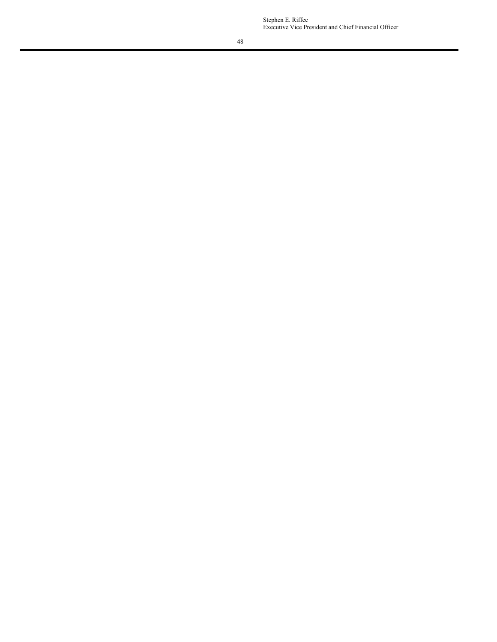Stephen E. Riffee Executive Vice President and Chief Financial Officer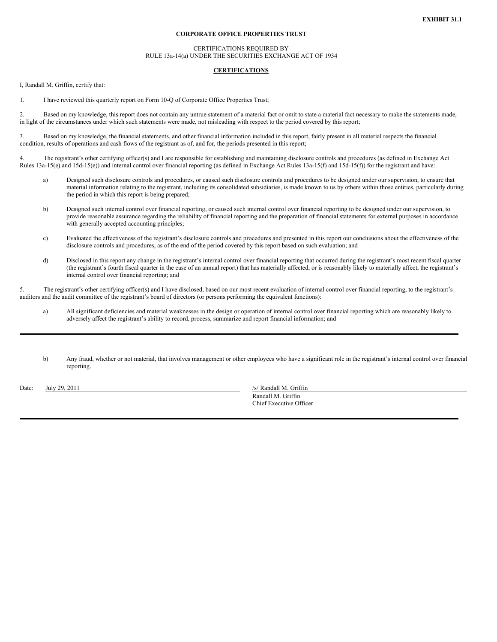# CERTIFICATIONS REQUIRED BY RULE 13a-14(a) UNDER THE SECURITIES EXCHANGE ACT OF 1934

### **CERTIFICATIONS**

I, Randall M. Griffin, certify that:

1. I have reviewed this quarterly report on Form 10-Q of Corporate Office Properties Trust;

2. Based on my knowledge, this report does not contain any untrue statement of a material fact or omit to state a material fact necessary to make the statements made, in light of the circumstances under which such statements were made, not misleading with respect to the period covered by this report;

3. Based on my knowledge, the financial statements, and other financial information included in this report, fairly present in all material respects the financial condition, results of operations and cash flows of the registrant as of, and for, the periods presented in this report;

4. The registrant's other certifying officer(s) and I are responsible for establishing and maintaining disclosure controls and procedures (as defined in Exchange Act Rules 13a-15(e) and 15d-15(e)) and internal control over financial reporting (as defined in Exchange Act Rules 13a-15(f) and 15d-15(f)) for the registrant and have:

- a) Designed such disclosure controls and procedures, or caused such disclosure controls and procedures to be designed under our supervision, to ensure that material information relating to the registrant, including its consolidated subsidiaries, is made known to us by others within those entities, particularly during the period in which this report is being prepared;
- b) Designed such internal control over financial reporting, or caused such internal control over financial reporting to be designed under our supervision, to provide reasonable assurance regarding the reliability of financial reporting and the preparation of financial statements for external purposes in accordance with generally accepted accounting principles;
- c) Evaluated the effectiveness of the registrant's disclosure controls and procedures and presented in this report our conclusions about the effectiveness of the disclosure controls and procedures, as of the end of the period covered by this report based on such evaluation; and
- d) Disclosed in this report any change in the registrant's internal control over financial reporting that occurred during the registrant's most recent fiscal quarter (the registrant's fourth fiscal quarter in the case of an annual report) that has materially affected, or is reasonably likely to materially affect, the registrant's internal control over financial reporting; and

5. The registrant's other certifying officer(s) and I have disclosed, based on our most recent evaluation of internal control over financial reporting, to the registrant's auditors and the audit committee of the registrant's board of directors (or persons performing the equivalent functions):

- a) All significant deficiencies and material weaknesses in the design or operation of internal control over financial reporting which are reasonably likely to adversely affect the registrant's ability to record, process, summarize and report financial information; and
- b) Any fraud, whether or not material, that involves management or other employees who have a significant role in the registrant's internal control over financial reporting.

Date: July 29, 2011 /s/ Randall M. Griffin

Randall M. Griffin Chief Executive Officer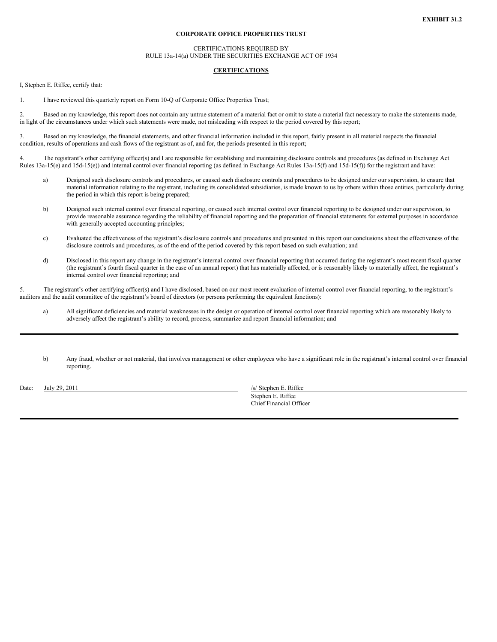# CERTIFICATIONS REQUIRED BY RULE 13a-14(a) UNDER THE SECURITIES EXCHANGE ACT OF 1934

### **CERTIFICATIONS**

I, Stephen E. Riffee, certify that:

1. I have reviewed this quarterly report on Form 10-Q of Corporate Office Properties Trust;

2. Based on my knowledge, this report does not contain any untrue statement of a material fact or omit to state a material fact necessary to make the statements made, in light of the circumstances under which such statements were made, not misleading with respect to the period covered by this report;

3. Based on my knowledge, the financial statements, and other financial information included in this report, fairly present in all material respects the financial condition, results of operations and cash flows of the registrant as of, and for, the periods presented in this report;

4. The registrant's other certifying officer(s) and I are responsible for establishing and maintaining disclosure controls and procedures (as defined in Exchange Act Rules 13a-15(e) and 15d-15(e)) and internal control over financial reporting (as defined in Exchange Act Rules 13a-15(f) and 15d-15(f)) for the registrant and have:

- a) Designed such disclosure controls and procedures, or caused such disclosure controls and procedures to be designed under our supervision, to ensure that material information relating to the registrant, including its consolidated subsidiaries, is made known to us by others within those entities, particularly during the period in which this report is being prepared;
- b) Designed such internal control over financial reporting, or caused such internal control over financial reporting to be designed under our supervision, to provide reasonable assurance regarding the reliability of financial reporting and the preparation of financial statements for external purposes in accordance with generally accepted accounting principles;
- c) Evaluated the effectiveness of the registrant's disclosure controls and procedures and presented in this report our conclusions about the effectiveness of the disclosure controls and procedures, as of the end of the period covered by this report based on such evaluation; and
- d) Disclosed in this report any change in the registrant's internal control over financial reporting that occurred during the registrant's most recent fiscal quarter (the registrant's fourth fiscal quarter in the case of an annual report) that has materially affected, or is reasonably likely to materially affect, the registrant's internal control over financial reporting; and

5. The registrant's other certifying officer(s) and I have disclosed, based on our most recent evaluation of internal control over financial reporting, to the registrant's auditors and the audit committee of the registrant's board of directors (or persons performing the equivalent functions):

- a) All significant deficiencies and material weaknesses in the design or operation of internal control over financial reporting which are reasonably likely to adversely affect the registrant's ability to record, process, summarize and report financial information; and
- b) Any fraud, whether or not material, that involves management or other employees who have a significant role in the registrant's internal control over financial reporting.

Date: July 29, 2011 /s/ Stephen E. Riffee

Stephen E. Riffee Chief Financial Officer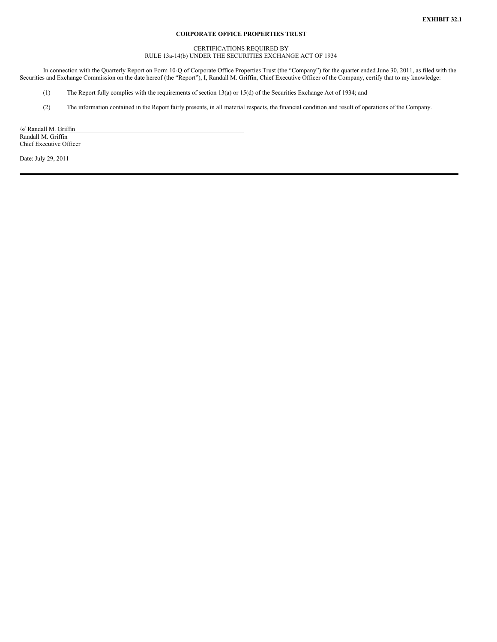# CERTIFICATIONS REQUIRED BY RULE 13a-14(b) UNDER THE SECURITIES EXCHANGE ACT OF 1934

In connection with the Quarterly Report on Form 10-Q of Corporate Office Properties Trust (the "Company") for the quarter ended June 30, 2011, as filed with the Securities and Exchange Commission on the date hereof (the "Report"), I, Randall M. Griffin, Chief Executive Officer of the Company, certify that to my knowledge:

- (1) The Report fully complies with the requirements of section 13(a) or 15(d) of the Securities Exchange Act of 1934; and
- (2) The information contained in the Report fairly presents, in all material respects, the financial condition and result of operations of the Company.

/s/ Randall M. Griffin Randall M. Griffin Chief Executive Officer

Date: July 29, 2011